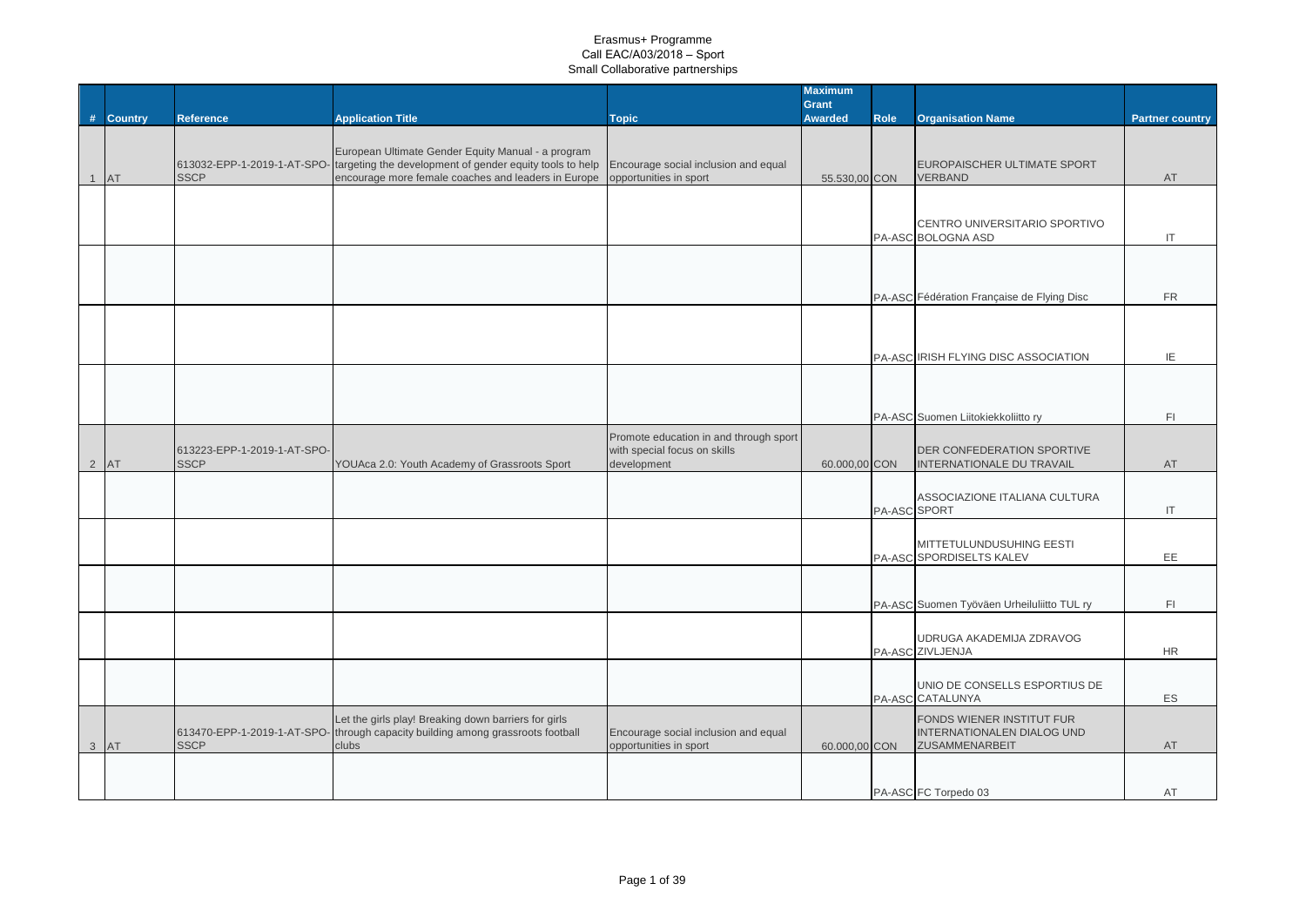|           |                             |                                                                                          |                                                                | <b>Maximum</b>                 |              |                                                     |                        |
|-----------|-----------------------------|------------------------------------------------------------------------------------------|----------------------------------------------------------------|--------------------------------|--------------|-----------------------------------------------------|------------------------|
| # Country | <b>Reference</b>            | <b>Application Title</b>                                                                 | <b>Topic</b>                                                   | <b>Grant</b><br><b>Awarded</b> | Role         | <b>Organisation Name</b>                            | <b>Partner country</b> |
|           |                             |                                                                                          |                                                                |                                |              |                                                     |                        |
|           |                             | European Ultimate Gender Equity Manual - a program                                       |                                                                |                                |              |                                                     |                        |
|           |                             | 613032-EPP-1-2019-1-AT-SPO- targeting the development of gender equity tools to help     | Encourage social inclusion and equal                           |                                |              | EUROPAISCHER ULTIMATE SPORT                         |                        |
| 1 AT      | <b>SSCP</b>                 | encourage more female coaches and leaders in Europe                                      | opportunities in sport                                         | 55.530,00 CON                  |              | <b>VERBAND</b>                                      | AT                     |
|           |                             |                                                                                          |                                                                |                                |              |                                                     |                        |
|           |                             |                                                                                          |                                                                |                                |              | CENTRO UNIVERSITARIO SPORTIVO                       |                        |
|           |                             |                                                                                          |                                                                |                                |              | PA-ASC BOLOGNA ASD                                  | IT                     |
|           |                             |                                                                                          |                                                                |                                |              |                                                     |                        |
|           |                             |                                                                                          |                                                                |                                |              |                                                     |                        |
|           |                             |                                                                                          |                                                                |                                |              | PA-ASC Fédération Française de Flying Disc          | <b>FR</b>              |
|           |                             |                                                                                          |                                                                |                                |              |                                                     |                        |
|           |                             |                                                                                          |                                                                |                                |              |                                                     |                        |
|           |                             |                                                                                          |                                                                |                                |              |                                                     |                        |
|           |                             |                                                                                          |                                                                |                                |              | PA-ASC IRISH FLYING DISC ASSOCIATION                | ΙE                     |
|           |                             |                                                                                          |                                                                |                                |              |                                                     |                        |
|           |                             |                                                                                          |                                                                |                                |              |                                                     |                        |
|           |                             |                                                                                          |                                                                |                                |              | PA-ASC Suomen Liitokiekkoliitto ry                  | F1                     |
|           |                             |                                                                                          | Promote education in and through sport                         |                                |              |                                                     |                        |
|           | 613223-EPP-1-2019-1-AT-SPO- |                                                                                          | with special focus on skills                                   |                                |              | DER CONFEDERATION SPORTIVE                          |                        |
| 2 AT      | <b>SSCP</b>                 | YOUAca 2.0: Youth Academy of Grassroots Sport                                            | development                                                    | 60.000,00 CON                  |              | INTERNATIONALE DU TRAVAIL                           | AT                     |
|           |                             |                                                                                          |                                                                |                                |              |                                                     |                        |
|           |                             |                                                                                          |                                                                |                                | PA-ASC SPORT | ASSOCIAZIONE ITALIANA CULTURA                       | IT                     |
|           |                             |                                                                                          |                                                                |                                |              |                                                     |                        |
|           |                             |                                                                                          |                                                                |                                |              | MITTETULUNDUSUHING EESTI                            |                        |
|           |                             |                                                                                          |                                                                |                                |              | PA-ASC SPORDISELTS KALEV                            | EE                     |
|           |                             |                                                                                          |                                                                |                                |              |                                                     |                        |
|           |                             |                                                                                          |                                                                |                                |              |                                                     |                        |
|           |                             |                                                                                          |                                                                |                                |              | PA-ASC Suomen Työväen Urheiluliitto TUL ry          | FI                     |
|           |                             |                                                                                          |                                                                |                                |              | UDRUGA AKADEMIJA ZDRAVOG                            |                        |
|           |                             |                                                                                          |                                                                |                                |              | PA-ASC ZIVLJENJA                                    | <b>HR</b>              |
|           |                             |                                                                                          |                                                                |                                |              |                                                     |                        |
|           |                             |                                                                                          |                                                                |                                |              | UNIO DE CONSELLS ESPORTIUS DE                       |                        |
|           |                             |                                                                                          |                                                                |                                |              | PA-ASC CATALUNYA                                    | ES                     |
|           |                             | Let the girls play! Breaking down barriers for girls                                     |                                                                |                                |              | FONDS WIENER INSTITUT FUR                           |                        |
| 3 AT      | <b>SSCP</b>                 | 613470-EPP-1-2019-1-AT-SPO- through capacity building among grassroots football<br>clubs | Encourage social inclusion and equal<br>opportunities in sport | 60.000,00 CON                  |              | <b>INTERNATIONALEN DIALOG UND</b><br>ZUSAMMENARBEIT | AT                     |
|           |                             |                                                                                          |                                                                |                                |              |                                                     |                        |
|           |                             |                                                                                          |                                                                |                                |              |                                                     |                        |
|           |                             |                                                                                          |                                                                |                                |              | PA-ASC FC Torpedo 03                                | AT                     |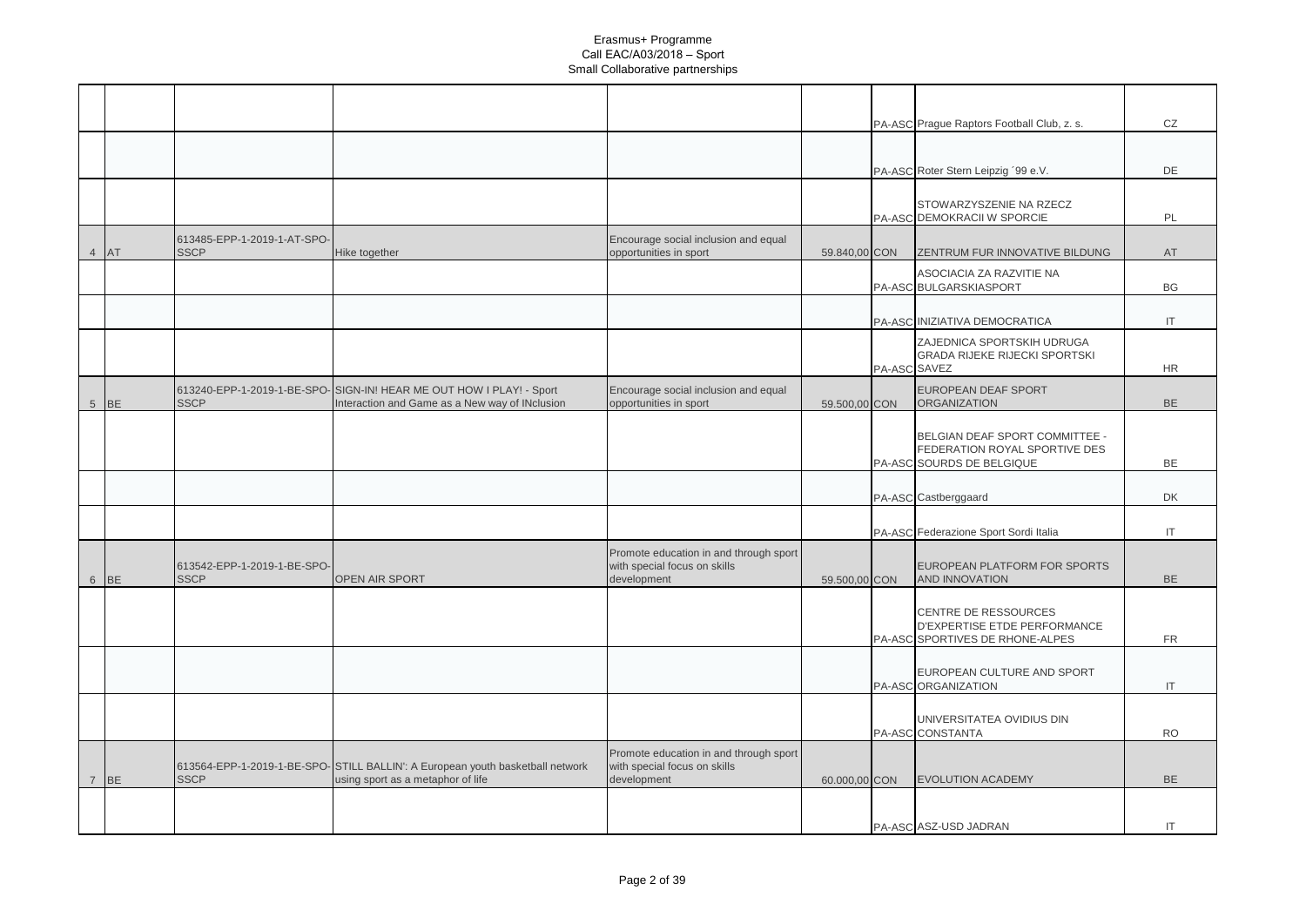|      |                                            |                                                                                                                    |                                                                                       |               | PA-ASC Prague Raptors Football Club, z. s.                                                   | CZ                     |
|------|--------------------------------------------|--------------------------------------------------------------------------------------------------------------------|---------------------------------------------------------------------------------------|---------------|----------------------------------------------------------------------------------------------|------------------------|
|      |                                            |                                                                                                                    |                                                                                       |               |                                                                                              |                        |
|      |                                            |                                                                                                                    |                                                                                       |               | PA-ASC Roter Stern Leipzig '99 e.V.                                                          | DE                     |
|      |                                            |                                                                                                                    |                                                                                       |               | STOWARZYSZENIE NA RZECZ                                                                      |                        |
|      |                                            |                                                                                                                    |                                                                                       |               | PA-ASC DEMOKRACII W SPORCIE                                                                  | PL                     |
| 4 AT | 613485-EPP-1-2019-1-AT-SPO-<br><b>SSCP</b> | Hike together                                                                                                      | Encourage social inclusion and equal<br>opportunities in sport                        | 59.840,00 CON | ZENTRUM FUR INNOVATIVE BILDUNG                                                               | AT                     |
|      |                                            |                                                                                                                    |                                                                                       |               | ASOCIACIA ZA RAZVITIE NA<br>PA-ASC BULGARSKIASPORT                                           | BG                     |
|      |                                            |                                                                                                                    |                                                                                       |               | PA-ASC INIZIATIVA DEMOCRATICA                                                                | IT                     |
|      |                                            |                                                                                                                    |                                                                                       |               | ZAJEDNICA SPORTSKIH UDRUGA<br><b>GRADA RIJEKE RIJECKI SPORTSKI</b><br>PA-ASC SAVEZ           | <b>HR</b>              |
|      |                                            | 613240-EPP-1-2019-1-BE-SPO-SIGN-IN! HEAR ME OUT HOW I PLAY! - Sport                                                | Encourage social inclusion and equal                                                  |               | EUROPEAN DEAF SPORT                                                                          |                        |
| 5 BE | <b>SSCP</b>                                | Interaction and Game as a New way of INclusion                                                                     | opportunities in sport                                                                | 59.500,00 CON | <b>ORGANIZATION</b>                                                                          | <b>BE</b>              |
|      |                                            |                                                                                                                    |                                                                                       |               | BELGIAN DEAF SPORT COMMITTEE -<br>FEDERATION ROYAL SPORTIVE DES<br>PA-ASC SOURDS DE BELGIQUE | BE                     |
|      |                                            |                                                                                                                    |                                                                                       |               |                                                                                              |                        |
|      |                                            |                                                                                                                    |                                                                                       |               | PA-ASC Castberggaard                                                                         | DK                     |
|      |                                            |                                                                                                                    |                                                                                       |               | PA-ASC Federazione Sport Sordi Italia                                                        | $\mathsf{I}\mathsf{T}$ |
| 6 BE | 613542-EPP-1-2019-1-BE-SPO-<br><b>SSCP</b> | OPEN AIR SPORT                                                                                                     | Promote education in and through sport<br>with special focus on skills<br>development | 59.500,00 CON | EUROPEAN PLATFORM FOR SPORTS<br>AND INNOVATION                                               | <b>BE</b>              |
|      |                                            |                                                                                                                    |                                                                                       |               | CENTRE DE RESSOURCES<br>D'EXPERTISE ETDE PERFORMANCE<br>PA-ASC SPORTIVES DE RHONE-ALPES      | <b>FR</b>              |
|      |                                            |                                                                                                                    |                                                                                       |               |                                                                                              |                        |
|      |                                            |                                                                                                                    |                                                                                       |               | EUROPEAN CULTURE AND SPORT<br>PA-ASC ORGANIZATION                                            | $\mathsf{I}$           |
|      |                                            |                                                                                                                    |                                                                                       |               | UNIVERSITATEA OVIDIUS DIN<br>PA-ASC CONSTANTA                                                | <b>RO</b>              |
| 7 BE | <b>SSCP</b>                                | 613564-EPP-1-2019-1-BE-SPO-STILL BALLIN': A European youth basketball network<br>using sport as a metaphor of life | Promote education in and through sport<br>with special focus on skills<br>development | 60.000,00 CON | <b>EVOLUTION ACADEMY</b>                                                                     | <b>BE</b>              |
|      |                                            |                                                                                                                    |                                                                                       |               | PA-ASC ASZ-USD JADRAN                                                                        | $\mathsf{I}$           |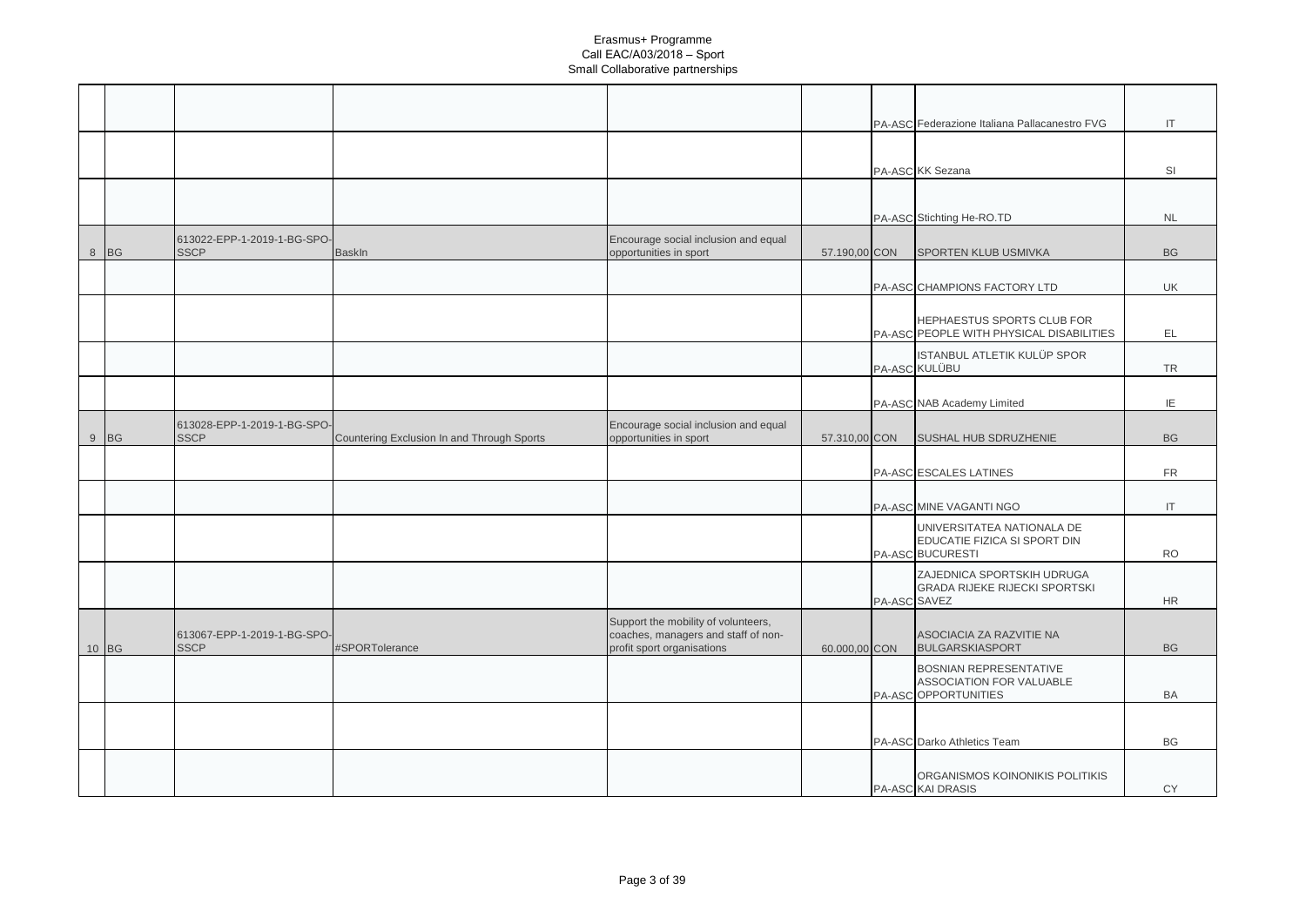|       |                                            |                                            |                                                                                                          |               | PA-ASC Federazione Italiana Pallacanestro FVG                                     | IT        |
|-------|--------------------------------------------|--------------------------------------------|----------------------------------------------------------------------------------------------------------|---------------|-----------------------------------------------------------------------------------|-----------|
|       |                                            |                                            |                                                                                                          |               | PA-ASC KK Sezana                                                                  | SI        |
|       |                                            |                                            |                                                                                                          |               |                                                                                   |           |
|       |                                            |                                            |                                                                                                          |               | PA-ASC Stichting He-RO.TD                                                         | <b>NL</b> |
| 8 BG  | 613022-EPP-1-2019-1-BG-SPO-<br><b>SSCP</b> | <b>BaskIn</b>                              | Encourage social inclusion and equal<br>opportunities in sport                                           | 57.190,00 CON | SPORTEN KLUB USMIVKA                                                              | <b>BG</b> |
|       |                                            |                                            |                                                                                                          |               | PA-ASC CHAMPIONS FACTORY LTD                                                      | UK        |
|       |                                            |                                            |                                                                                                          |               | HEPHAESTUS SPORTS CLUB FOR<br>PA-ASC PEOPLE WITH PHYSICAL DISABILITIES            | EL.       |
|       |                                            |                                            |                                                                                                          |               | ISTANBUL ATLETIK KULÜP SPOR<br>PA-ASC KULÜBU                                      | <b>TR</b> |
|       |                                            |                                            |                                                                                                          |               | PA-ASC NAB Academy Limited                                                        | IE        |
| 9 BG  | 613028-EPP-1-2019-1-BG-SPO-<br><b>SSCP</b> | Countering Exclusion In and Through Sports | Encourage social inclusion and equal<br>opportunities in sport                                           | 57.310,00 CON | SUSHAL HUB SDRUZHENIE                                                             | <b>BG</b> |
|       |                                            |                                            |                                                                                                          |               | PA-ASC ESCALES LATINES                                                            | <b>FR</b> |
|       |                                            |                                            |                                                                                                          |               | PA-ASC MINE VAGANTI NGO                                                           | IT        |
|       |                                            |                                            |                                                                                                          |               | UNIVERSITATEA NATIONALA DE<br>EDUCATIE FIZICA SI SPORT DIN<br>PA-ASC BUCURESTI    | <b>RO</b> |
|       |                                            |                                            |                                                                                                          |               | ZAJEDNICA SPORTSKIH UDRUGA<br>GRADA RIJEKE RIJECKI SPORTSKI<br>PA-ASC SAVEZ       | <b>HR</b> |
| 10 BG | 613067-EPP-1-2019-1-BG-SPO-<br><b>SSCP</b> | #SPORTolerance                             | Support the mobility of volunteers,<br>coaches, managers and staff of non-<br>profit sport organisations | 60.000,00 CON | ASOCIACIA ZA RAZVITIE NA<br><b>BULGARSKIASPORT</b>                                | <b>BG</b> |
|       |                                            |                                            |                                                                                                          |               | <b>BOSNIAN REPRESENTATIVE</b><br>ASSOCIATION FOR VALUABLE<br>PA-ASC OPPORTUNITIES | <b>BA</b> |
|       |                                            |                                            |                                                                                                          |               | PA-ASC Darko Athletics Team                                                       | <b>BG</b> |
|       |                                            |                                            |                                                                                                          |               | ORGANISMOS KOINONIKIS POLITIKIS<br>PA-ASC KAI DRASIS                              | <b>CY</b> |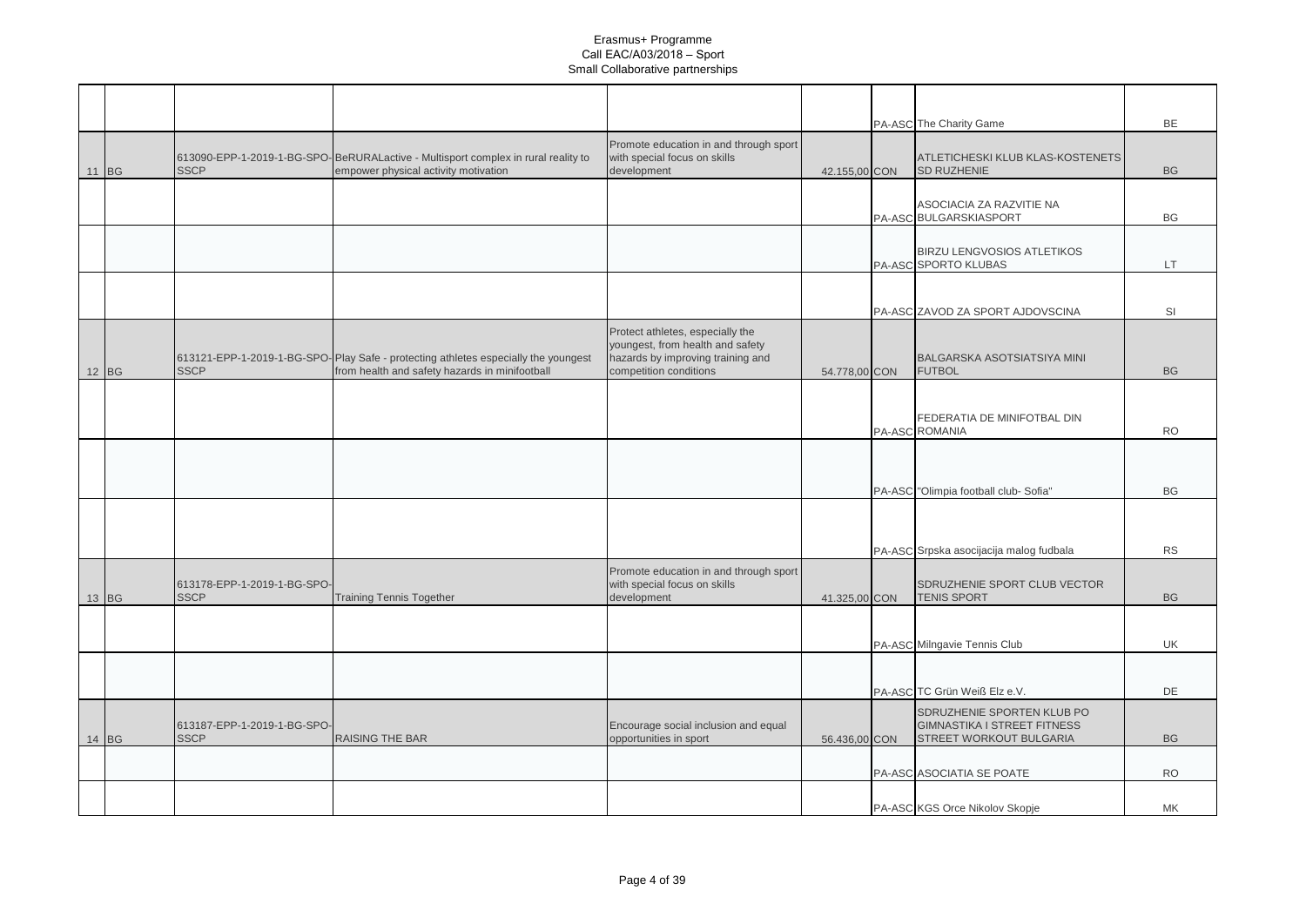|       |                                            |                                                                                                                                       |                                                                                                                                     |               | PA-ASC The Charity Game                                                                     | BE        |
|-------|--------------------------------------------|---------------------------------------------------------------------------------------------------------------------------------------|-------------------------------------------------------------------------------------------------------------------------------------|---------------|---------------------------------------------------------------------------------------------|-----------|
| 11 BG | <b>SSCP</b>                                | 613090-EPP-1-2019-1-BG-SPO-BeRURALactive - Multisport complex in rural reality to<br>empower physical activity motivation             | Promote education in and through sport<br>with special focus on skills<br>development                                               | 42.155,00 CON | ATLETICHESKI KLUB KLAS-KOSTENETS<br><b>SD RUZHENIE</b>                                      | <b>BG</b> |
|       |                                            |                                                                                                                                       |                                                                                                                                     |               | ASOCIACIA ZA RAZVITIE NA<br>PA-ASC BULGARSKIASPORT                                          | BG        |
|       |                                            |                                                                                                                                       |                                                                                                                                     |               | <b>BIRZU LENGVOSIOS ATLETIKOS</b><br>PA-ASC SPORTO KLUBAS                                   | LT        |
|       |                                            |                                                                                                                                       |                                                                                                                                     |               | PA-ASC ZAVOD ZA SPORT AJDOVSCINA                                                            | SI        |
| 12 BG | <b>SSCP</b>                                | 613121-EPP-1-2019-1-BG-SPO- Play Safe - protecting athletes especially the youngest<br>from health and safety hazards in minifootball | Protect athletes, especially the<br>youngest, from health and safety<br>hazards by improving training and<br>competition conditions | 54.778,00 CON | <b>BALGARSKA ASOTSIATSIYA MINI</b><br><b>FUTBOL</b>                                         | <b>BG</b> |
|       |                                            |                                                                                                                                       |                                                                                                                                     |               | FEDERATIA DE MINIFOTBAL DIN<br>PA-ASC ROMANIA                                               | <b>RO</b> |
|       |                                            |                                                                                                                                       |                                                                                                                                     |               | PA-ASC "Olimpia football club- Sofia"                                                       | BG        |
|       |                                            |                                                                                                                                       |                                                                                                                                     |               |                                                                                             |           |
|       |                                            |                                                                                                                                       |                                                                                                                                     |               | PA-ASC Srpska asocijacija malog fudbala                                                     | <b>RS</b> |
| 13 BG | 613178-EPP-1-2019-1-BG-SPO-<br><b>SSCP</b> | <b>Training Tennis Together</b>                                                                                                       | Promote education in and through sport<br>with special focus on skills<br>development                                               | 41.325,00 CON | SDRUZHENIE SPORT CLUB VECTOR<br><b>TENIS SPORT</b>                                          | <b>BG</b> |
|       |                                            |                                                                                                                                       |                                                                                                                                     |               | PA-ASC Milngavie Tennis Club                                                                | UK        |
|       |                                            |                                                                                                                                       |                                                                                                                                     |               | PA-ASC TC Grün Weiß Elz e.V.                                                                | DE        |
| 14 BG | 613187-EPP-1-2019-1-BG-SPO-<br><b>SSCP</b> | RAISING THE BAR                                                                                                                       | Encourage social inclusion and equal<br>opportunities in sport                                                                      | 56.436,00 CON | SDRUZHENIE SPORTEN KLUB PO<br><b>GIMNASTIKA I STREET FITNESS</b><br>STREET WORKOUT BULGARIA | <b>BG</b> |
|       |                                            |                                                                                                                                       |                                                                                                                                     |               | PA-ASC ASOCIATIA SE POATE                                                                   | <b>RO</b> |
|       |                                            |                                                                                                                                       |                                                                                                                                     |               | PA-ASC KGS Orce Nikolov Skopje                                                              | <b>MK</b> |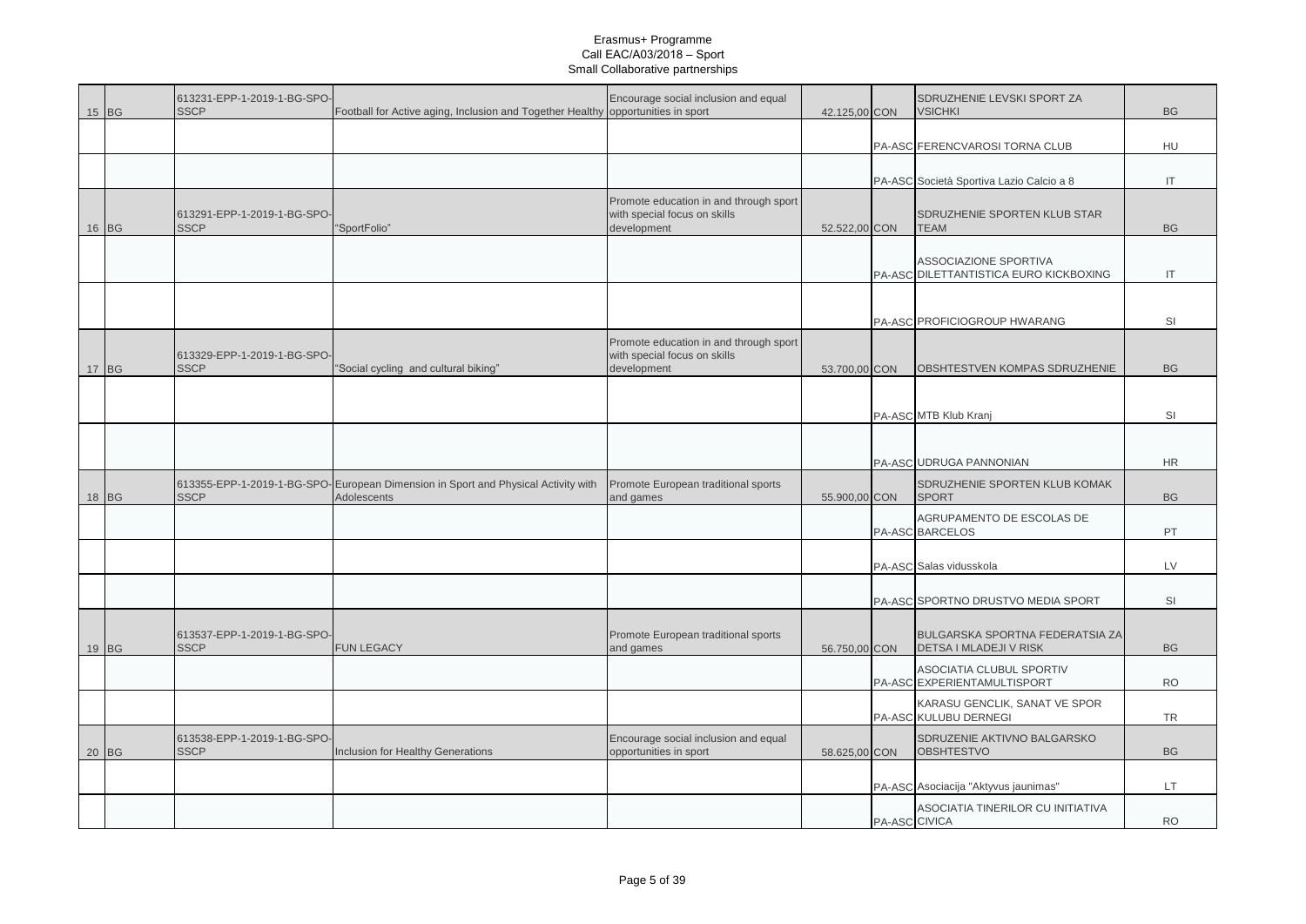| 15 BG | 613231-EPP-1-2019-1-BG-SPO-<br><b>SSCP</b> | Football for Active aging, Inclusion and Together Healthy opportunities in sport                         | Encourage social inclusion and equal                                                  | 42.125,00 CON |               | SDRUZHENIE LEVSKI SPORT ZA<br><b>VSICHKI</b>                            | <b>BG</b>              |
|-------|--------------------------------------------|----------------------------------------------------------------------------------------------------------|---------------------------------------------------------------------------------------|---------------|---------------|-------------------------------------------------------------------------|------------------------|
|       |                                            |                                                                                                          |                                                                                       |               |               | PA-ASC FERENCVAROSI TORNA CLUB                                          | HU                     |
|       |                                            |                                                                                                          |                                                                                       |               |               | PA-ASC Società Sportiva Lazio Calcio a 8                                | IT                     |
| 16 BG | 613291-EPP-1-2019-1-BG-SPO-<br><b>SSCP</b> | "SportFolio"                                                                                             | Promote education in and through sport<br>with special focus on skills<br>development | 52.522,00 CON |               | SDRUZHENIE SPORTEN KLUB STAR<br><b>TEAM</b>                             | <b>BG</b>              |
|       |                                            |                                                                                                          |                                                                                       |               |               | <b>ASSOCIAZIONE SPORTIVA</b><br>PA-ASC DILETTANTISTICA EURO KICKBOXING  | $\mathsf{I}\mathsf{T}$ |
|       |                                            |                                                                                                          |                                                                                       |               |               | PA-ASC PROFICIOGROUP HWARANG                                            | SI                     |
| 17 BG | 613329-EPP-1-2019-1-BG-SPO-<br><b>SSCP</b> | "Social cycling and cultural biking"                                                                     | Promote education in and through sport<br>with special focus on skills<br>development | 53.700,00 CON |               | OBSHTESTVEN KOMPAS SDRUZHENIE                                           | <b>BG</b>              |
|       |                                            |                                                                                                          |                                                                                       |               |               | PA-ASC MTB Klub Kranj                                                   | SI                     |
|       |                                            |                                                                                                          |                                                                                       |               |               | PA-ASC UDRUGA PANNONIAN                                                 | <b>HR</b>              |
| 18 BG | <b>SSCP</b>                                | 613355-EPP-1-2019-1-BG-SPO- European Dimension in Sport and Physical Activity with<br><b>Adolescents</b> | Promote European traditional sports<br>and games                                      | 55.900,00 CON |               | SDRUZHENIE SPORTEN KLUB KOMAK<br><b>SPORT</b>                           | <b>BG</b>              |
|       |                                            |                                                                                                          |                                                                                       |               |               | AGRUPAMENTO DE ESCOLAS DE<br>PA-ASC BARCELOS                            | PT                     |
|       |                                            |                                                                                                          |                                                                                       |               |               | PA-ASC Salas vidusskola                                                 | LV                     |
|       |                                            |                                                                                                          |                                                                                       |               |               | PA-ASC SPORTNO DRUSTVO MEDIA SPORT                                      | SI                     |
| 19 BG | 613537-EPP-1-2019-1-BG-SPO-<br><b>SSCP</b> | <b>FUN LEGACY</b>                                                                                        | Promote European traditional sports<br>and games                                      | 56.750,00 CON |               | <b>BULGARSKA SPORTNA FEDERATSIA ZA</b><br><b>DETSA I MLADEJI V RISK</b> | <b>BG</b>              |
|       |                                            |                                                                                                          |                                                                                       |               |               | ASOCIATIA CLUBUL SPORTIV<br>PA-ASC EXPERIENTAMULTISPORT                 | <b>RO</b>              |
|       |                                            |                                                                                                          |                                                                                       |               |               | KARASU GENCLIK, SANAT VE SPOR<br>PA-ASC KULUBU DERNEGI                  | TR                     |
| 20 BG | 613538-EPP-1-2019-1-BG-SPO-<br><b>SSCP</b> | <b>Inclusion for Healthy Generations</b>                                                                 | Encourage social inclusion and equal<br>opportunities in sport                        | 58.625,00 CON |               | SDRUZENIE AKTIVNO BALGARSKO<br><b>OBSHTESTVO</b>                        | <b>BG</b>              |
|       |                                            |                                                                                                          |                                                                                       |               |               | PA-ASC Asociacija "Aktyvus jaunimas"                                    | LT.                    |
|       |                                            |                                                                                                          |                                                                                       |               | PA-ASC CIVICA | ASOCIATIA TINERILOR CU INITIATIVA                                       | <b>RO</b>              |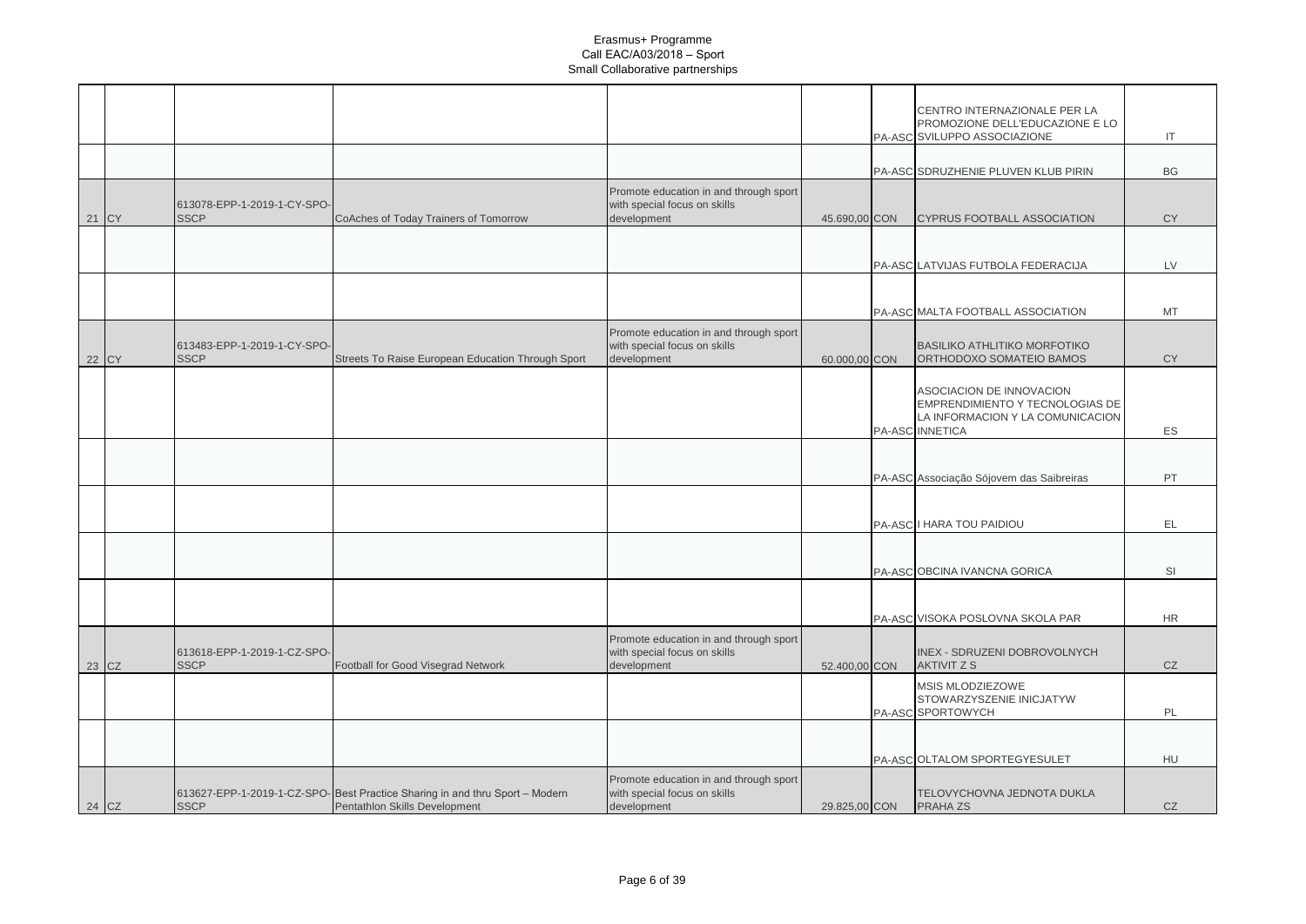|       |                                            |                                                                                                              |                                                                                       |               | CENTRO INTERNAZIONALE PER LA<br>PROMOZIONE DELL'EDUCAZIONE E LO<br>PA-ASC SVILUPPO ASSOCIAZIONE                    | IT        |
|-------|--------------------------------------------|--------------------------------------------------------------------------------------------------------------|---------------------------------------------------------------------------------------|---------------|--------------------------------------------------------------------------------------------------------------------|-----------|
|       |                                            |                                                                                                              |                                                                                       |               | PA-ASC SDRUZHENIE PLUVEN KLUB PIRIN                                                                                | BG        |
| 21 CY | 613078-EPP-1-2019-1-CY-SPO-<br><b>SSCP</b> | CoAches of Today Trainers of Tomorrow                                                                        | Promote education in and through sport<br>with special focus on skills<br>development | 45.690,00 CON | <b>CYPRUS FOOTBALL ASSOCIATION</b>                                                                                 | <b>CY</b> |
|       |                                            |                                                                                                              |                                                                                       |               | PA-ASC LATVIJAS FUTBOLA FEDERACIJA                                                                                 | LV        |
|       |                                            |                                                                                                              |                                                                                       |               | PA-ASC MALTA FOOTBALL ASSOCIATION                                                                                  | <b>MT</b> |
| 22 CY | 613483-EPP-1-2019-1-CY-SPO-<br><b>SSCP</b> | Streets To Raise European Education Through Sport                                                            | Promote education in and through sport<br>with special focus on skills<br>development | 60.000,00 CON | <b>BASILIKO ATHLITIKO MORFOTIKO</b><br>ORTHODOXO SOMATEIO BAMOS                                                    | <b>CY</b> |
|       |                                            |                                                                                                              |                                                                                       |               | ASOCIACION DE INNOVACION<br>EMPRENDIMIENTO Y TECNOLOGIAS DE<br>LA INFORMACION Y LA COMUNICACION<br>PA-ASC INNETICA | ES        |
|       |                                            |                                                                                                              |                                                                                       |               | PA-ASC Associação Sójovem das Saibreiras                                                                           | PT        |
|       |                                            |                                                                                                              |                                                                                       |               | PA-ASC I HARA TOU PAIDIOU                                                                                          | EL        |
|       |                                            |                                                                                                              |                                                                                       |               | PA-ASC OBCINA IVANCNA GORICA                                                                                       | SI        |
|       |                                            |                                                                                                              |                                                                                       |               | PA-ASC VISOKA POSLOVNA SKOLA PAR                                                                                   | <b>HR</b> |
| 23 CZ | 613618-EPP-1-2019-1-CZ-SPO-<br><b>SSCP</b> | Football for Good Visegrad Network                                                                           | Promote education in and through sport<br>with special focus on skills<br>development | 52.400,00 CON | <b>INEX - SDRUZENI DOBROVOLNYCH</b><br>AKTIVIT Z S                                                                 | CZ        |
|       |                                            |                                                                                                              |                                                                                       |               | MSIS MLODZIEZOWE<br>STOWARZYSZENIE INICJATYW<br>PA-ASC SPORTOWYCH                                                  | PL        |
|       |                                            |                                                                                                              |                                                                                       |               | PA-ASC OLTALOM SPORTEGYESULET                                                                                      | HU        |
| 24 CZ | <b>SSCP</b>                                | 613627-EPP-1-2019-1-CZ-SPO-Best Practice Sharing in and thru Sport - Modern<br>Pentathlon Skills Development | Promote education in and through sport<br>with special focus on skills<br>development | 29.825,00 CON | TELOVYCHOVNA JEDNOTA DUKLA<br><b>PRAHAZS</b>                                                                       | CZ        |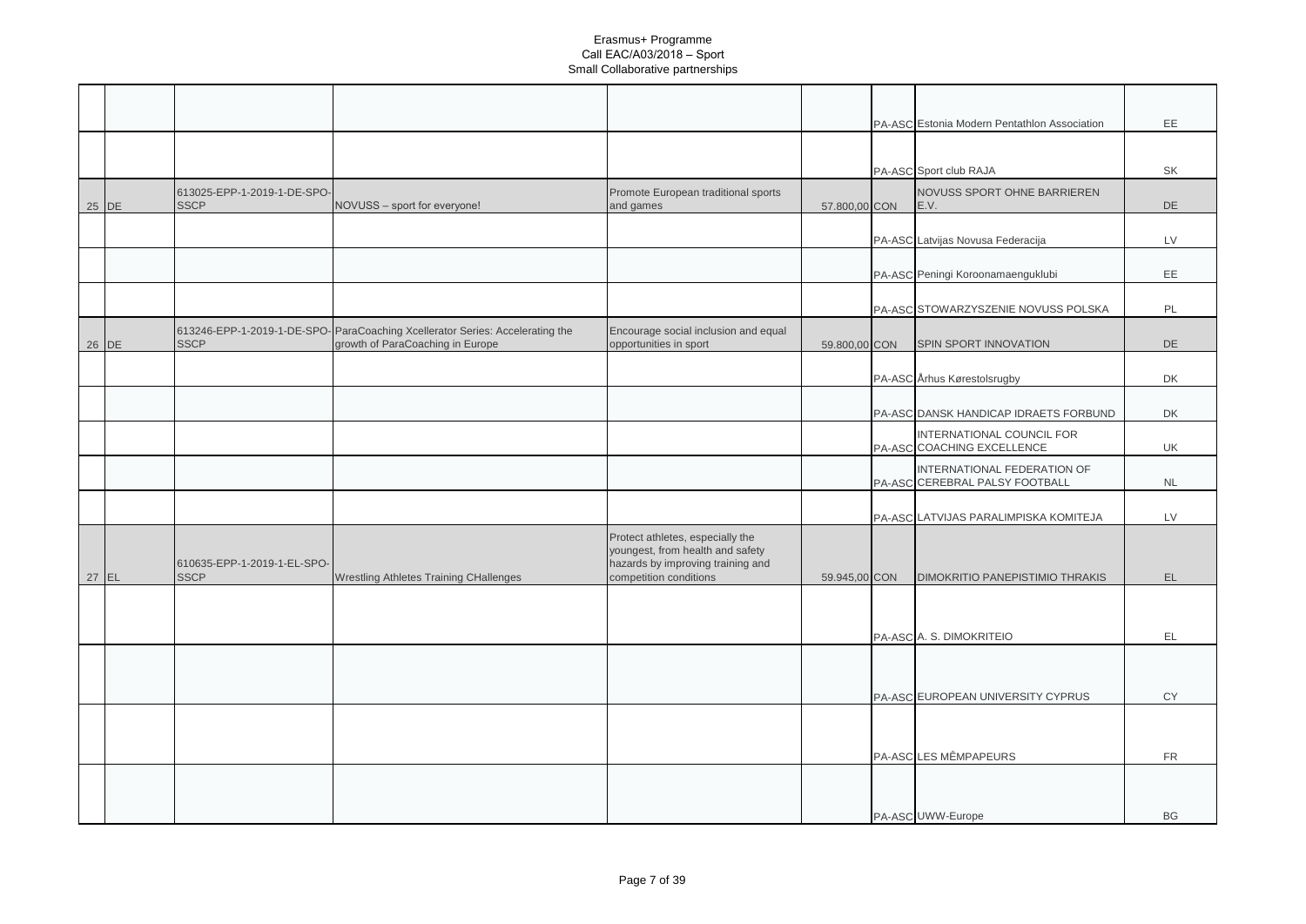|       |                                            |                                                                                                                  |                                                                                                                                     |               | PA-ASC Estonia Modern Pentathlon Association                  | EE        |
|-------|--------------------------------------------|------------------------------------------------------------------------------------------------------------------|-------------------------------------------------------------------------------------------------------------------------------------|---------------|---------------------------------------------------------------|-----------|
|       |                                            |                                                                                                                  |                                                                                                                                     |               |                                                               |           |
|       |                                            |                                                                                                                  |                                                                                                                                     |               | PA-ASC Sport club RAJA                                        | SK        |
|       | 613025-EPP-1-2019-1-DE-SPO-                |                                                                                                                  | Promote European traditional sports                                                                                                 |               | NOVUSS SPORT OHNE BARRIEREN                                   |           |
| 25 DE | <b>SSCP</b>                                | NOVUSS - sport for everyone!                                                                                     | and games                                                                                                                           | 57.800,00 CON | E.V.                                                          | DE        |
|       |                                            |                                                                                                                  |                                                                                                                                     |               | PA-ASC Latvijas Novusa Federacija                             | <b>LV</b> |
|       |                                            |                                                                                                                  |                                                                                                                                     |               | PA-ASC Peningi Koroonamaenguklubi                             | EE        |
|       |                                            |                                                                                                                  |                                                                                                                                     |               |                                                               |           |
|       |                                            |                                                                                                                  |                                                                                                                                     |               | PA-ASC STOWARZYSZENIE NOVUSS POLSKA                           | PL        |
| 26 DE | <b>SSCP</b>                                | 613246-EPP-1-2019-1-DE-SPO-ParaCoaching Xcellerator Series: Accelerating the<br>growth of ParaCoaching in Europe | Encourage social inclusion and equal<br>opportunities in sport                                                                      | 59.800,00 CON | SPIN SPORT INNOVATION                                         | <b>DE</b> |
|       |                                            |                                                                                                                  |                                                                                                                                     |               |                                                               |           |
|       |                                            |                                                                                                                  |                                                                                                                                     |               | PA-ASC Århus Kørestolsrugby                                   | DK        |
|       |                                            |                                                                                                                  |                                                                                                                                     |               | PA-ASC DANSK HANDICAP IDRAETS FORBUND                         | DK        |
|       |                                            |                                                                                                                  |                                                                                                                                     |               | INTERNATIONAL COUNCIL FOR<br>PA-ASC COACHING EXCELLENCE       | UK        |
|       |                                            |                                                                                                                  |                                                                                                                                     |               | INTERNATIONAL FEDERATION OF<br>PA-ASC CEREBRAL PALSY FOOTBALL | NL        |
|       |                                            |                                                                                                                  |                                                                                                                                     |               | PA-ASC LATVIJAS PARALIMPISKA KOMITEJA                         | LV        |
| 27 EL | 610635-EPP-1-2019-1-EL-SPO-<br><b>SSCP</b> | <b>Wrestling Athletes Training CHallenges</b>                                                                    | Protect athletes, especially the<br>youngest, from health and safety<br>hazards by improving training and<br>competition conditions | 59.945,00 CON | DIMOKRITIO PANEPISTIMIO THRAKIS                               | EL.       |
|       |                                            |                                                                                                                  |                                                                                                                                     |               | PA-ASC A. S. DIMOKRITEIO                                      | EL        |
|       |                                            |                                                                                                                  |                                                                                                                                     |               |                                                               |           |
|       |                                            |                                                                                                                  |                                                                                                                                     |               | PA-ASC EUROPEAN UNIVERSITY CYPRUS                             | <b>CY</b> |
|       |                                            |                                                                                                                  |                                                                                                                                     |               |                                                               |           |
|       |                                            |                                                                                                                  |                                                                                                                                     |               | PA-ASC LES MÊMPAPEURS                                         | <b>FR</b> |
|       |                                            |                                                                                                                  |                                                                                                                                     |               |                                                               |           |
|       |                                            |                                                                                                                  |                                                                                                                                     |               | PA-ASC UWW-Europe                                             | <b>BG</b> |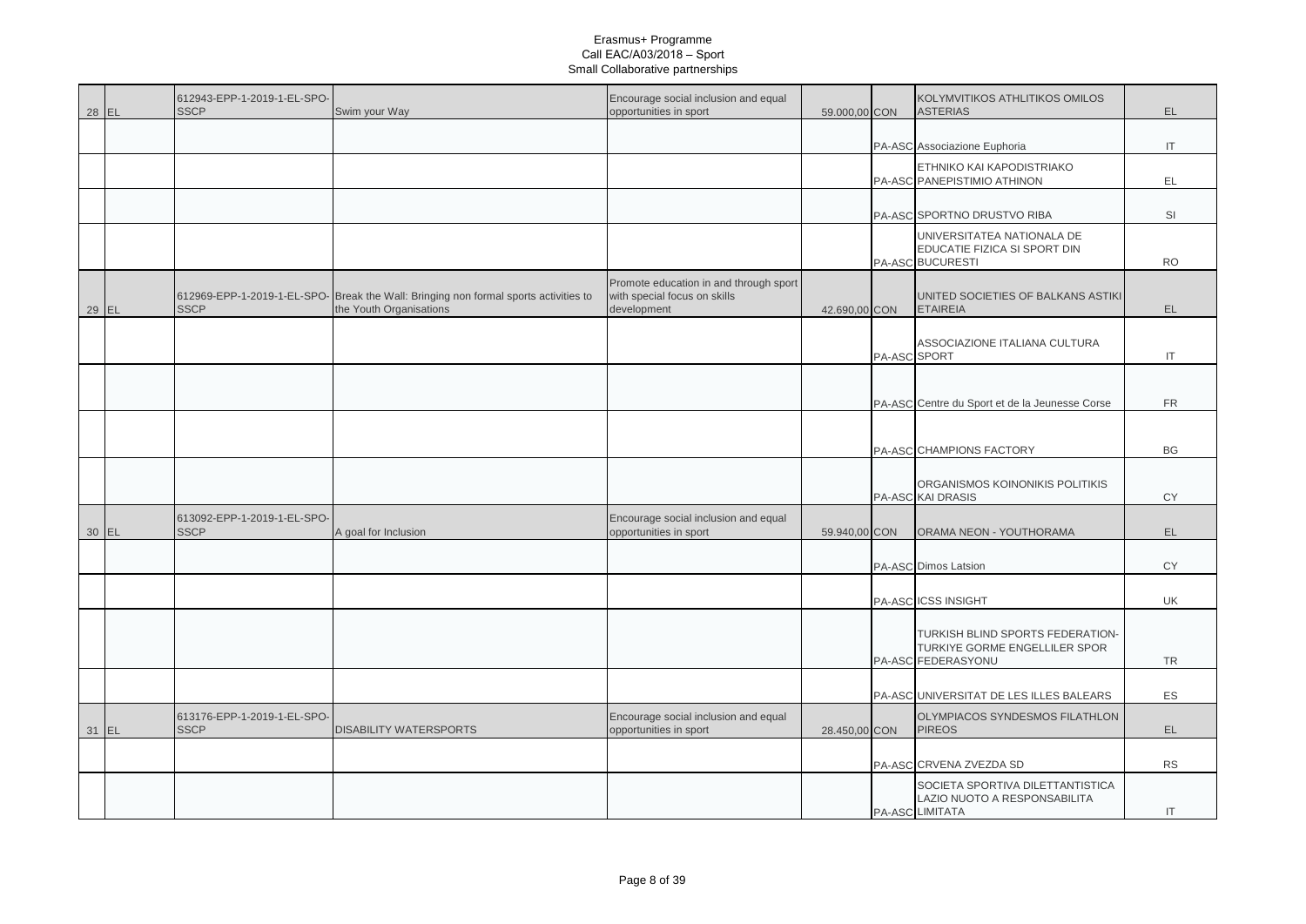| 28 EL | 612943-EPP-1-2019-1-EL-SPO-<br><b>SSCP</b> | Swim your Way                                                                                                   | Encourage social inclusion and equal<br>opportunities in sport                        | 59.000,00 CON |              | KOLYMVITIKOS ATHLITIKOS OMILOS<br><b>ASTERIAS</b>                                       | EL.       |
|-------|--------------------------------------------|-----------------------------------------------------------------------------------------------------------------|---------------------------------------------------------------------------------------|---------------|--------------|-----------------------------------------------------------------------------------------|-----------|
|       |                                            |                                                                                                                 |                                                                                       |               |              | PA-ASC Associazione Euphoria                                                            | IT        |
|       |                                            |                                                                                                                 |                                                                                       |               |              | ETHNIKO KAI KAPODISTRIAKO<br>PA-ASC PANEPISTIMIO ATHINON                                | EL        |
|       |                                            |                                                                                                                 |                                                                                       |               |              | PA-ASC SPORTNO DRUSTVO RIBA                                                             | SI        |
|       |                                            |                                                                                                                 |                                                                                       |               |              | UNIVERSITATEA NATIONALA DE<br>EDUCATIE FIZICA SI SPORT DIN<br>PA-ASC BUCURESTI          | <b>RO</b> |
| 29 EL | <b>SSCP</b>                                | 612969-EPP-1-2019-1-EL-SPO- Break the Wall: Bringing non formal sports activities to<br>the Youth Organisations | Promote education in and through sport<br>with special focus on skills<br>development | 42.690,00 CON |              | UNITED SOCIETIES OF BALKANS ASTIKI<br><b>ETAIREIA</b>                                   | EL.       |
|       |                                            |                                                                                                                 |                                                                                       |               | PA-ASC SPORT | ASSOCIAZIONE ITALIANA CULTURA                                                           | IT        |
|       |                                            |                                                                                                                 |                                                                                       |               |              | PA-ASC Centre du Sport et de la Jeunesse Corse                                          | <b>FR</b> |
|       |                                            |                                                                                                                 |                                                                                       |               |              | PA-ASC CHAMPIONS FACTORY                                                                | BG        |
|       |                                            |                                                                                                                 |                                                                                       |               |              | ORGANISMOS KOINONIKIS POLITIKIS<br>PA-ASC KAI DRASIS                                    | <b>CY</b> |
| 30 EL | 613092-EPP-1-2019-1-EL-SPO-<br><b>SSCP</b> | A goal for Inclusion                                                                                            | Encourage social inclusion and equal<br>opportunities in sport                        | 59.940,00 CON |              | ORAMA NEON - YOUTHORAMA                                                                 | EL.       |
|       |                                            |                                                                                                                 |                                                                                       |               |              | PA-ASC Dimos Latsion                                                                    | <b>CY</b> |
|       |                                            |                                                                                                                 |                                                                                       |               |              | PA-ASC ICSS INSIGHT                                                                     | UK        |
|       |                                            |                                                                                                                 |                                                                                       |               |              | TURKISH BLIND SPORTS FEDERATION-<br>TURKIYE GORME ENGELLILER SPOR<br>PA-ASC FEDERASYONU | <b>TR</b> |
|       |                                            |                                                                                                                 |                                                                                       |               |              | PA-ASC UNIVERSITAT DE LES ILLES BALEARS                                                 | ES        |
| 31 EL | 613176-EPP-1-2019-1-EL-SPO-<br><b>SSCP</b> | <b>DISABILITY WATERSPORTS</b>                                                                                   | Encourage social inclusion and equal<br>opportunities in sport                        | 28.450,00 CON |              | OLYMPIACOS SYNDESMOS FILATHLON<br><b>PIREOS</b>                                         | EL.       |
|       |                                            |                                                                                                                 |                                                                                       |               |              | PA-ASC CRVENA ZVEZDA SD                                                                 | <b>RS</b> |
|       |                                            |                                                                                                                 |                                                                                       |               |              | SOCIETA SPORTIVA DILETTANTISTICA<br>LAZIO NUOTO A RESPONSABILITA<br>PA-ASC LIMITATA     | IT        |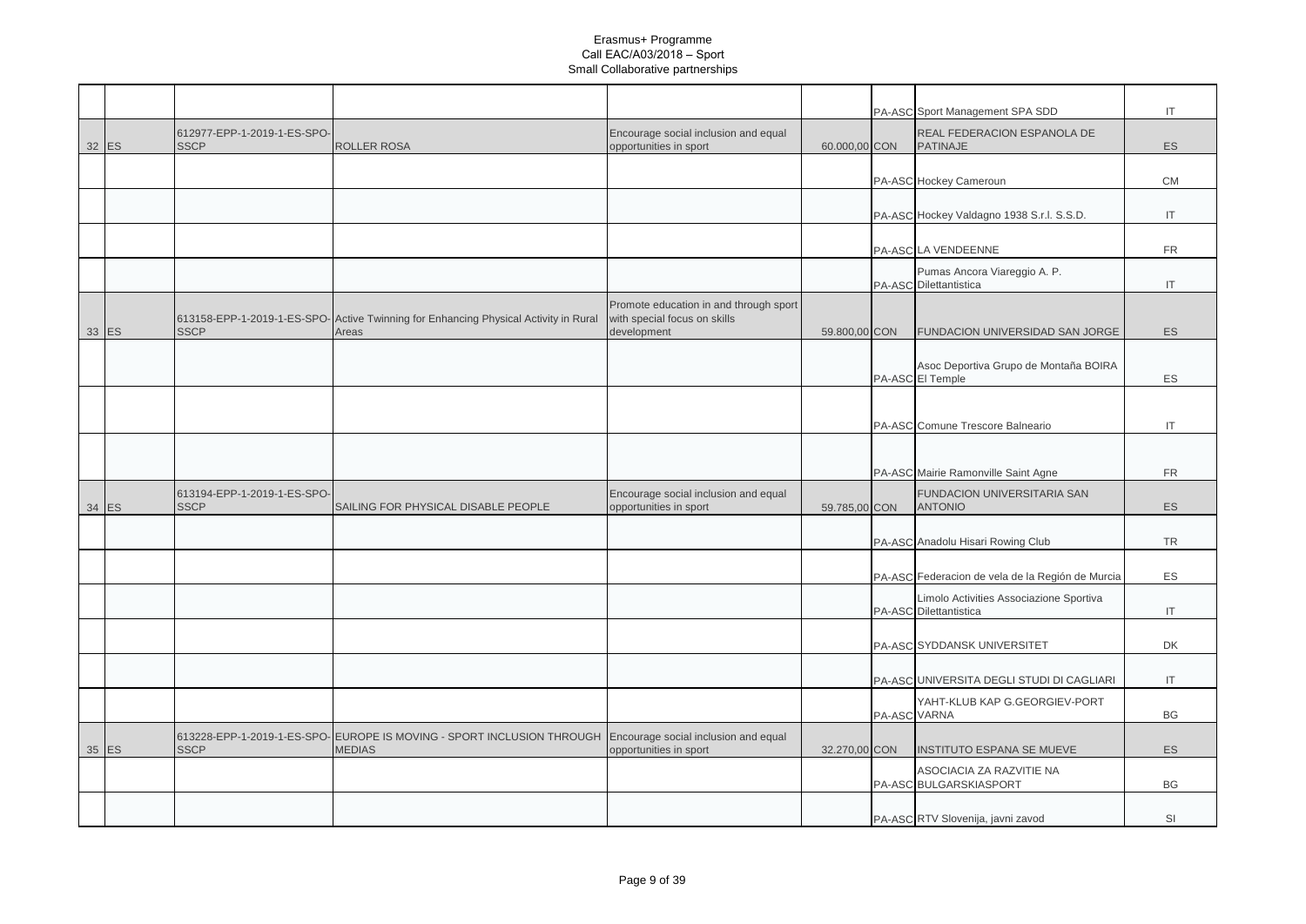|       |                                            |                                                                                               |                                                                                       |               |              | PA-ASC Sport Management SPA SDD                                   | IT                     |
|-------|--------------------------------------------|-----------------------------------------------------------------------------------------------|---------------------------------------------------------------------------------------|---------------|--------------|-------------------------------------------------------------------|------------------------|
| 32 ES | 612977-EPP-1-2019-1-ES-SPO-<br><b>SSCP</b> | ROLLER ROSA                                                                                   | Encourage social inclusion and equal<br>opportunities in sport                        | 60.000,00 CON |              | REAL FEDERACION ESPANOLA DE<br><b>PATINAJE</b>                    | ES                     |
|       |                                            |                                                                                               |                                                                                       |               |              |                                                                   |                        |
|       |                                            |                                                                                               |                                                                                       |               |              | PA-ASC Hockey Cameroun                                            | <b>CM</b>              |
|       |                                            |                                                                                               |                                                                                       |               |              | PA-ASC Hockey Valdagno 1938 S.r.l. S.S.D.                         | IT                     |
|       |                                            |                                                                                               |                                                                                       |               |              | PA-ASC LA VENDEENNE                                               | <b>FR</b>              |
|       |                                            |                                                                                               |                                                                                       |               |              | Pumas Ancora Viareggio A. P.<br>PA-ASC Dilettantistica            | $\mathsf{I}\mathsf{T}$ |
| 33 ES | <b>SSCP</b>                                | 613158-EPP-1-2019-1-ES-SPO- Active Twinning for Enhancing Physical Activity in Rural<br>Areas | Promote education in and through sport<br>with special focus on skills<br>development | 59.800,00 CON |              | FUNDACION UNIVERSIDAD SAN JORGE                                   | <b>ES</b>              |
|       |                                            |                                                                                               |                                                                                       |               |              | Asoc Deportiva Grupo de Montaña BOIRA<br>PA-ASC El Temple         | ES                     |
|       |                                            |                                                                                               |                                                                                       |               |              | PA-ASC Comune Trescore Balneario                                  | IT                     |
|       |                                            |                                                                                               |                                                                                       |               |              | PA-ASC Mairie Ramonville Saint Agne                               | <b>FR</b>              |
| 34 ES | 613194-EPP-1-2019-1-ES-SPO-<br><b>SSCP</b> | SAILING FOR PHYSICAL DISABLE PEOPLE                                                           | Encourage social inclusion and equal<br>opportunities in sport                        | 59.785,00 CON |              | FUNDACION UNIVERSITARIA SAN<br><b>ANTONIO</b>                     | <b>ES</b>              |
|       |                                            |                                                                                               |                                                                                       |               |              | PA-ASC Anadolu Hisari Rowing Club                                 | <b>TR</b>              |
|       |                                            |                                                                                               |                                                                                       |               |              | PA-ASC Federacion de vela de la Región de Murcia                  | ES                     |
|       |                                            |                                                                                               |                                                                                       |               |              | Limolo Activities Associazione Sportiva<br>PA-ASC Dilettantistica | IT                     |
|       |                                            |                                                                                               |                                                                                       |               |              | PA-ASC SYDDANSK UNIVERSITET                                       | DK                     |
|       |                                            |                                                                                               |                                                                                       |               |              |                                                                   |                        |
|       |                                            |                                                                                               |                                                                                       |               |              | PA-ASC UNIVERSITA DEGLI STUDI DI CAGLIARI                         | $\mathsf{I}$           |
|       |                                            |                                                                                               |                                                                                       |               | PA-ASC VARNA | YAHT-KLUB KAP G.GEORGIEV-PORT                                     | BG                     |
| 35 ES | <b>SSCP</b>                                | 613228-EPP-1-2019-1-ES-SPO- EUROPE IS MOVING - SPORT INCLUSION THROUGH<br><b>MEDIAS</b>       | Encourage social inclusion and equal<br>opportunities in sport                        | 32.270,00 CON |              | INSTITUTO ESPANA SE MUEVE                                         | <b>ES</b>              |
|       |                                            |                                                                                               |                                                                                       |               |              | ASOCIACIA ZA RAZVITIE NA<br>PA-ASC BULGARSKIASPORT                | <b>BG</b>              |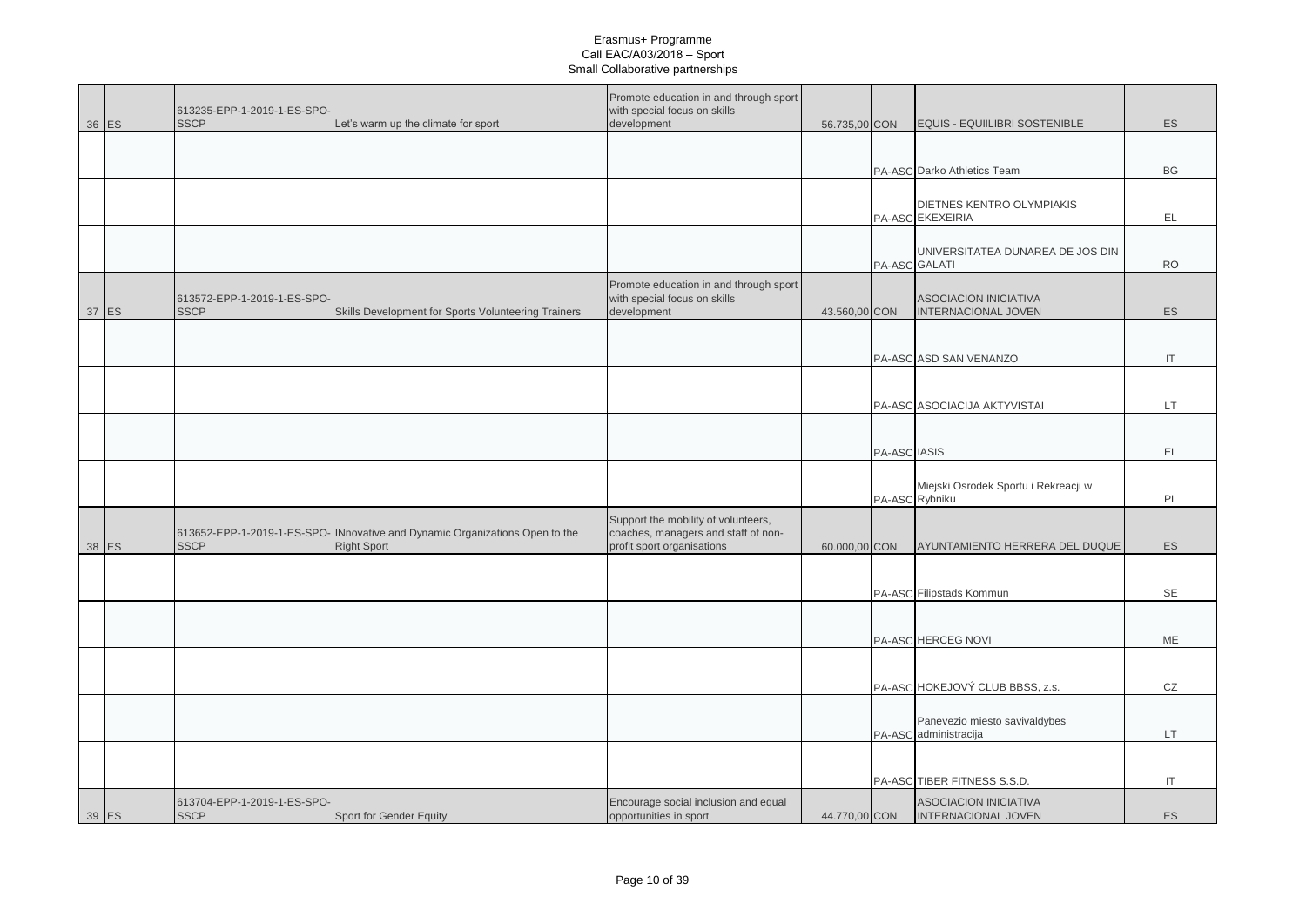| 36 ES | 613235-EPP-1-2019-1-ES-SPO-<br><b>SSCP</b> | Let's warm up the climate for sport                                                                | Promote education in and through sport<br>with special focus on skills<br>development                    | 56.735,00 CON |              | EQUIS - EQUIILIBRI SOSTENIBLE                          | ES                     |
|-------|--------------------------------------------|----------------------------------------------------------------------------------------------------|----------------------------------------------------------------------------------------------------------|---------------|--------------|--------------------------------------------------------|------------------------|
|       |                                            |                                                                                                    |                                                                                                          |               |              | PA-ASC Darko Athletics Team                            | <b>BG</b>              |
|       |                                            |                                                                                                    |                                                                                                          |               |              | DIETNES KENTRO OLYMPIAKIS<br>PA-ASC EKEXEIRIA          | EL                     |
|       |                                            |                                                                                                    |                                                                                                          |               |              | UNIVERSITATEA DUNAREA DE JOS DIN<br>PA-ASC GALATI      | <b>RO</b>              |
| 37 ES | 613572-EPP-1-2019-1-ES-SPO-<br><b>SSCP</b> | Skills Development for Sports Volunteering Trainers                                                | Promote education in and through sport<br>with special focus on skills<br>development                    | 43.560,00 CON |              | ASOCIACION INICIATIVA<br><b>INTERNACIONAL JOVEN</b>    | <b>ES</b>              |
|       |                                            |                                                                                                    |                                                                                                          |               |              | PA-ASC ASD SAN VENANZO                                 | $\mathsf{I}\mathsf{T}$ |
|       |                                            |                                                                                                    |                                                                                                          |               |              | PA-ASC ASOCIACIJA AKTYVISTAI                           | LT                     |
|       |                                            |                                                                                                    |                                                                                                          |               | PA-ASC IASIS |                                                        | EL.                    |
|       |                                            |                                                                                                    |                                                                                                          |               |              | Miejski Osrodek Sportu i Rekreacji w<br>PA-ASC Rybniku | PL                     |
| 38 ES | <b>SSCP</b>                                | 613652-EPP-1-2019-1-ES-SPO- INnovative and Dynamic Organizations Open to the<br><b>Right Sport</b> | Support the mobility of volunteers,<br>coaches, managers and staff of non-<br>profit sport organisations | 60.000,00 CON |              | AYUNTAMIENTO HERRERA DEL DUQUE                         | ES                     |
|       |                                            |                                                                                                    |                                                                                                          |               |              | PA-ASC Filipstads Kommun                               | <b>SE</b>              |
|       |                                            |                                                                                                    |                                                                                                          |               |              | PA-ASC HERCEG NOVI                                     | ME                     |
|       |                                            |                                                                                                    |                                                                                                          |               |              | PA-ASC HOKEJOVÝ CLUB BBSS, z.s.                        | CZ                     |
|       |                                            |                                                                                                    |                                                                                                          |               |              | Panevezio miesto savivaldybes<br>PA-ASC administracija | LT                     |
|       |                                            |                                                                                                    |                                                                                                          |               |              | PA-ASC TIBER FITNESS S.S.D.                            | $\mathsf{I}\mathsf{T}$ |
| 39 ES | 613704-EPP-1-2019-1-ES-SPO-<br><b>SSCP</b> | Sport for Gender Equity                                                                            | Encourage social inclusion and equal<br>opportunities in sport                                           | 44.770,00 CON |              | ASOCIACION INICIATIVA<br>INTERNACIONAL JOVEN           | ES                     |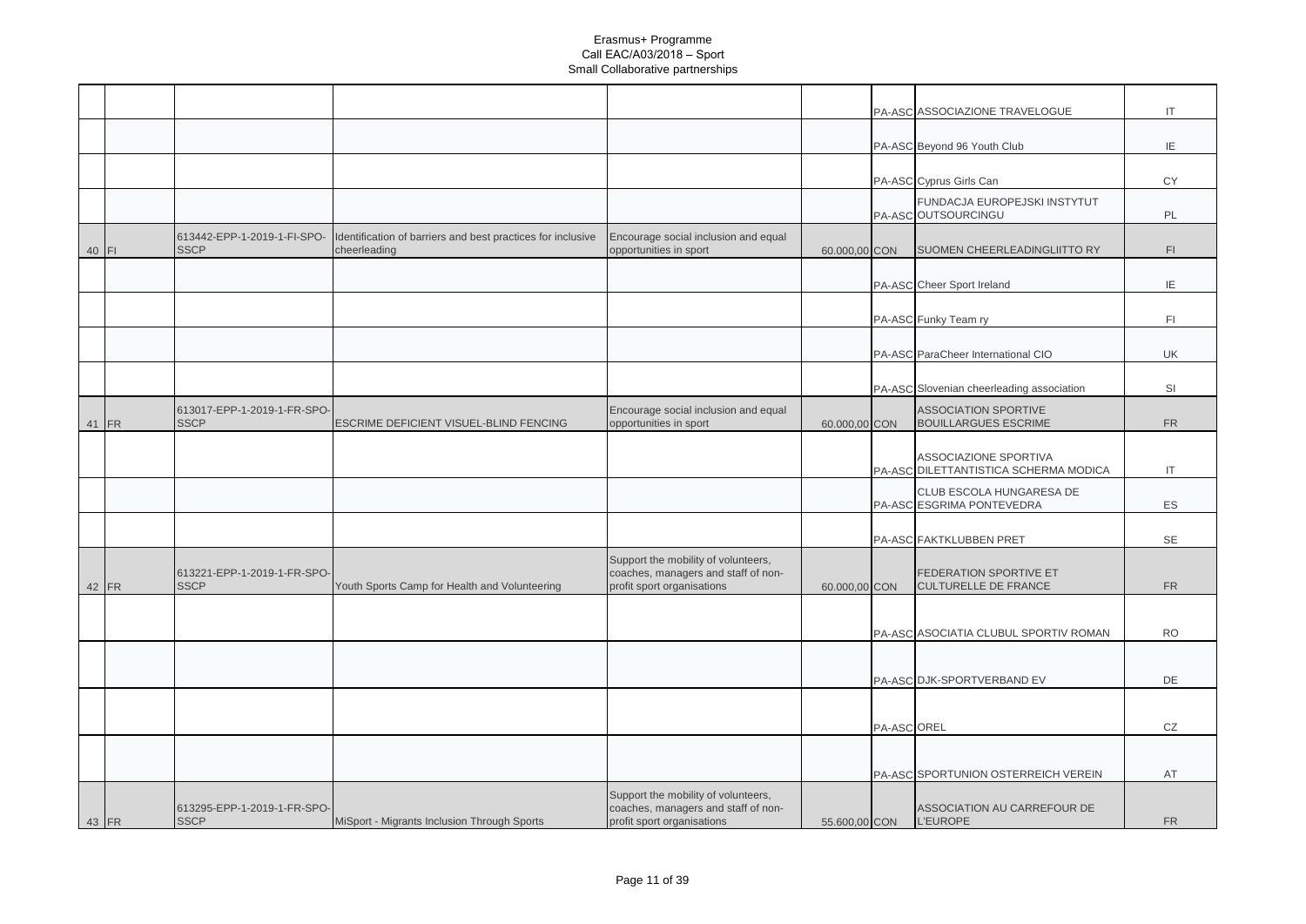|       |       |                                            |                                                                             |                                                                                                          |               |             | PA-ASC ASSOCIAZIONE TRAVELOGUE                                 | IT         |
|-------|-------|--------------------------------------------|-----------------------------------------------------------------------------|----------------------------------------------------------------------------------------------------------|---------------|-------------|----------------------------------------------------------------|------------|
|       |       |                                            |                                                                             |                                                                                                          |               |             |                                                                |            |
|       |       |                                            |                                                                             |                                                                                                          |               |             | PA-ASC Beyond 96 Youth Club                                    | IE         |
|       |       |                                            |                                                                             |                                                                                                          |               |             | PA-ASC Cyprus Girls Can                                        | CY         |
|       |       |                                            |                                                                             |                                                                                                          |               |             | FUNDACJA EUROPEJSKI INSTYTUT<br>PA-ASC OUTSOURCINGU            | PL         |
| 40 FI |       | 613442-EPP-1-2019-1-FI-SPO-<br><b>SSCP</b> | Identification of barriers and best practices for inclusive<br>cheerleading | Encourage social inclusion and equal<br>opportunities in sport                                           | 60.000,00 CON |             | SUOMEN CHEERLEADINGLIITTO RY                                   | F1         |
|       |       |                                            |                                                                             |                                                                                                          |               |             | PA-ASC Cheer Sport Ireland                                     | IE         |
|       |       |                                            |                                                                             |                                                                                                          |               |             | PA-ASC Funky Team ry                                           | FI         |
|       |       |                                            |                                                                             |                                                                                                          |               |             | PA-ASC ParaCheer International CIO                             | UK         |
|       |       |                                            |                                                                             |                                                                                                          |               |             | PA-ASC Slovenian cheerleading association                      | SI         |
|       | 41 FR | 613017-EPP-1-2019-1-FR-SPO-<br><b>SSCP</b> | ESCRIME DEFICIENT VISUEL-BLIND FENCING                                      | Encourage social inclusion and equal<br>opportunities in sport                                           | 60.000,00 CON |             | <b>ASSOCIATION SPORTIVE</b><br><b>BOUILLARGUES ESCRIME</b>     | ${\sf FR}$ |
|       |       |                                            |                                                                             |                                                                                                          |               |             | ASSOCIAZIONE SPORTIVA<br>PA-ASC DILETTANTISTICA SCHERMA MODICA | IT         |
|       |       |                                            |                                                                             |                                                                                                          |               |             | CLUB ESCOLA HUNGARESA DE<br>PA-ASC ESGRIMA PONTEVEDRA          | ES         |
|       |       |                                            |                                                                             |                                                                                                          |               |             | PA-ASC FAKTKLUBBEN PRET                                        | <b>SE</b>  |
|       | 42 FR | 613221-EPP-1-2019-1-FR-SPO-<br><b>SSCP</b> | Youth Sports Camp for Health and Volunteering                               | Support the mobility of volunteers,<br>coaches, managers and staff of non-<br>profit sport organisations | 60.000,00 CON |             | <b>FEDERATION SPORTIVE ET</b><br><b>CULTURELLE DE FRANCE</b>   | <b>FR</b>  |
|       |       |                                            |                                                                             |                                                                                                          |               |             | PA-ASC ASOCIATIA CLUBUL SPORTIV ROMAN                          | <b>RO</b>  |
|       |       |                                            |                                                                             |                                                                                                          |               |             |                                                                |            |
|       |       |                                            |                                                                             |                                                                                                          |               |             | PA-ASC DJK-SPORTVERBAND EV                                     | <b>DE</b>  |
|       |       |                                            |                                                                             |                                                                                                          |               | PA-ASC OREL |                                                                | CZ         |
|       |       |                                            |                                                                             |                                                                                                          |               |             | PA-ASC SPORTUNION OSTERREICH VEREIN                            | AT         |
|       | 43 FR | 613295-EPP-1-2019-1-FR-SPO-<br><b>SSCP</b> | MiSport - Migrants Inclusion Through Sports                                 | Support the mobility of volunteers,<br>coaches, managers and staff of non-<br>profit sport organisations | 55.600,00 CON |             | ASSOCIATION AU CARREFOUR DE<br>L'EUROPE                        | <b>FR</b>  |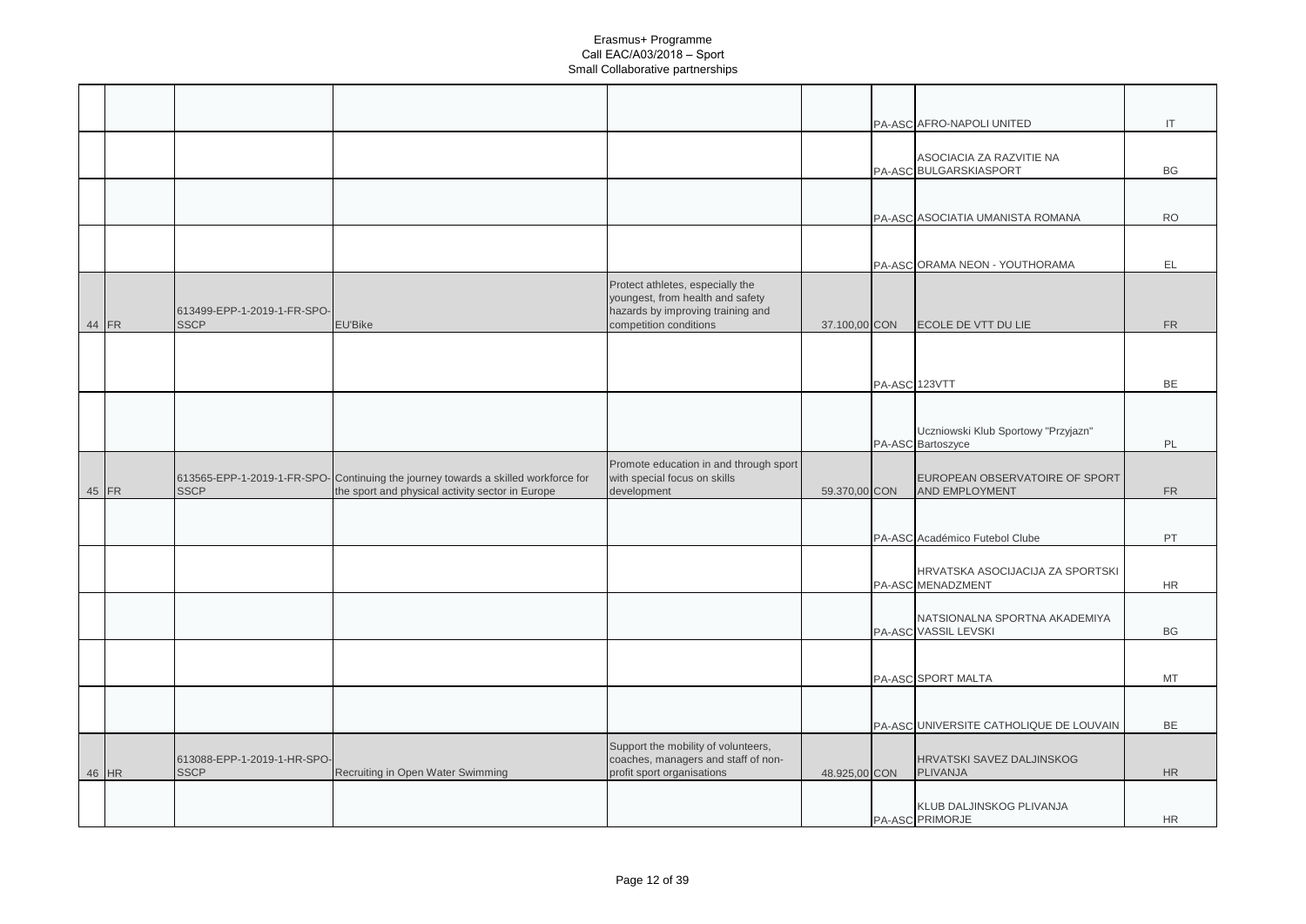|       |                                            |                                                                                    |                                                                                                                                     |               |               | PA-ASC AFRO-NAPOLI UNITED                                | IT        |
|-------|--------------------------------------------|------------------------------------------------------------------------------------|-------------------------------------------------------------------------------------------------------------------------------------|---------------|---------------|----------------------------------------------------------|-----------|
|       |                                            |                                                                                    |                                                                                                                                     |               |               | ASOCIACIA ZA RAZVITIE NA<br>PA-ASC BULGARSKIASPORT       | BG        |
|       |                                            |                                                                                    |                                                                                                                                     |               |               | PA-ASC ASOCIATIA UMANISTA ROMANA                         | <b>RO</b> |
|       |                                            |                                                                                    |                                                                                                                                     |               |               | PA-ASC ORAMA NEON - YOUTHORAMA                           | EL        |
| 44 FR | 613499-EPP-1-2019-1-FR-SPO-<br><b>SSCP</b> | <b>EU'Bike</b>                                                                     | Protect athletes, especially the<br>youngest, from health and safety<br>hazards by improving training and<br>competition conditions | 37.100,00 CON |               | ECOLE DE VTT DU LIE                                      | <b>FR</b> |
|       |                                            |                                                                                    |                                                                                                                                     |               | PA-ASC 123VTT |                                                          | BE        |
|       |                                            |                                                                                    |                                                                                                                                     |               |               | Uczniowski Klub Sportowy "Przyjazn"<br>PA-ASC Bartoszyce | PL        |
| 45 FR |                                            | 613565-EPP-1-2019-1-FR-SPO- Continuing the journey towards a skilled workforce for | Promote education in and through sport<br>with special focus on skills                                                              |               |               | EUROPEAN OBSERVATOIRE OF SPORT<br>AND EMPLOYMENT         |           |
|       | <b>SSCP</b>                                | the sport and physical activity sector in Europe                                   | development                                                                                                                         | 59.370,00 CON |               |                                                          | <b>FR</b> |
|       |                                            |                                                                                    |                                                                                                                                     |               |               | PA-ASC Académico Futebol Clube                           | PT        |
|       |                                            |                                                                                    |                                                                                                                                     |               |               | HRVATSKA ASOCIJACIJA ZA SPORTSKI<br>PA-ASC MENADZMENT    | HR        |
|       |                                            |                                                                                    |                                                                                                                                     |               |               | NATSIONALNA SPORTNA AKADEMIYA<br>PA-ASC VASSIL LEVSKI    | <b>BG</b> |
|       |                                            |                                                                                    |                                                                                                                                     |               |               | PA-ASC SPORT MALTA                                       | MT        |
|       |                                            |                                                                                    |                                                                                                                                     |               |               | PA-ASC UNIVERSITE CATHOLIQUE DE LOUVAIN                  | BE        |
| 46 HR | 613088-EPP-1-2019-1-HR-SPO-<br><b>SSCP</b> | Recruiting in Open Water Swimming                                                  | Support the mobility of volunteers,<br>coaches, managers and staff of non-<br>profit sport organisations                            | 48.925,00 CON |               | HRVATSKI SAVEZ DALJINSKOG<br>PLIVANJA                    | <b>HR</b> |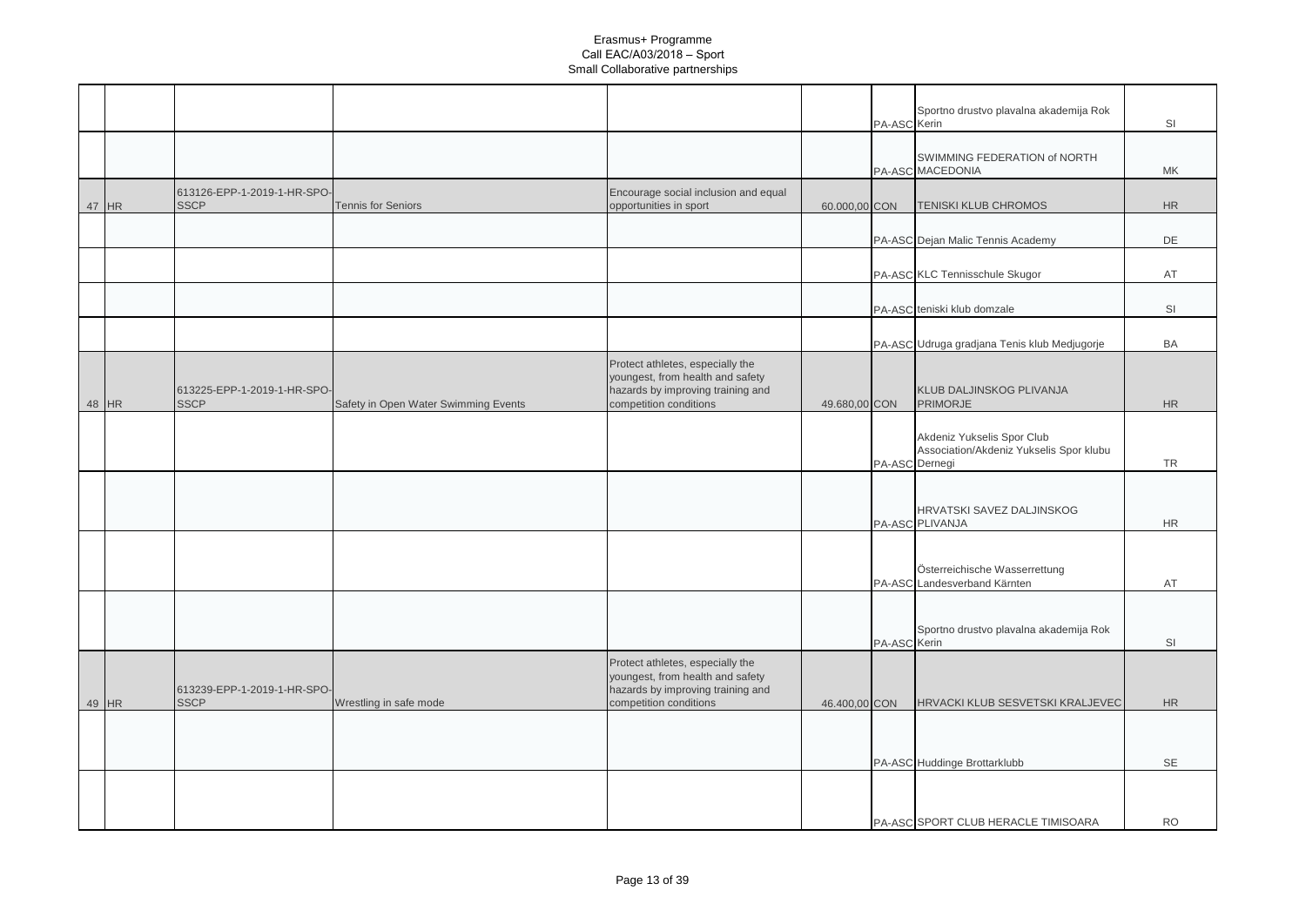|       |                                            |                                      |                                                                                                                                     |               | PA-ASC Kerin | Sportno drustvo plavalna akademija Rok                                                  | SI        |
|-------|--------------------------------------------|--------------------------------------|-------------------------------------------------------------------------------------------------------------------------------------|---------------|--------------|-----------------------------------------------------------------------------------------|-----------|
|       |                                            |                                      |                                                                                                                                     |               |              | SWIMMING FEDERATION of NORTH<br>PA-ASC MACEDONIA                                        | MK        |
| 47 HR | 613126-EPP-1-2019-1-HR-SPO-<br><b>SSCP</b> | <b>Tennis for Seniors</b>            | Encourage social inclusion and equal<br>opportunities in sport                                                                      | 60.000,00 CON |              | TENISKI KLUB CHROMOS                                                                    | <b>HR</b> |
|       |                                            |                                      |                                                                                                                                     |               |              | PA-ASC Dejan Malic Tennis Academy                                                       | DE        |
|       |                                            |                                      |                                                                                                                                     |               |              | PA-ASC KLC Tennisschule Skugor                                                          | AT        |
|       |                                            |                                      |                                                                                                                                     |               |              | PA-ASC teniski klub domzale                                                             | SI        |
|       |                                            |                                      |                                                                                                                                     |               |              | PA-ASC Udruga gradjana Tenis klub Medjugorje                                            | <b>BA</b> |
| 48 HR | 613225-EPP-1-2019-1-HR-SPO-<br><b>SSCP</b> | Safety in Open Water Swimming Events | Protect athletes, especially the<br>youngest, from health and safety<br>hazards by improving training and<br>competition conditions | 49.680,00 CON |              | KLUB DALJINSKOG PLIVANJA<br><b>PRIMORJE</b>                                             | <b>HR</b> |
|       |                                            |                                      |                                                                                                                                     |               |              | Akdeniz Yukselis Spor Club<br>Association/Akdeniz Yukselis Spor klubu<br>PA-ASC Dernegi | <b>TR</b> |
|       |                                            |                                      |                                                                                                                                     |               |              | HRVATSKI SAVEZ DALJINSKOG<br>PA-ASC PLIVANJA                                            | HR        |
|       |                                            |                                      |                                                                                                                                     |               |              | Österreichische Wasserrettung<br>PA-ASC Landesverband Kärnten                           | AT        |
|       |                                            |                                      |                                                                                                                                     |               | PA-ASC Kerin | Sportno drustvo plavalna akademija Rok                                                  | SI        |
| 49 HR | 613239-EPP-1-2019-1-HR-SPO-<br><b>SSCP</b> | Wrestling in safe mode               | Protect athletes, especially the<br>youngest, from health and safety<br>hazards by improving training and<br>competition conditions | 46.400,00 CON |              | HRVACKI KLUB SESVETSKI KRALJEVEC                                                        | <b>HR</b> |
|       |                                            |                                      |                                                                                                                                     |               |              |                                                                                         |           |
|       |                                            |                                      |                                                                                                                                     |               |              | PA-ASC Huddinge Brottarklubb                                                            | <b>SE</b> |
|       |                                            |                                      |                                                                                                                                     |               |              | PA-ASC SPORT CLUB HERACLE TIMISOARA                                                     | <b>RO</b> |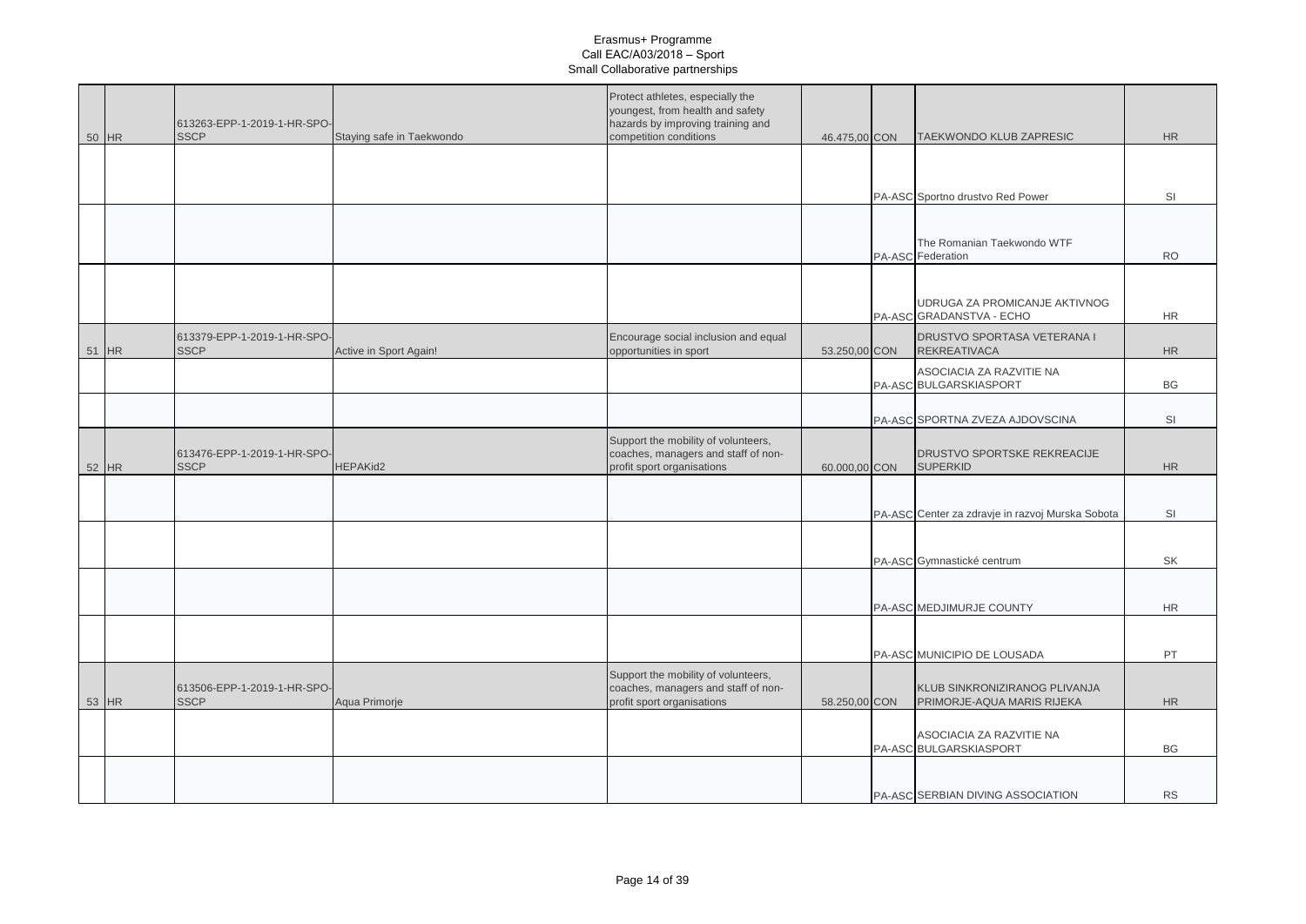| 50 HR | 613263-EPP-1-2019-1-HR-SPO-<br><b>SSCP</b> | Staying safe in Taekwondo | Protect athletes, especially the<br>youngest, from health and safety<br>hazards by improving training and<br>competition conditions | 46.475,00 CON | <b>TAEKWONDO KLUB ZAPRESIC</b>                              | HR        |
|-------|--------------------------------------------|---------------------------|-------------------------------------------------------------------------------------------------------------------------------------|---------------|-------------------------------------------------------------|-----------|
|       |                                            |                           |                                                                                                                                     |               |                                                             |           |
|       |                                            |                           |                                                                                                                                     |               |                                                             |           |
|       |                                            |                           |                                                                                                                                     |               | PA-ASC Sportno drustvo Red Power                            | SI        |
|       |                                            |                           |                                                                                                                                     |               |                                                             |           |
|       |                                            |                           |                                                                                                                                     |               | The Romanian Taekwondo WTF<br>PA-ASC Federation             | <b>RO</b> |
|       |                                            |                           |                                                                                                                                     |               |                                                             |           |
|       |                                            |                           |                                                                                                                                     |               | UDRUGA ZA PROMICANJE AKTIVNOG<br>PA-ASC GRADANSTVA - ECHO   | <b>HR</b> |
| 51 HR | 613379-EPP-1-2019-1-HR-SPO-<br><b>SSCP</b> | Active in Sport Again!    | Encourage social inclusion and equal<br>opportunities in sport                                                                      | 53.250,00 CON | <b>DRUSTVO SPORTASA VETERANA I</b><br><b>REKREATIVACA</b>   | HR        |
|       |                                            |                           |                                                                                                                                     |               | ASOCIACIA ZA RAZVITIE NA<br>PA-ASC BULGARSKIASPORT          | BG        |
|       |                                            |                           |                                                                                                                                     |               |                                                             |           |
|       |                                            |                           |                                                                                                                                     |               | PA-ASC SPORTNA ZVEZA AJDOVSCINA                             | SI        |
| 52 HR | 613476-EPP-1-2019-1-HR-SPO-<br><b>SSCP</b> | HEPAKid2                  | Support the mobility of volunteers,<br>coaches, managers and staff of non-<br>profit sport organisations                            | 60.000,00 CON | <b>DRUSTVO SPORTSKE REKREACIJE</b><br><b>SUPERKID</b>       | HR        |
|       |                                            |                           |                                                                                                                                     |               |                                                             |           |
|       |                                            |                           |                                                                                                                                     |               | PA-ASC Center za zdravje in razvoj Murska Sobota            | SI        |
|       |                                            |                           |                                                                                                                                     |               |                                                             |           |
|       |                                            |                           |                                                                                                                                     |               | PA-ASC Gymnastické centrum                                  | <b>SK</b> |
|       |                                            |                           |                                                                                                                                     |               |                                                             |           |
|       |                                            |                           |                                                                                                                                     |               | PA-ASC MEDJIMURJE COUNTY                                    | <b>HR</b> |
|       |                                            |                           |                                                                                                                                     |               |                                                             |           |
|       |                                            |                           |                                                                                                                                     |               |                                                             | PT        |
|       |                                            |                           |                                                                                                                                     |               | PA-ASC MUNICIPIO DE LOUSADA                                 |           |
| 53 HR | 613506-EPP-1-2019-1-HR-SPO-<br><b>SSCP</b> | Aqua Primorje             | Support the mobility of volunteers,<br>coaches, managers and staff of non-<br>profit sport organisations                            | 58.250,00 CON | KLUB SINKRONIZIRANOG PLIVANJA<br>PRIMORJE-AQUA MARIS RIJEKA | HR        |
|       |                                            |                           |                                                                                                                                     |               |                                                             |           |
|       |                                            |                           |                                                                                                                                     |               | ASOCIACIA ZA RAZVITIE NA<br>PA-ASC BULGARSKIASPORT          | BG        |
|       |                                            |                           |                                                                                                                                     |               |                                                             |           |
|       |                                            |                           |                                                                                                                                     |               | PA-ASC SERBIAN DIVING ASSOCIATION                           | <b>RS</b> |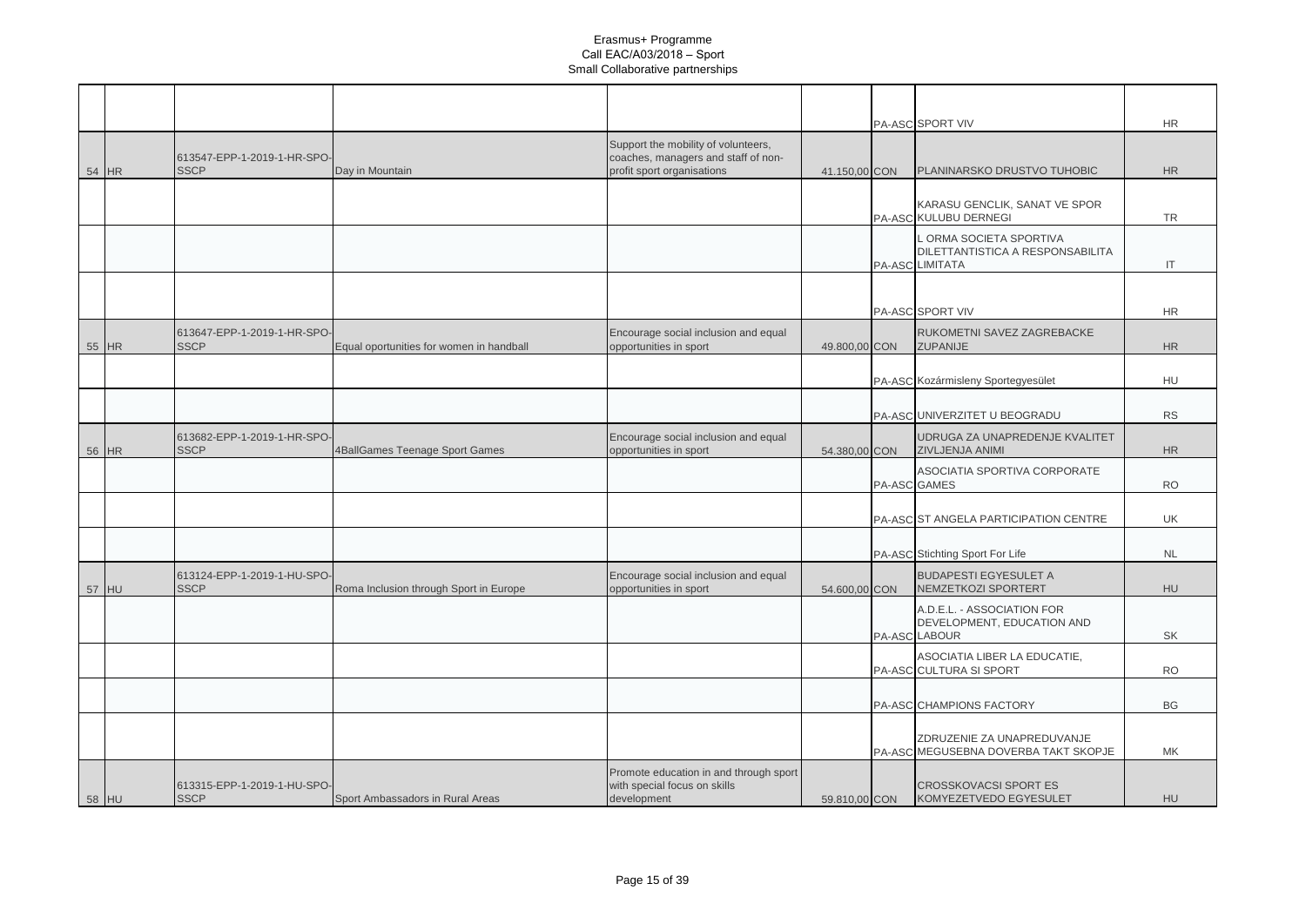|       |                                            |                                          |                                                                                                          |               | PA-ASC SPORT VIV                                                                      | <b>HR</b> |
|-------|--------------------------------------------|------------------------------------------|----------------------------------------------------------------------------------------------------------|---------------|---------------------------------------------------------------------------------------|-----------|
| 54 HR | 613547-EPP-1-2019-1-HR-SPO-<br><b>SSCP</b> | Day in Mountain                          | Support the mobility of volunteers,<br>coaches, managers and staff of non-<br>profit sport organisations | 41.150,00 CON | PLANINARSKO DRUSTVO TUHOBIC                                                           | <b>HR</b> |
|       |                                            |                                          |                                                                                                          |               | KARASU GENCLIK, SANAT VE SPOR<br>PA-ASC KULUBU DERNEGI                                | TR        |
|       |                                            |                                          |                                                                                                          |               | L ORMA SOCIETA SPORTIVA<br><b>DILETTANTISTICA A RESPONSABILITA</b><br>PA-ASC LIMITATA | IT        |
|       |                                            |                                          |                                                                                                          |               | PA-ASC SPORT VIV                                                                      | <b>HR</b> |
| 55 HR | 613647-EPP-1-2019-1-HR-SPO-<br><b>SSCP</b> | Equal oportunities for women in handball | Encourage social inclusion and equal<br>opportunities in sport                                           | 49.800,00 CON | RUKOMETNI SAVEZ ZAGREBACKE<br>ZUPANIJE                                                | <b>HR</b> |
|       |                                            |                                          |                                                                                                          |               | PA-ASC Kozármisleny Sportegyesület                                                    | HU        |
|       |                                            |                                          |                                                                                                          |               | PA-ASC UNIVERZITET U BEOGRADU                                                         | <b>RS</b> |
| 56 HR | 613682-EPP-1-2019-1-HR-SPO-<br><b>SSCP</b> | 4BallGames Teenage Sport Games           | Encourage social inclusion and equal<br>opportunities in sport                                           | 54.380,00 CON | UDRUGA ZA UNAPREDENJE KVALITET<br>ZIVLJENJA ANIMI                                     | <b>HR</b> |
|       |                                            |                                          |                                                                                                          |               | ASOCIATIA SPORTIVA CORPORATE<br><b>PA-ASC GAMES</b>                                   | <b>RO</b> |
|       |                                            |                                          |                                                                                                          |               | PA-ASC ST ANGELA PARTICIPATION CENTRE                                                 | UK        |
|       |                                            |                                          |                                                                                                          |               | PA-ASC Stichting Sport For Life                                                       | <b>NL</b> |
| 57 HU | 613124-EPP-1-2019-1-HU-SPO-<br><b>SSCP</b> | Roma Inclusion through Sport in Europe   | Encourage social inclusion and equal<br>opportunities in sport                                           | 54.600,00 CON | <b>BUDAPESTI EGYESULET A</b><br>NEMZETKOZI SPORTERT                                   | <b>HU</b> |
|       |                                            |                                          |                                                                                                          |               | A.D.E.L. - ASSOCIATION FOR<br>DEVELOPMENT, EDUCATION AND<br>PA-ASC LABOUR             | <b>SK</b> |
|       |                                            |                                          |                                                                                                          |               | ASOCIATIA LIBER LA EDUCATIE,<br>PA-ASC CULTURA SI SPORT                               | <b>RO</b> |
|       |                                            |                                          |                                                                                                          |               | PA-ASC CHAMPIONS FACTORY                                                              | <b>BG</b> |
|       |                                            |                                          |                                                                                                          |               | ZDRUZENIE ZA UNAPREDUVANJE<br>PA-ASC MEGUSEBNA DOVERBA TAKT SKOPJE                    | МK        |
| 58 HU | 613315-EPP-1-2019-1-HU-SPO-<br><b>SSCP</b> | Sport Ambassadors in Rural Areas         | Promote education in and through sport<br>with special focus on skills<br>development                    | 59.810,00 CON | <b>CROSSKOVACSI SPORT ES</b><br>KOMYEZETVEDO EGYESULET                                | <b>HU</b> |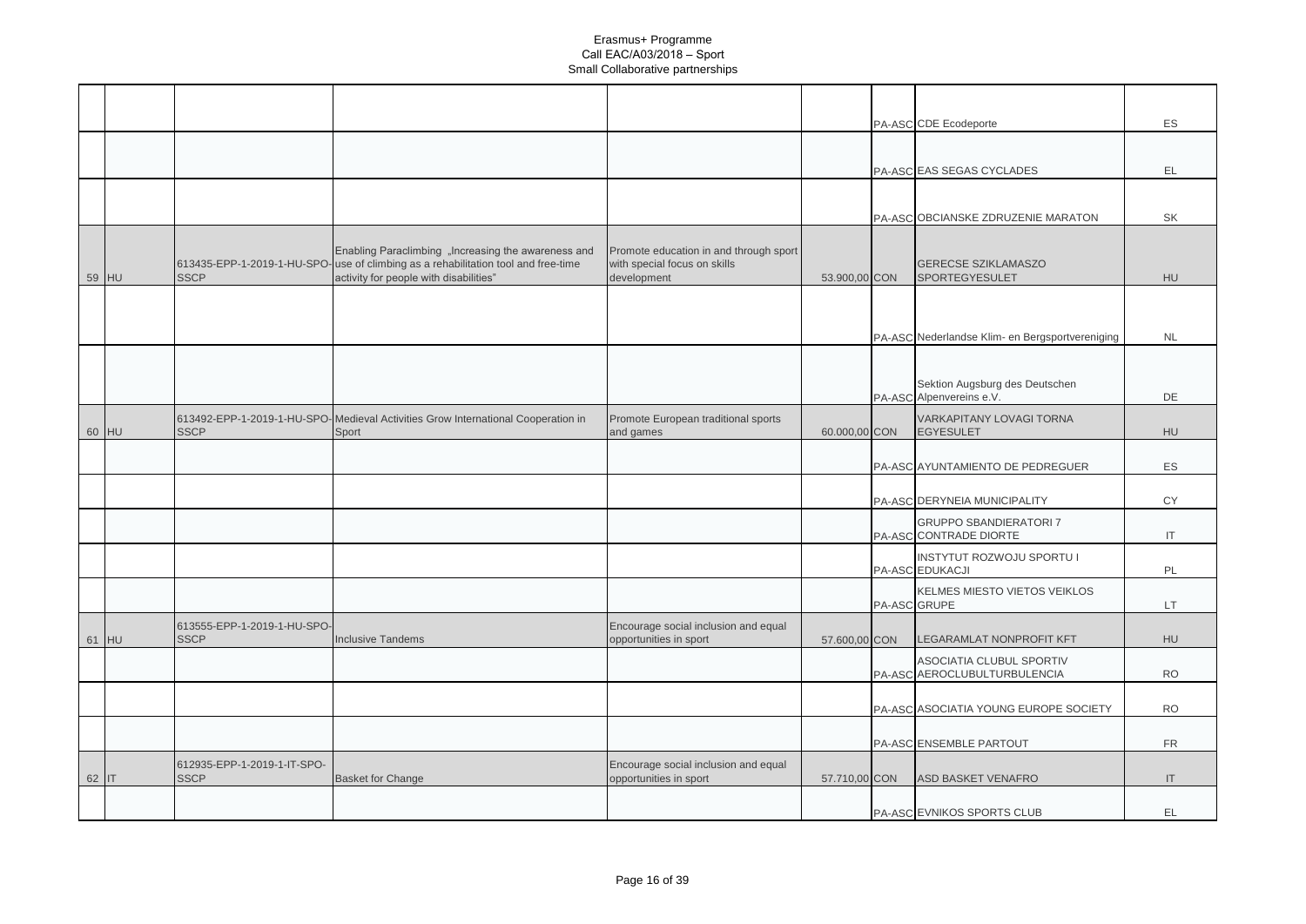|       |       |                                            |                                                                                                                                                                                    |                                                                                       |               | PA-ASC CDE Ecodeporte                                      | ES        |
|-------|-------|--------------------------------------------|------------------------------------------------------------------------------------------------------------------------------------------------------------------------------------|---------------------------------------------------------------------------------------|---------------|------------------------------------------------------------|-----------|
|       |       |                                            |                                                                                                                                                                                    |                                                                                       |               |                                                            |           |
|       |       |                                            |                                                                                                                                                                                    |                                                                                       |               | PA-ASC EAS SEGAS CYCLADES                                  | EL.       |
|       |       |                                            |                                                                                                                                                                                    |                                                                                       |               |                                                            |           |
|       |       |                                            |                                                                                                                                                                                    |                                                                                       |               | PA-ASC OBCIANSKE ZDRUZENIE MARATON                         | SK        |
|       | 59 HU | <b>SSCP</b>                                | Enabling Paraclimbing "Increasing the awareness and<br>613435-EPP-1-2019-1-HU-SPO-use of climbing as a rehabilitation tool and free-time<br>activity for people with disabilities" | Promote education in and through sport<br>with special focus on skills<br>development | 53.900,00 CON | <b>GERECSE SZIKLAMASZO</b><br>SPORTEGYESULET               | HU        |
|       |       |                                            |                                                                                                                                                                                    |                                                                                       |               | PA-ASC Nederlandse Klim- en Bergsportvereniging            | <b>NL</b> |
|       |       |                                            |                                                                                                                                                                                    |                                                                                       |               |                                                            |           |
|       |       |                                            |                                                                                                                                                                                    |                                                                                       |               | Sektion Augsburg des Deutschen<br>PA-ASC Alpenvereins e.V. | <b>DE</b> |
|       | 60 HU | <b>SSCP</b>                                | 613492-EPP-1-2019-1-HU-SPO-Medieval Activities Grow International Cooperation in<br>Sport                                                                                          | Promote European traditional sports<br>and games                                      | 60.000,00 CON | VARKAPITANY LOVAGI TORNA<br><b>EGYESULET</b>               | HU        |
|       |       |                                            |                                                                                                                                                                                    |                                                                                       |               | PA-ASC AYUNTAMIENTO DE PEDREGUER                           | ES        |
|       |       |                                            |                                                                                                                                                                                    |                                                                                       |               | PA-ASC DERYNEIA MUNICIPALITY                               | CY        |
|       |       |                                            |                                                                                                                                                                                    |                                                                                       |               | <b>GRUPPO SBANDIERATORI 7</b><br>PA-ASC CONTRADE DIORTE    | IT.       |
|       |       |                                            |                                                                                                                                                                                    |                                                                                       |               | INSTYTUT ROZWOJU SPORTU I<br>PA-ASC EDUKACJI               | PL        |
|       |       |                                            |                                                                                                                                                                                    |                                                                                       |               | KELMES MIESTO VIETOS VEIKLOS<br>PA-ASC GRUPE               | LT.       |
|       | 61 HU | 613555-EPP-1-2019-1-HU-SPO-<br><b>SSCP</b> | <b>Inclusive Tandems</b>                                                                                                                                                           | Encourage social inclusion and equal<br>opportunities in sport                        | 57.600,00 CON | LEGARAMLAT NONPROFIT KFT                                   | <b>HU</b> |
|       |       |                                            |                                                                                                                                                                                    |                                                                                       |               | ASOCIATIA CLUBUL SPORTIV<br>PA-ASC AEROCLUBULTURBULENCIA   | <b>RO</b> |
|       |       |                                            |                                                                                                                                                                                    |                                                                                       |               | PA-ASC ASOCIATIA YOUNG EUROPE SOCIETY                      | <b>RO</b> |
|       |       |                                            |                                                                                                                                                                                    |                                                                                       |               | PA-ASC ENSEMBLE PARTOUT                                    | <b>FR</b> |
| 62 IT |       | 612935-EPP-1-2019-1-IT-SPO-<br><b>SSCP</b> | <b>Basket for Change</b>                                                                                                                                                           | Encourage social inclusion and equal<br>opportunities in sport                        | 57.710,00 CON | ASD BASKET VENAFRO                                         | IT        |
|       |       |                                            |                                                                                                                                                                                    |                                                                                       |               | PA-ASC EVNIKOS SPORTS CLUB                                 | <b>EL</b> |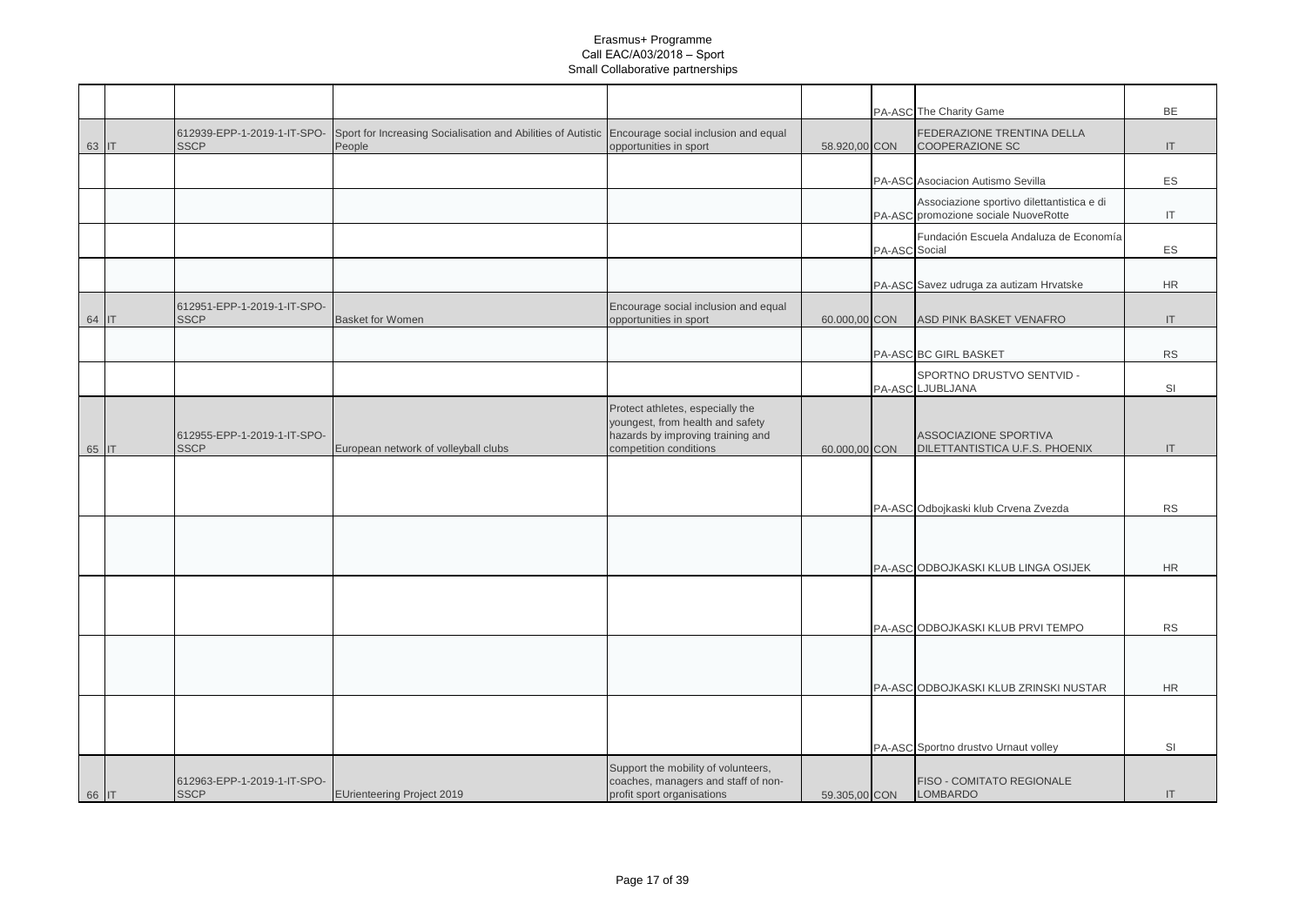|       |                                            |                                                                                                   |                                                                                                           |               |               | PA-ASC The Charity Game                                                            | BE           |
|-------|--------------------------------------------|---------------------------------------------------------------------------------------------------|-----------------------------------------------------------------------------------------------------------|---------------|---------------|------------------------------------------------------------------------------------|--------------|
|       | 612939-EPP-1-2019-1-IT-SPO-                | Sport for Increasing Socialisation and Abilities of Autistic Encourage social inclusion and equal |                                                                                                           |               |               | FEDERAZIONE TRENTINA DELLA<br><b>COOPERAZIONE SC</b>                               |              |
| 63 IT | <b>SSCP</b>                                | People                                                                                            | opportunities in sport                                                                                    | 58.920,00 CON |               |                                                                                    | IT           |
|       |                                            |                                                                                                   |                                                                                                           |               |               | PA-ASC Asociacion Autismo Sevilla                                                  | ES           |
|       |                                            |                                                                                                   |                                                                                                           |               |               | Associazione sportivo dilettantistica e di<br>PA-ASC promozione sociale NuoveRotte | IT           |
|       |                                            |                                                                                                   |                                                                                                           |               | PA-ASC Social | Fundación Escuela Andaluza de Economía                                             | ES           |
|       |                                            |                                                                                                   |                                                                                                           |               |               |                                                                                    |              |
|       |                                            |                                                                                                   |                                                                                                           |               |               | PA-ASC Savez udruga za autizam Hrvatske                                            | <b>HR</b>    |
| 64 IT | 612951-EPP-1-2019-1-IT-SPO-<br><b>SSCP</b> | <b>Basket for Women</b>                                                                           | Encourage social inclusion and equal<br>opportunities in sport                                            | 60.000,00 CON |               | ASD PINK BASKET VENAFRO                                                            | IT           |
|       |                                            |                                                                                                   |                                                                                                           |               |               | PA-ASC BC GIRL BASKET                                                              | <b>RS</b>    |
|       |                                            |                                                                                                   |                                                                                                           |               |               | SPORTNO DRUSTVO SENTVID -<br>PA-ASC LJUBLJANA                                      | SI           |
|       | 612955-EPP-1-2019-1-IT-SPO-                |                                                                                                   | Protect athletes, especially the<br>youngest, from health and safety<br>hazards by improving training and |               |               | <b>ASSOCIAZIONE SPORTIVA</b>                                                       |              |
| 65 IT | <b>SSCP</b>                                | European network of volleyball clubs                                                              | competition conditions                                                                                    | 60.000,00 CON |               | DILETTANTISTICA U.F.S. PHOENIX                                                     | $\mathsf{I}$ |
|       |                                            |                                                                                                   |                                                                                                           |               |               |                                                                                    | <b>RS</b>    |
|       |                                            |                                                                                                   |                                                                                                           |               |               | PA-ASC Odbojkaski klub Crvena Zvezda                                               |              |
|       |                                            |                                                                                                   |                                                                                                           |               |               | PA-ASC ODBOJKASKI KLUB LINGA OSIJEK                                                | <b>HR</b>    |
|       |                                            |                                                                                                   |                                                                                                           |               |               |                                                                                    |              |
|       |                                            |                                                                                                   |                                                                                                           |               |               | PA-ASC ODBOJKASKI KLUB PRVI TEMPO                                                  | <b>RS</b>    |
|       |                                            |                                                                                                   |                                                                                                           |               |               |                                                                                    |              |
|       |                                            |                                                                                                   |                                                                                                           |               |               | PA-ASC ODBOJKASKI KLUB ZRINSKI NUSTAR                                              | <b>HR</b>    |
|       |                                            |                                                                                                   |                                                                                                           |               |               |                                                                                    |              |
|       |                                            |                                                                                                   |                                                                                                           |               |               | PA-ASC Sportno drustvo Urnaut volley                                               | SI           |
| 66 IT | 612963-EPP-1-2019-1-IT-SPO-<br><b>SSCP</b> | <b>EUrienteering Project 2019</b>                                                                 | Support the mobility of volunteers,<br>coaches, managers and staff of non-<br>profit sport organisations  | 59.305,00 CON |               | FISO - COMITATO REGIONALE<br><b>LOMBARDO</b>                                       | IT           |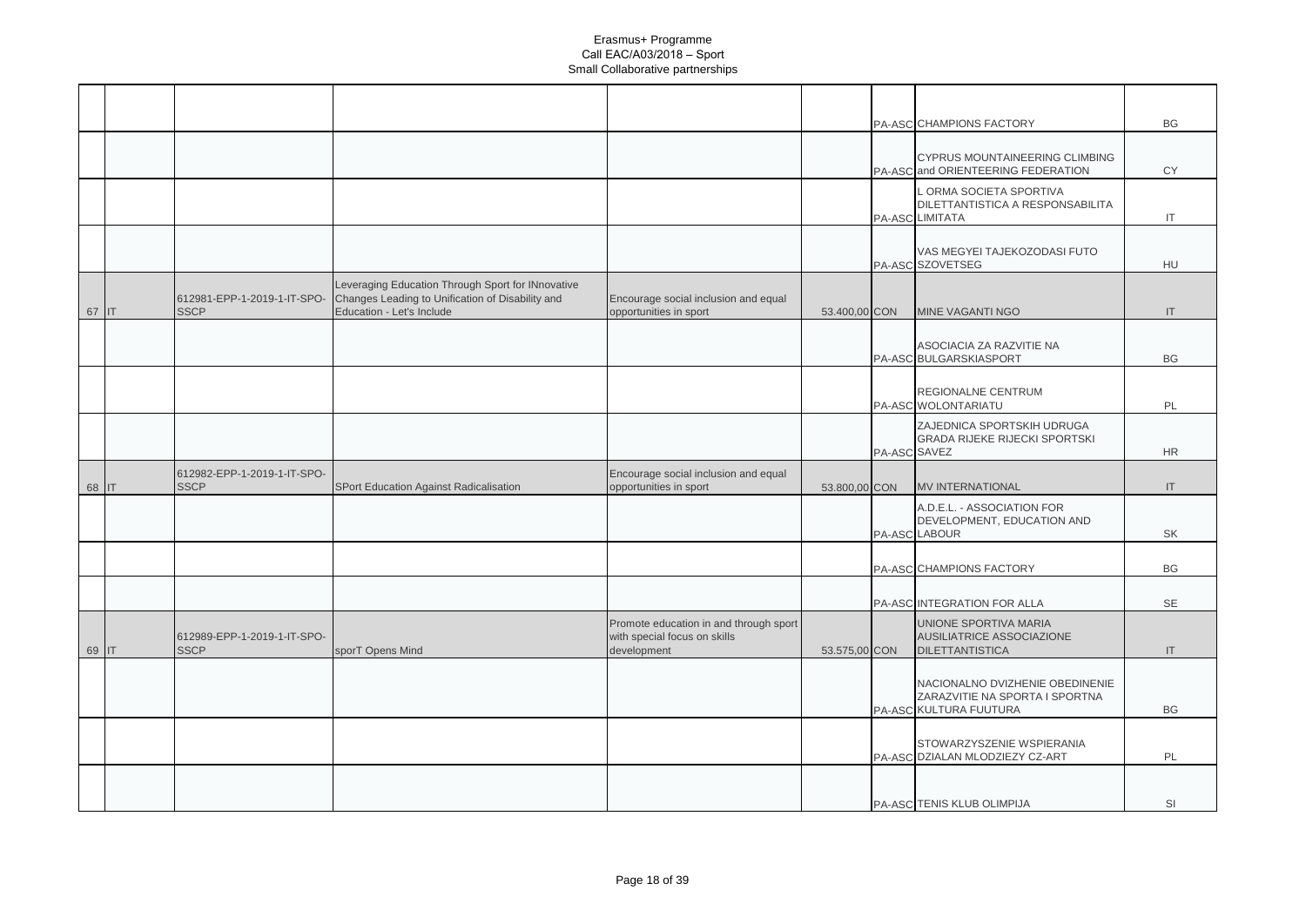|       |                                            |                                                                                                                                    |                                                                                       |               |              | PA-ASC CHAMPIONS FACTORY                                                                    | BG                                |
|-------|--------------------------------------------|------------------------------------------------------------------------------------------------------------------------------------|---------------------------------------------------------------------------------------|---------------|--------------|---------------------------------------------------------------------------------------------|-----------------------------------|
|       |                                            |                                                                                                                                    |                                                                                       |               |              | CYPRUS MOUNTAINEERING CLIMBING<br>PA-ASC and ORIENTEERING FEDERATION                        | CY                                |
|       |                                            |                                                                                                                                    |                                                                                       |               |              | L ORMA SOCIETA SPORTIVA<br>DILETTANTISTICA A RESPONSABILITA<br>PA-ASC LIMITATA              | $\mathsf{I}\mathsf{T}$            |
|       |                                            |                                                                                                                                    |                                                                                       |               |              | VAS MEGYEI TAJEKOZODASI FUTO<br>PA-ASC SZOVETSEG                                            | HU                                |
| 67 IT | 612981-EPP-1-2019-1-IT-SPO-<br><b>SSCP</b> | Leveraging Education Through Sport for INnovative<br>Changes Leading to Unification of Disability and<br>Education - Let's Include | Encourage social inclusion and equal<br>opportunities in sport                        | 53.400,00 CON |              | MINE VAGANTI NGO                                                                            | IT                                |
|       |                                            |                                                                                                                                    |                                                                                       |               |              | ASOCIACIA ZA RAZVITIE NA<br>PA-ASC BULGARSKIASPORT                                          | BG                                |
|       |                                            |                                                                                                                                    |                                                                                       |               |              | REGIONALNE CENTRUM<br>PA-ASC WOLONTARIATU                                                   | PL                                |
|       |                                            |                                                                                                                                    |                                                                                       |               | PA-ASC SAVEZ | ZAJEDNICA SPORTSKIH UDRUGA<br><b>GRADA RIJEKE RIJECKI SPORTSKI</b>                          | <b>HR</b>                         |
| 68 IT | 612982-EPP-1-2019-1-IT-SPO-<br><b>SSCP</b> | SPort Education Against Radicalisation                                                                                             | Encourage social inclusion and equal<br>opportunities in sport                        | 53.800,00 CON |              | <b>MV INTERNATIONAL</b>                                                                     | $\mathsf{I}$                      |
|       |                                            |                                                                                                                                    |                                                                                       |               |              | A.D.E.L. - ASSOCIATION FOR<br>DEVELOPMENT, EDUCATION AND<br>PA-ASC LABOUR                   | SK                                |
|       |                                            |                                                                                                                                    |                                                                                       |               |              | PA-ASC CHAMPIONS FACTORY                                                                    | <b>BG</b>                         |
|       |                                            |                                                                                                                                    |                                                                                       |               |              | PA-ASC INTEGRATION FOR ALLA                                                                 | <b>SE</b>                         |
| 69 IT | 612989-EPP-1-2019-1-IT-SPO-<br><b>SSCP</b> | sporT Opens Mind                                                                                                                   | Promote education in and through sport<br>with special focus on skills<br>development | 53.575,00 CON |              | UNIONE SPORTIVA MARIA<br>AUSILIATRICE ASSOCIAZIONE<br><b>DILETTANTISTICA</b>                | $\ensuremath{\mathsf{IT}}\xspace$ |
|       |                                            |                                                                                                                                    |                                                                                       |               |              | NACIONALNO DVIZHENIE OBEDINENIE<br>ZARAZVITIE NA SPORTA I SPORTNA<br>PA-ASC KULTURA FUUTURA | <b>BG</b>                         |
|       |                                            |                                                                                                                                    |                                                                                       |               |              | STOWARZYSZENIE WSPIERANIA<br>PA-ASC DZIALAN MLODZIEZY CZ-ART                                | PL                                |
|       |                                            |                                                                                                                                    |                                                                                       |               |              | PA-ASC TENIS KLUB OLIMPIJA                                                                  | <b>SI</b>                         |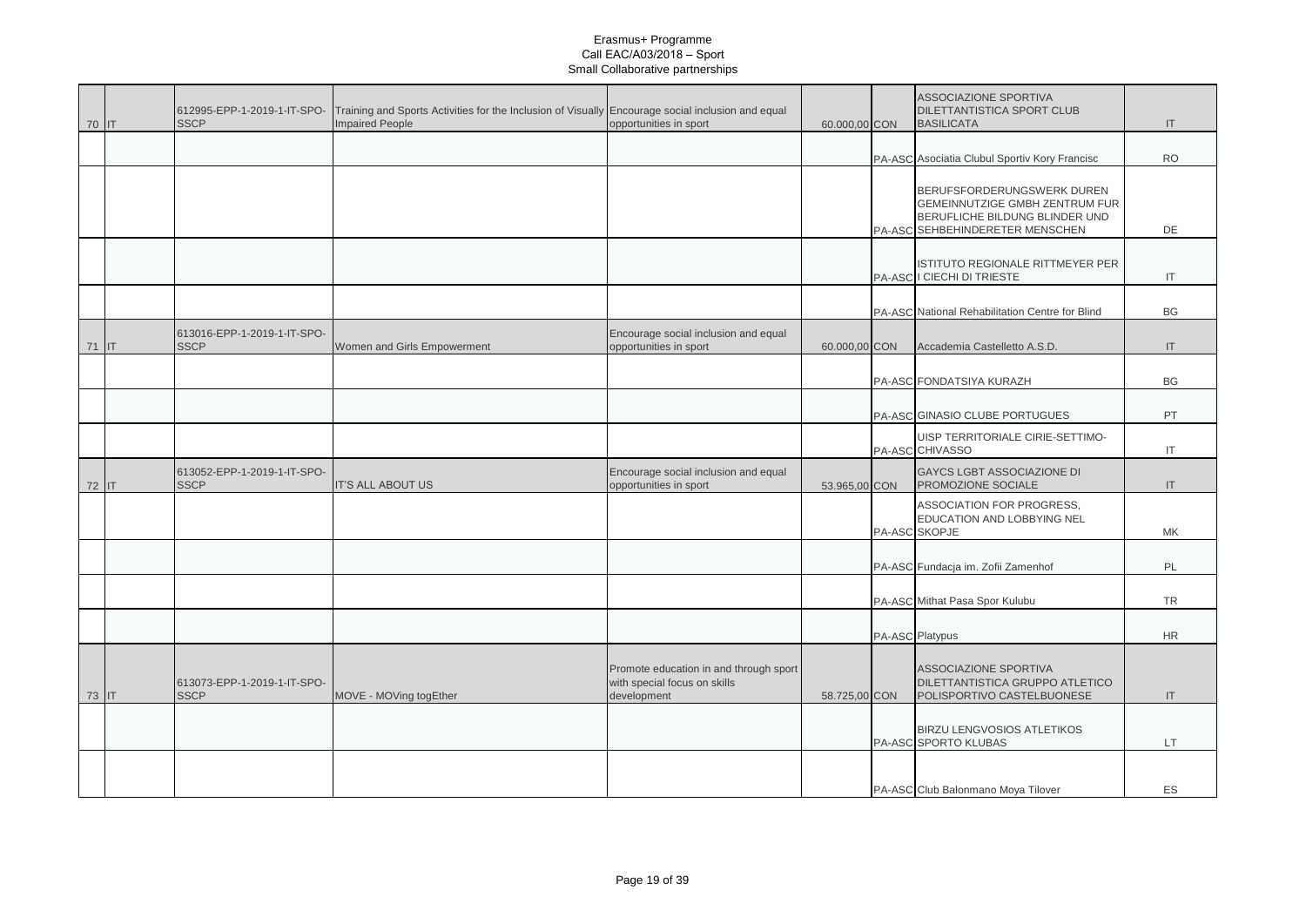| 70 IT |    | 612995-EPP-1-2019-1-IT-SPO-<br><b>SSCP</b> | Training and Sports Activities for the Inclusion of Visually Encourage social inclusion and equal<br><b>Impaired People</b> | opportunities in sport                                                                | 60.000,00 CON | ASSOCIAZIONE SPORTIVA<br>DILETTANTISTICA SPORT CLUB<br><b>BASILICATA</b>                                                          | IT                     |
|-------|----|--------------------------------------------|-----------------------------------------------------------------------------------------------------------------------------|---------------------------------------------------------------------------------------|---------------|-----------------------------------------------------------------------------------------------------------------------------------|------------------------|
|       |    |                                            |                                                                                                                             |                                                                                       |               | PA-ASC Asociatia Clubul Sportiv Kory Francisc                                                                                     | <b>RO</b>              |
|       |    |                                            |                                                                                                                             |                                                                                       |               | BERUFSFORDERUNGSWERK DUREN<br>GEMEINNUTZIGE GMBH ZENTRUM FUR<br>BERUFLICHE BILDUNG BLINDER UND<br>PA-ASC SEHBEHINDERETER MENSCHEN | DE                     |
|       |    |                                            |                                                                                                                             |                                                                                       |               | ISTITUTO REGIONALE RITTMEYER PER<br>PA-ASC I CIECHI DI TRIESTE                                                                    | IT                     |
|       |    |                                            |                                                                                                                             |                                                                                       |               | PA-ASC National Rehabilitation Centre for Blind                                                                                   | <b>BG</b>              |
| 71    | IT | 613016-EPP-1-2019-1-IT-SPO-<br><b>SSCP</b> | Women and Girls Empowerment                                                                                                 | Encourage social inclusion and equal<br>opportunities in sport                        | 60.000,00 CON | Accademia Castelletto A.S.D.                                                                                                      | IT                     |
|       |    |                                            |                                                                                                                             |                                                                                       |               | PA-ASC FONDATSIYA KURAZH                                                                                                          | BG                     |
|       |    |                                            |                                                                                                                             |                                                                                       |               | PA-ASC GINASIO CLUBE PORTUGUES                                                                                                    | PT                     |
|       |    |                                            |                                                                                                                             |                                                                                       |               | UISP TERRITORIALE CIRIE-SETTIMO-<br>PA-ASC CHIVASSO                                                                               | $\mathsf{I}\mathsf{T}$ |
| 72 IT |    | 613052-EPP-1-2019-1-IT-SPO-<br><b>SSCP</b> | IT'S ALL ABOUT US                                                                                                           | Encourage social inclusion and equal<br>opportunities in sport                        | 53.965,00 CON | <b>GAYCS LGBT ASSOCIAZIONE DI</b><br>PROMOZIONE SOCIALE                                                                           | IT                     |
|       |    |                                            |                                                                                                                             |                                                                                       |               | ASSOCIATION FOR PROGRESS.<br>EDUCATION AND LOBBYING NEL<br>PA-ASC SKOPJE                                                          | MK                     |
|       |    |                                            |                                                                                                                             |                                                                                       |               | PA-ASC Fundacja im. Zofii Zamenhof                                                                                                | PL                     |
|       |    |                                            |                                                                                                                             |                                                                                       |               | PA-ASC Mithat Pasa Spor Kulubu                                                                                                    | <b>TR</b>              |
|       |    |                                            |                                                                                                                             |                                                                                       |               | PA-ASC Platypus                                                                                                                   | <b>HR</b>              |
| 73 IT |    | 613073-EPP-1-2019-1-IT-SPO-<br><b>SSCP</b> | MOVE - MOVing togEther                                                                                                      | Promote education in and through sport<br>with special focus on skills<br>development | 58.725,00 CON | ASSOCIAZIONE SPORTIVA<br>DILETTANTISTICA GRUPPO ATLETICO<br>POLISPORTIVO CASTELBUONESE                                            | IT                     |
|       |    |                                            |                                                                                                                             |                                                                                       |               | <b>BIRZU LENGVOSIOS ATLETIKOS</b><br>PA-ASC SPORTO KLUBAS                                                                         | LT                     |
|       |    |                                            |                                                                                                                             |                                                                                       |               | PA-ASC Club Balonmano Moya Tilover                                                                                                | ES                     |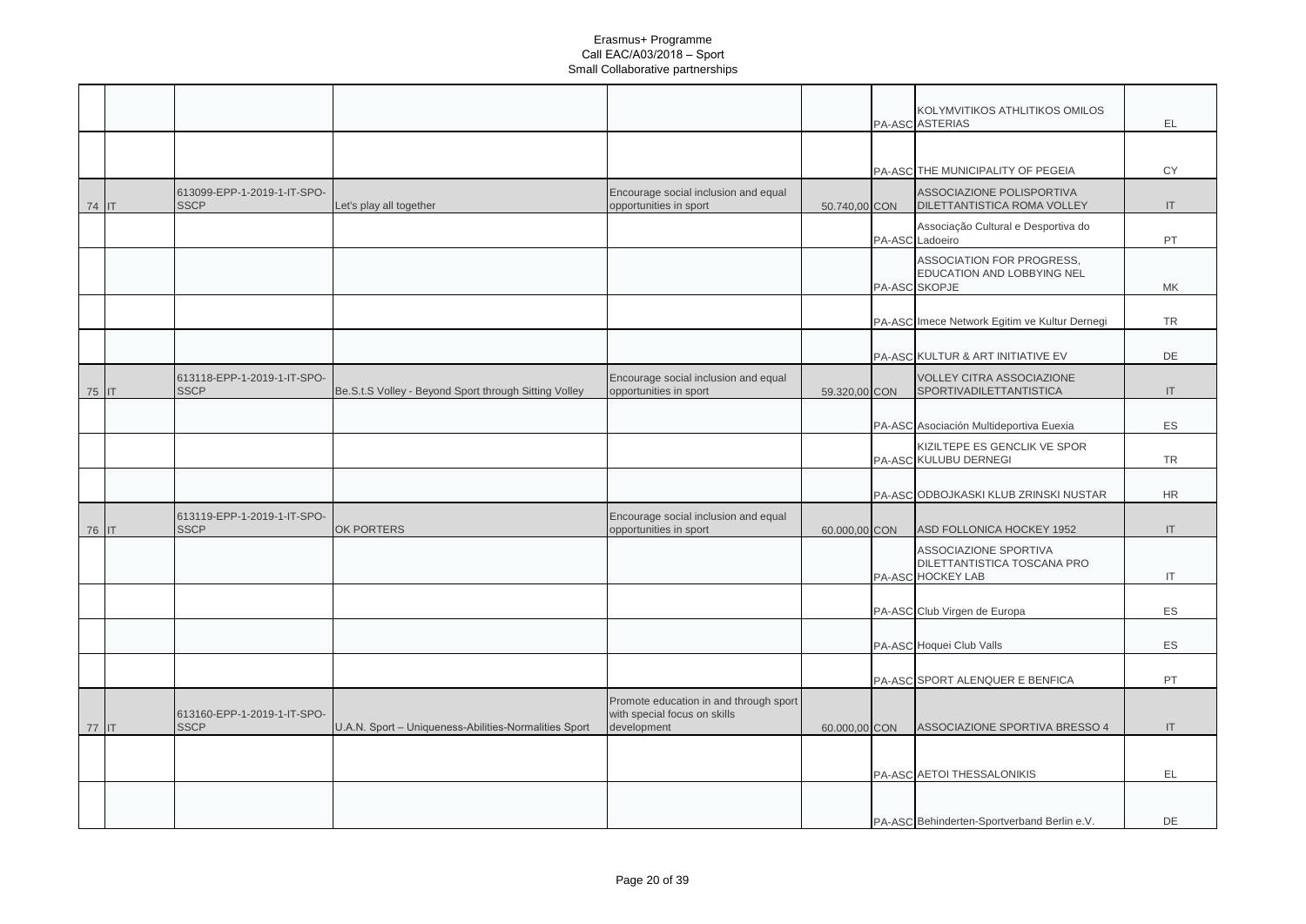|       |                                            |                                                       |                                                                                       |               | KOLYMVITIKOS ATHLITIKOS OMILOS<br>PA-ASC ASTERIAS                         | EL.                               |
|-------|--------------------------------------------|-------------------------------------------------------|---------------------------------------------------------------------------------------|---------------|---------------------------------------------------------------------------|-----------------------------------|
|       |                                            |                                                       |                                                                                       |               |                                                                           |                                   |
|       |                                            |                                                       |                                                                                       |               | PA-ASC THE MUNICIPALITY OF PEGEIA                                         | <b>CY</b>                         |
| 74 IT | 613099-EPP-1-2019-1-IT-SPO-<br><b>SSCP</b> | Let's play all together                               | Encourage social inclusion and equal<br>opportunities in sport                        | 50.740,00 CON | ASSOCIAZIONE POLISPORTIVA<br>DILETTANTISTICA ROMA VOLLEY                  | $\mathsf{I}$                      |
|       |                                            |                                                       |                                                                                       |               | Associação Cultural e Desportiva do<br>PA-ASC Ladoeiro                    | PT                                |
|       |                                            |                                                       |                                                                                       |               | ASSOCIATION FOR PROGRESS.<br>EDUCATION AND LOBBYING NEL<br>PA-ASC SKOPJE  | MK                                |
|       |                                            |                                                       |                                                                                       |               | PA-ASC Imece Network Egitim ve Kultur Dernegi                             | <b>TR</b>                         |
|       |                                            |                                                       |                                                                                       |               | PA-ASC KULTUR & ART INITIATIVE EV                                         | DE                                |
| 75 IT | 613118-EPP-1-2019-1-IT-SPO-<br><b>SSCP</b> | Be.S.t.S Volley - Beyond Sport through Sitting Volley | Encourage social inclusion and equal<br>opportunities in sport                        | 59.320,00 CON | <b>VOLLEY CITRA ASSOCIAZIONE</b><br><b>SPORTIVADILETTANTISTICA</b>        | IT                                |
|       |                                            |                                                       |                                                                                       |               | PA-ASC Asociación Multideportiva Euexia                                   | ES                                |
|       |                                            |                                                       |                                                                                       |               | KIZILTEPE ES GENCLIK VE SPOR<br>PA-ASC KULUBU DERNEGI                     | <b>TR</b>                         |
|       |                                            |                                                       |                                                                                       |               | PA-ASC ODBOJKASKI KLUB ZRINSKI NUSTAR                                     | <b>HR</b>                         |
| 76 IT | 613119-EPP-1-2019-1-IT-SPO-<br><b>SSCP</b> | OK PORTERS                                            | Encourage social inclusion and equal<br>opportunities in sport                        | 60.000,00 CON | ASD FOLLONICA HOCKEY 1952                                                 | $\ensuremath{\mathsf{IT}}\xspace$ |
|       |                                            |                                                       |                                                                                       |               | ASSOCIAZIONE SPORTIVA<br>DILETTANTISTICA TOSCANA PRO<br>PA-ASC HOCKEY LAB | IT                                |
|       |                                            |                                                       |                                                                                       |               | PA-ASC Club Virgen de Europa                                              | <b>ES</b>                         |
|       |                                            |                                                       |                                                                                       |               | PA-ASC Hoquei Club Valls                                                  | ES                                |
|       |                                            |                                                       |                                                                                       |               | PA-ASC SPORT ALENQUER E BENFICA                                           | <b>PT</b>                         |
|       | 613160-EPP-1-2019-1-IT-SPO-<br><b>SSCP</b> | U.A.N. Sport - Uniqueness-Abilities-Normalities Sport | Promote education in and through sport<br>with special focus on skills<br>development |               | ASSOCIAZIONE SPORTIVA BRESSO 4                                            | $\mathsf{I}$                      |
| 77 IT |                                            |                                                       |                                                                                       | 60.000,00 CON |                                                                           |                                   |
|       |                                            |                                                       |                                                                                       |               | PA-ASC AETOI THESSALONIKIS                                                | EL.                               |
|       |                                            |                                                       |                                                                                       |               | PA-ASC Behinderten-Sportverband Berlin e.V.                               | DE                                |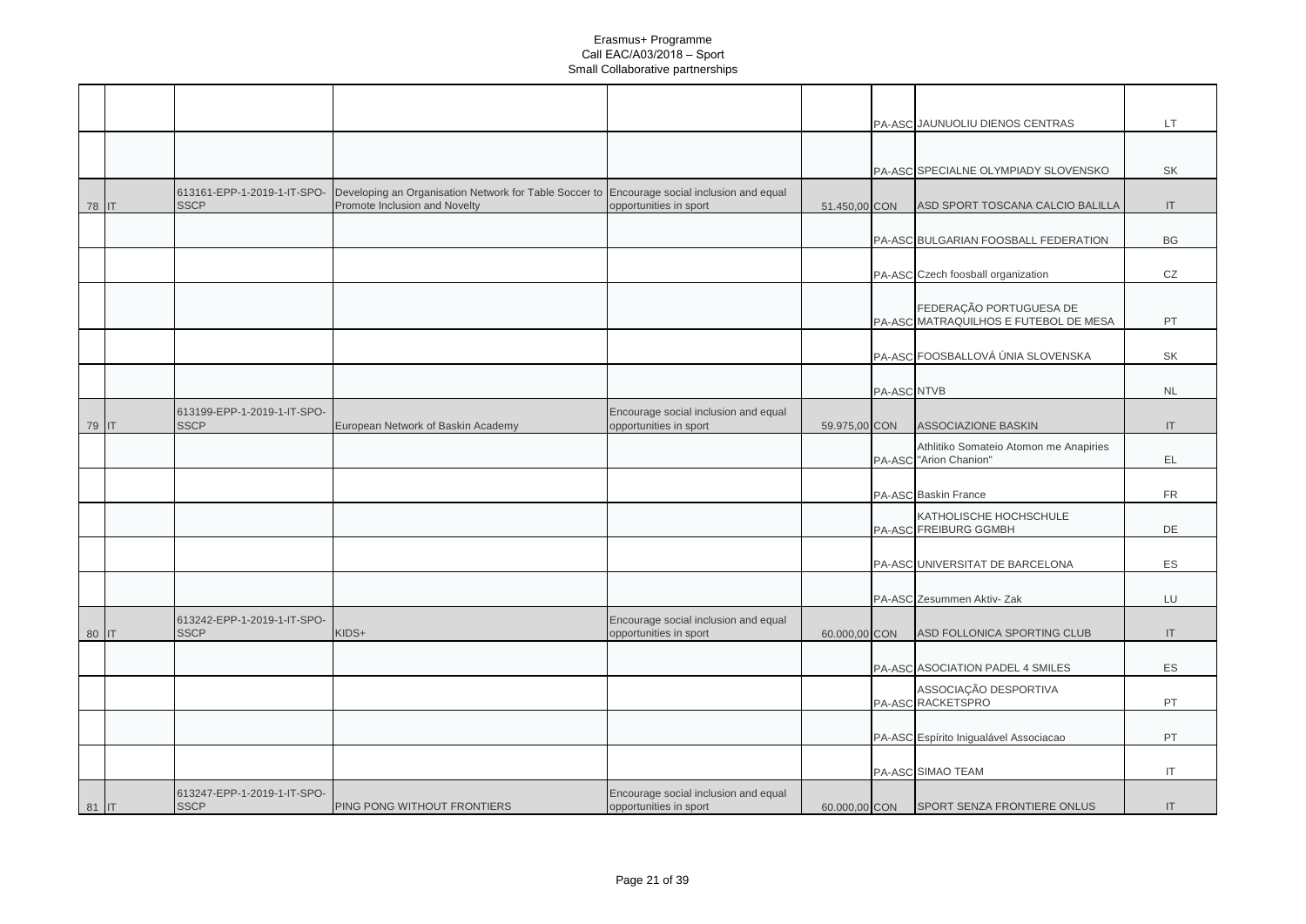|       |       |                                            |                                                                                                                              |                                                                |               |             | PA-ASC JAUNUOLIU DIENOS CENTRAS                                  | <b>LT</b>              |
|-------|-------|--------------------------------------------|------------------------------------------------------------------------------------------------------------------------------|----------------------------------------------------------------|---------------|-------------|------------------------------------------------------------------|------------------------|
|       |       |                                            |                                                                                                                              |                                                                |               |             |                                                                  |                        |
|       |       |                                            |                                                                                                                              |                                                                |               |             |                                                                  |                        |
|       |       |                                            |                                                                                                                              |                                                                |               |             | PA-ASC SPECIALNE OLYMPIADY SLOVENSKO                             | SK                     |
|       |       |                                            |                                                                                                                              |                                                                |               |             |                                                                  |                        |
|       | 78 IT | 613161-EPP-1-2019-1-IT-SPO-<br><b>SSCP</b> | Developing an Organisation Network for Table Soccer to Encourage social inclusion and equal<br>Promote Inclusion and Novelty | opportunities in sport                                         | 51.450,00 CON |             | ASD SPORT TOSCANA CALCIO BALILLA                                 | IT                     |
|       |       |                                            |                                                                                                                              |                                                                |               |             |                                                                  |                        |
|       |       |                                            |                                                                                                                              |                                                                |               |             |                                                                  | <b>BG</b>              |
|       |       |                                            |                                                                                                                              |                                                                |               |             | PA-ASC BULGARIAN FOOSBALL FEDERATION                             |                        |
|       |       |                                            |                                                                                                                              |                                                                |               |             |                                                                  |                        |
|       |       |                                            |                                                                                                                              |                                                                |               |             | PA-ASC Czech foosball organization                               | CZ                     |
|       |       |                                            |                                                                                                                              |                                                                |               |             |                                                                  |                        |
|       |       |                                            |                                                                                                                              |                                                                |               |             | FEDERAÇÃO PORTUGUESA DE<br>PA-ASC MATRAQUILHOS E FUTEBOL DE MESA | PT                     |
|       |       |                                            |                                                                                                                              |                                                                |               |             |                                                                  |                        |
|       |       |                                            |                                                                                                                              |                                                                |               |             |                                                                  |                        |
|       |       |                                            |                                                                                                                              |                                                                |               |             | PA-ASC FOOSBALLOVÁ ÚNIA SLOVENSKA                                | SK                     |
|       |       |                                            |                                                                                                                              |                                                                |               |             |                                                                  |                        |
|       |       |                                            |                                                                                                                              |                                                                |               | PA-ASC NTVB |                                                                  | <b>NL</b>              |
|       |       | 613199-EPP-1-2019-1-IT-SPO-                |                                                                                                                              | Encourage social inclusion and equal                           |               |             |                                                                  |                        |
|       | 79 IT | <b>SSCP</b>                                | European Network of Baskin Academy                                                                                           | opportunities in sport                                         | 59.975,00 CON |             | ASSOCIAZIONE BASKIN                                              | IT                     |
|       |       |                                            |                                                                                                                              |                                                                |               |             | Athlitiko Somateio Atomon me Anapiries                           |                        |
|       |       |                                            |                                                                                                                              |                                                                |               |             | PA-ASC "Arion Chanion"                                           | EL                     |
|       |       |                                            |                                                                                                                              |                                                                |               |             |                                                                  |                        |
|       |       |                                            |                                                                                                                              |                                                                |               |             | PA-ASC Baskin France                                             | <b>FR</b>              |
|       |       |                                            |                                                                                                                              |                                                                |               |             | KATHOLISCHE HOCHSCHULE                                           |                        |
|       |       |                                            |                                                                                                                              |                                                                |               |             | PA-ASC FREIBURG GGMBH                                            | DE                     |
|       |       |                                            |                                                                                                                              |                                                                |               |             |                                                                  |                        |
|       |       |                                            |                                                                                                                              |                                                                |               |             | PA-ASC UNIVERSITAT DE BARCELONA                                  | ES                     |
|       |       |                                            |                                                                                                                              |                                                                |               |             |                                                                  |                        |
|       |       |                                            |                                                                                                                              |                                                                |               |             | PA-ASC Zesummen Aktiv- Zak                                       | LU                     |
|       |       |                                            |                                                                                                                              |                                                                |               |             |                                                                  |                        |
|       | 80 IT | 613242-EPP-1-2019-1-IT-SPO-<br><b>SSCP</b> | KIDS+                                                                                                                        | Encourage social inclusion and equal<br>opportunities in sport | 60.000,00 CON |             | ASD FOLLONICA SPORTING CLUB                                      | IT                     |
|       |       |                                            |                                                                                                                              |                                                                |               |             |                                                                  |                        |
|       |       |                                            |                                                                                                                              |                                                                |               |             |                                                                  |                        |
|       |       |                                            |                                                                                                                              |                                                                |               |             | PA-ASC ASOCIATION PADEL 4 SMILES                                 | ES                     |
|       |       |                                            |                                                                                                                              |                                                                |               |             | ASSOCIAÇÃO DESPORTIVA                                            |                        |
|       |       |                                            |                                                                                                                              |                                                                |               |             | PA-ASC RACKETSPRO                                                | PT                     |
|       |       |                                            |                                                                                                                              |                                                                |               |             |                                                                  |                        |
|       |       |                                            |                                                                                                                              |                                                                |               |             | PA-ASC Espírito Inigualável Associacao                           | PT                     |
|       |       |                                            |                                                                                                                              |                                                                |               |             |                                                                  |                        |
|       |       |                                            |                                                                                                                              |                                                                |               |             | PA-ASC SIMAO TEAM                                                | $\mathsf{I}\mathsf{T}$ |
|       |       | 613247-EPP-1-2019-1-IT-SPO-                |                                                                                                                              | Encourage social inclusion and equal                           |               |             |                                                                  |                        |
| 81 IT |       | <b>SSCP</b>                                | PING PONG WITHOUT FRONTIERS                                                                                                  | opportunities in sport                                         | 60.000,00 CON |             | SPORT SENZA FRONTIERE ONLUS                                      | IT                     |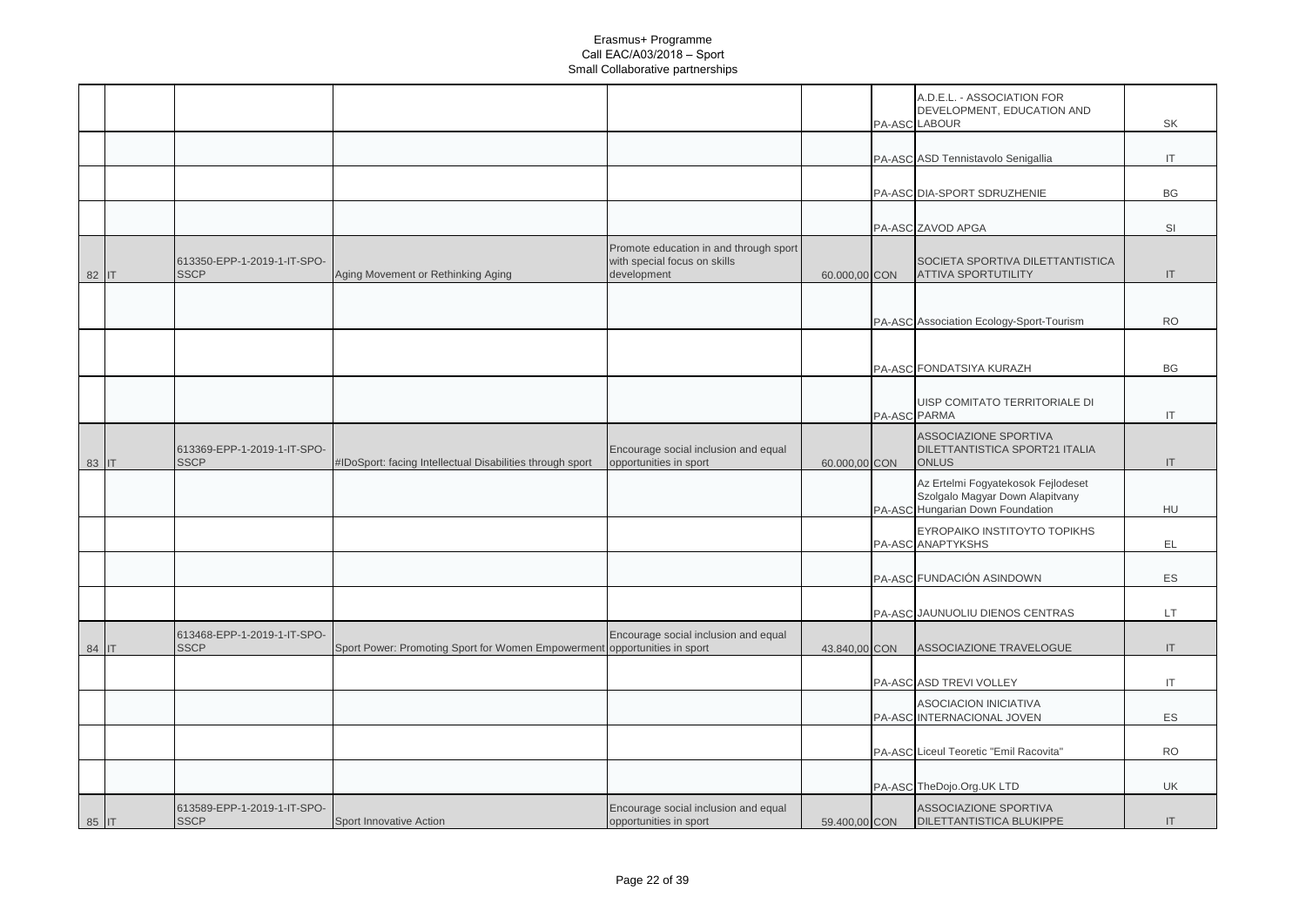|       |                                            |                                                                           |                                                                                       |               |              | A.D.E.L. - ASSOCIATION FOR<br>DEVELOPMENT, EDUCATION AND<br>PA-ASC LABOUR                                 | SK                     |
|-------|--------------------------------------------|---------------------------------------------------------------------------|---------------------------------------------------------------------------------------|---------------|--------------|-----------------------------------------------------------------------------------------------------------|------------------------|
|       |                                            |                                                                           |                                                                                       |               |              | PA-ASC ASD Tennistavolo Senigallia                                                                        | $\mathsf{I}\mathsf{T}$ |
|       |                                            |                                                                           |                                                                                       |               |              | PA-ASC DIA-SPORT SDRUZHENIE                                                                               | <b>BG</b>              |
|       |                                            |                                                                           |                                                                                       |               |              | PA-ASC ZAVOD APGA                                                                                         | SI                     |
| 82 IT | 613350-EPP-1-2019-1-IT-SPO-<br><b>SSCP</b> | Aging Movement or Rethinking Aging                                        | Promote education in and through sport<br>with special focus on skills<br>development | 60.000,00 CON |              | SOCIETA SPORTIVA DILETTANTISTICA<br><b>ATTIVA SPORTUTILITY</b>                                            | IT                     |
|       |                                            |                                                                           |                                                                                       |               |              | PA-ASC Association Ecology-Sport-Tourism                                                                  | <b>RO</b>              |
|       |                                            |                                                                           |                                                                                       |               |              | PA-ASC FONDATSIYA KURAZH                                                                                  | <b>BG</b>              |
|       |                                            |                                                                           |                                                                                       |               | PA-ASC PARMA | UISP COMITATO TERRITORIALE DI                                                                             | $\mathsf{I}\mathsf{T}$ |
| 83 IT | 613369-EPP-1-2019-1-IT-SPO-<br><b>SSCP</b> | #IDoSport: facing Intellectual Disabilities through sport                 | Encourage social inclusion and equal<br>opportunities in sport                        | 60.000,00 CON |              | <b>ASSOCIAZIONE SPORTIVA</b><br>DILETTANTISTICA SPORT21 ITALIA<br><b>ONLUS</b>                            | IT                     |
|       |                                            |                                                                           |                                                                                       |               |              | Az Ertelmi Fogyatekosok Fejlodeset<br>Szolgalo Magyar Down Alapitvany<br>PA-ASC Hungarian Down Foundation | HU                     |
|       |                                            |                                                                           |                                                                                       |               |              | EYROPAIKO INSTITOYTO TOPIKHS<br>PA-ASC ANAPTYKSHS                                                         | EL                     |
|       |                                            |                                                                           |                                                                                       |               |              | PA-ASC FUNDACIÓN ASINDOWN                                                                                 | ES                     |
|       |                                            |                                                                           |                                                                                       |               |              | PA-ASC JAUNUOLIU DIENOS CENTRAS                                                                           | LT                     |
| 84 IT | 613468-EPP-1-2019-1-IT-SPO-<br><b>SSCP</b> | Sport Power: Promoting Sport for Women Empowerment opportunities in sport | Encourage social inclusion and equal                                                  | 43.840,00 CON |              | ASSOCIAZIONE TRAVELOGUE                                                                                   | IT                     |
|       |                                            |                                                                           |                                                                                       |               |              | PA-ASC ASD TREVI VOLLEY                                                                                   | $\sf IT$               |
|       |                                            |                                                                           |                                                                                       |               |              | <b>ASOCIACION INICIATIVA</b><br>PA-ASC INTERNACIONAL JOVEN                                                | ES                     |
|       |                                            |                                                                           |                                                                                       |               |              | PA-ASC Liceul Teoretic "Emil Racovita"                                                                    | <b>RO</b>              |
|       |                                            |                                                                           |                                                                                       |               |              | PA-ASC TheDojo.Org.UK LTD                                                                                 | <b>UK</b>              |
| 85 IT | 613589-EPP-1-2019-1-IT-SPO-<br><b>SSCP</b> | Sport Innovative Action                                                   | Encourage social inclusion and equal<br>opportunities in sport                        | 59.400,00 CON |              | ASSOCIAZIONE SPORTIVA<br><b>DILETTANTISTICA BLUKIPPE</b>                                                  | IT                     |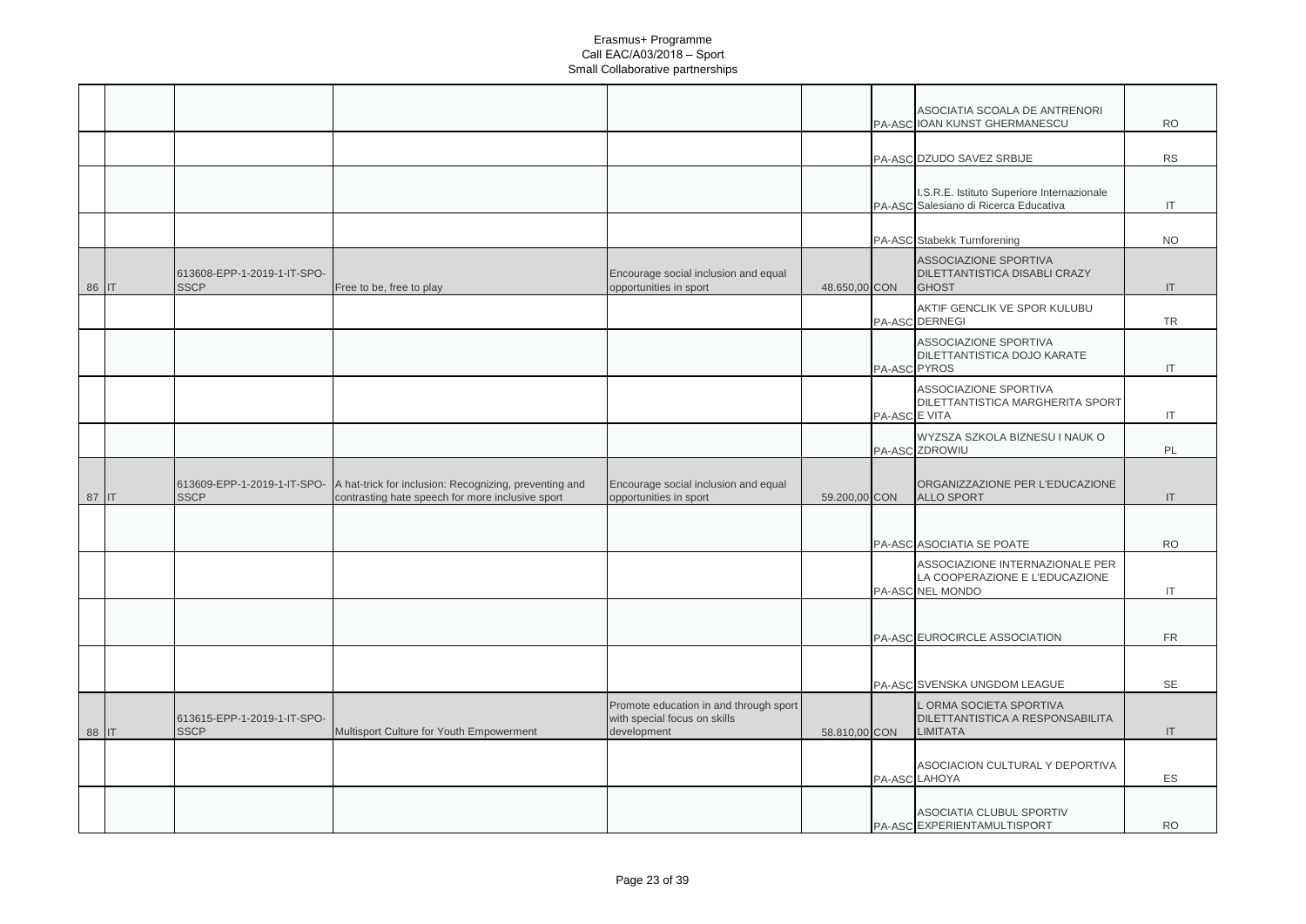|       |                                            |                                                                                                            |                                                                                       |               |               | ASOCIATIA SCOALA DE ANTRENORI                                                         |                        |
|-------|--------------------------------------------|------------------------------------------------------------------------------------------------------------|---------------------------------------------------------------------------------------|---------------|---------------|---------------------------------------------------------------------------------------|------------------------|
|       |                                            |                                                                                                            |                                                                                       |               |               | PA-ASC IOAN KUNST GHERMANESCU                                                         | <b>RO</b>              |
|       |                                            |                                                                                                            |                                                                                       |               |               | PA-ASC DZUDO SAVEZ SRBIJE                                                             | <b>RS</b>              |
|       |                                            |                                                                                                            |                                                                                       |               |               | I.S.R.E. Istituto Superiore Internazionale<br>PA-ASC Salesiano di Ricerca Educativa   | $\mathsf{I}\mathsf{T}$ |
|       |                                            |                                                                                                            |                                                                                       |               |               | PA-ASC Stabekk Turnforening                                                           | <b>NO</b>              |
| 86 IT | 613608-EPP-1-2019-1-IT-SPO-<br><b>SSCP</b> | Free to be, free to play                                                                                   | Encourage social inclusion and equal<br>opportunities in sport                        | 48.650,00 CON |               | ASSOCIAZIONE SPORTIVA<br>DILETTANTISTICA DISABLI CRAZY<br><b>GHOST</b>                | IT                     |
|       |                                            |                                                                                                            |                                                                                       |               |               | AKTIF GENCLIK VE SPOR KULUBU<br>PA-ASC DERNEGI                                        | <b>TR</b>              |
|       |                                            |                                                                                                            |                                                                                       |               | PA-ASC PYROS  | ASSOCIAZIONE SPORTIVA<br>DILETTANTISTICA DOJO KARATE                                  | $\mathsf{I}\mathsf{T}$ |
|       |                                            |                                                                                                            |                                                                                       |               | PA-ASC E VITA | ASSOCIAZIONE SPORTIVA<br>DILETTANTISTICA MARGHERITA SPORT                             | IT.                    |
|       |                                            |                                                                                                            |                                                                                       |               |               | WYZSZA SZKOLA BIZNESU I NAUK O<br>PA-ASC ZDROWIU                                      | PL                     |
| 87 IT | 613609-EPP-1-2019-1-IT-SPO-<br><b>SSCP</b> | A hat-trick for inclusion: Recognizing, preventing and<br>contrasting hate speech for more inclusive sport | Encourage social inclusion and equal<br>opportunities in sport                        | 59.200,00 CON |               | ORGANIZZAZIONE PER L'EDUCAZIONE<br><b>ALLO SPORT</b>                                  | IT                     |
|       |                                            |                                                                                                            |                                                                                       |               |               | PA-ASC ASOCIATIA SE POATE                                                             | <b>RO</b>              |
|       |                                            |                                                                                                            |                                                                                       |               |               | ASSOCIAZIONE INTERNAZIONALE PER<br>LA COOPERAZIONE E L'EDUCAZIONE<br>PA-ASC NEL MONDO | IT                     |
|       |                                            |                                                                                                            |                                                                                       |               |               | PA-ASC EUROCIRCLE ASSOCIATION                                                         | <b>FR</b>              |
|       |                                            |                                                                                                            |                                                                                       |               |               | PA-ASC SVENSKA UNGDOM LEAGUE                                                          | <b>SE</b>              |
|       |                                            |                                                                                                            |                                                                                       |               |               |                                                                                       |                        |
| 88 IT | 613615-EPP-1-2019-1-IT-SPO-<br><b>SSCP</b> | Multisport Culture for Youth Empowerment                                                                   | Promote education in and through sport<br>with special focus on skills<br>development |               |               | L ORMA SOCIETA SPORTIVA<br><b>DILETTANTISTICA A RESPONSABILITA</b><br><b>LIMITATA</b> | IT                     |
|       |                                            |                                                                                                            |                                                                                       | 58.810,00 CON |               | ASOCIACION CULTURAL Y DEPORTIVA<br>PA-ASC LAHOYA                                      | ES                     |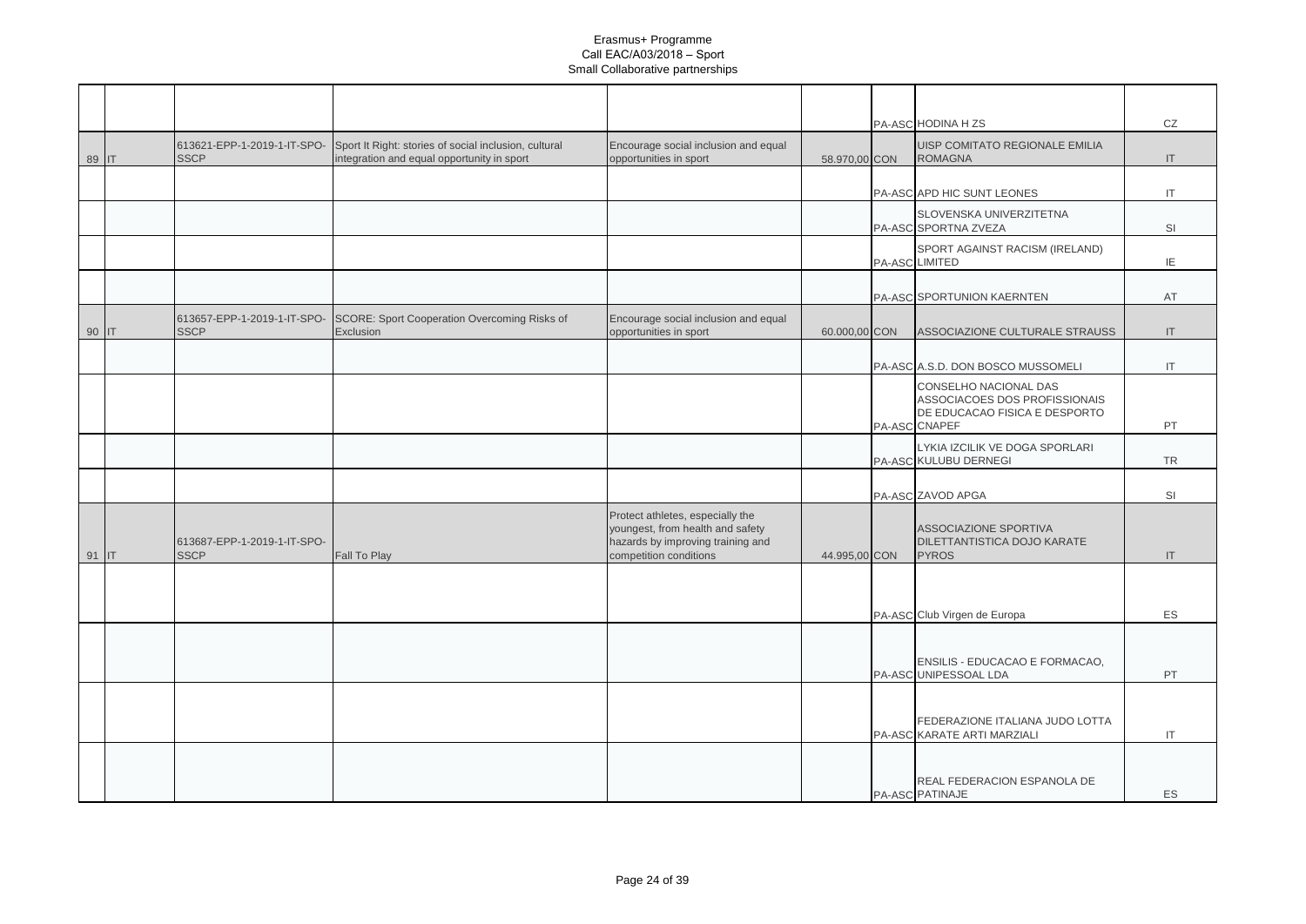|       |                                            |                                                                                                     |                                                                                                                                     |               | PA-ASC HODINA H ZS                                                                                       | CZ                     |
|-------|--------------------------------------------|-----------------------------------------------------------------------------------------------------|-------------------------------------------------------------------------------------------------------------------------------------|---------------|----------------------------------------------------------------------------------------------------------|------------------------|
| 89 IT | 613621-EPP-1-2019-1-IT-SPO-<br><b>SSCP</b> | Sport It Right: stories of social inclusion, cultural<br>integration and equal opportunity in sport | Encourage social inclusion and equal<br>opportunities in sport                                                                      | 58.970,00 CON | <b>UISP COMITATO REGIONALE EMILIA</b><br><b>ROMAGNA</b>                                                  | $\mathsf{I}\mathsf{T}$ |
|       |                                            |                                                                                                     |                                                                                                                                     |               | PA-ASC APD HIC SUNT LEONES                                                                               | IT                     |
|       |                                            |                                                                                                     |                                                                                                                                     |               | SLOVENSKA UNIVERZITETNA<br>PA-ASC SPORTNA ZVEZA                                                          | SI                     |
|       |                                            |                                                                                                     |                                                                                                                                     |               | SPORT AGAINST RACISM (IRELAND)<br>PA-ASC LIMITED                                                         | IE                     |
|       |                                            |                                                                                                     |                                                                                                                                     |               | PA-ASC SPORTUNION KAERNTEN                                                                               | AT                     |
| 90 IT | 613657-EPP-1-2019-1-IT-SPO-<br><b>SSCP</b> | SCORE: Sport Cooperation Overcoming Risks of<br>Exclusion                                           | Encourage social inclusion and equal<br>opportunities in sport                                                                      | 60.000,00 CON | ASSOCIAZIONE CULTURALE STRAUSS                                                                           | $\mathsf{I}$           |
|       |                                            |                                                                                                     |                                                                                                                                     |               | PA-ASC A.S.D. DON BOSCO MUSSOMELI                                                                        | $\mathsf{I}$           |
|       |                                            |                                                                                                     |                                                                                                                                     |               | CONSELHO NACIONAL DAS<br>ASSOCIACOES DOS PROFISSIONAIS<br>DE EDUCACAO FISICA E DESPORTO<br>PA-ASC CNAPEF | PT                     |
|       |                                            |                                                                                                     |                                                                                                                                     |               | LYKIA IZCILIK VE DOGA SPORLARI<br>PA-ASC KULUBU DERNEGI                                                  | TR                     |
|       |                                            |                                                                                                     |                                                                                                                                     |               | PA-ASC ZAVOD APGA                                                                                        | SI                     |
| 91 IT | 613687-EPP-1-2019-1-IT-SPO-<br><b>SSCP</b> | Fall To Play                                                                                        | Protect athletes, especially the<br>youngest, from health and safety<br>hazards by improving training and<br>competition conditions | 44.995,00 CON | ASSOCIAZIONE SPORTIVA<br><b>DILETTANTISTICA DOJO KARATE</b><br><b>PYROS</b>                              | IT                     |
|       |                                            |                                                                                                     |                                                                                                                                     |               |                                                                                                          |                        |
|       |                                            |                                                                                                     |                                                                                                                                     |               | PA-ASC Club Virgen de Europa                                                                             | ES                     |
|       |                                            |                                                                                                     |                                                                                                                                     |               | ENSILIS - EDUCACAO E FORMACAO,<br>PA-ASC UNIPESSOAL LDA                                                  | PT                     |
|       |                                            |                                                                                                     |                                                                                                                                     |               | FEDERAZIONE ITALIANA JUDO LOTTA                                                                          |                        |
|       |                                            |                                                                                                     |                                                                                                                                     |               | PA-ASC KARATE ARTI MARZIALI                                                                              | $ \mathsf{T} $         |
|       |                                            |                                                                                                     |                                                                                                                                     |               | REAL FEDERACION ESPANOLA DE<br>PA-ASC PATINAJE                                                           | ES                     |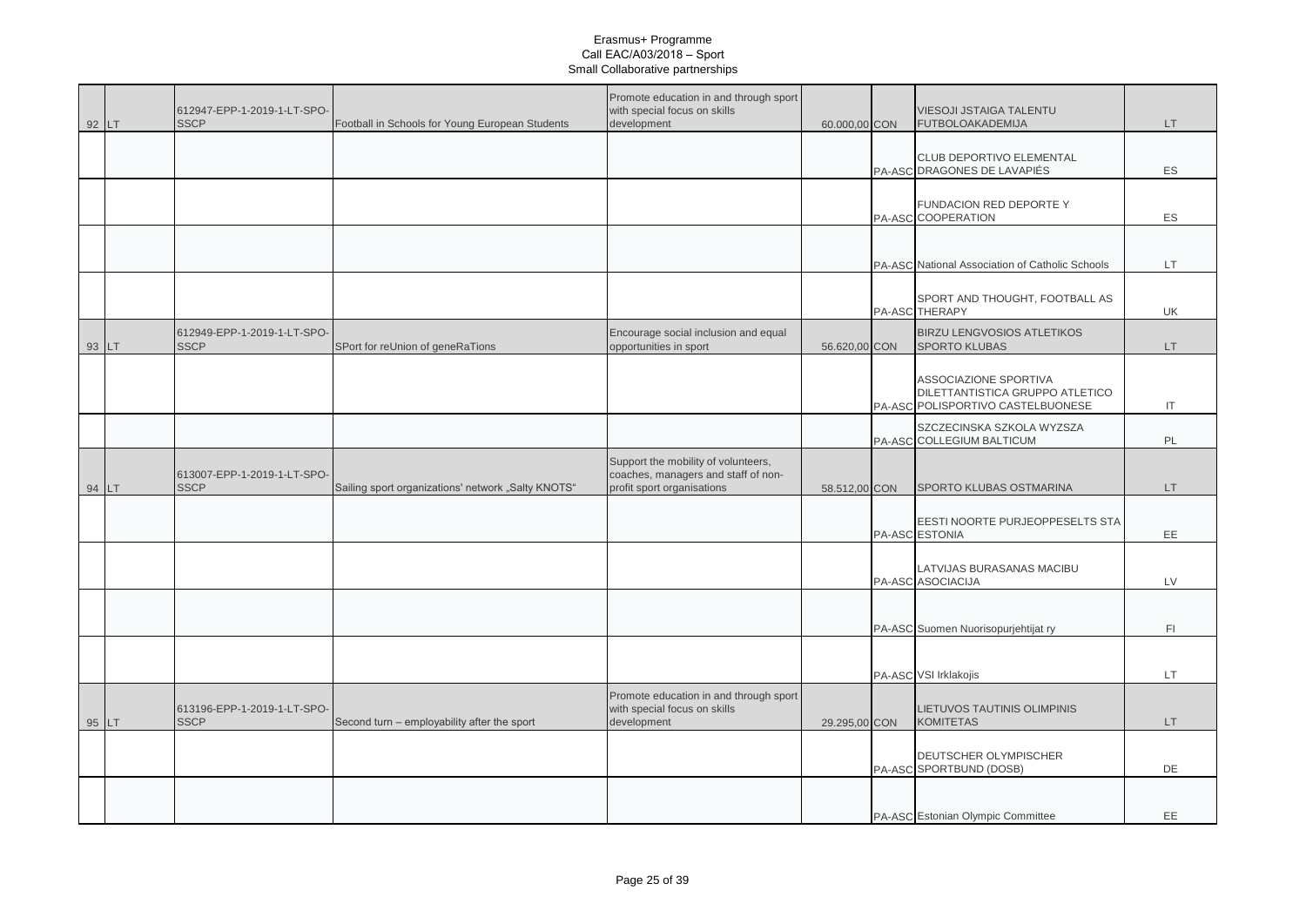| 92 | LT. | 612947-EPP-1-2019-1-LT-SPO-<br><b>SSCP</b> | Football in Schools for Young European Students    | Promote education in and through sport<br>with special focus on skills<br>development                    | 60.000,00 CON | <b>VIESOJI JSTAIGA TALENTU</b><br><b>FUTBOLOAKADEMIJA</b>                                     | <b>LT</b> |
|----|-----|--------------------------------------------|----------------------------------------------------|----------------------------------------------------------------------------------------------------------|---------------|-----------------------------------------------------------------------------------------------|-----------|
|    |     |                                            |                                                    |                                                                                                          |               | CLUB DEPORTIVO ELEMENTAL<br>PA-ASC DRAGONES DE LAVAPIÉS                                       | ES        |
|    |     |                                            |                                                    |                                                                                                          |               | FUNDACION RED DEPORTE Y<br>PA-ASC COOPERATION                                                 | ES        |
|    |     |                                            |                                                    |                                                                                                          |               | PA-ASC National Association of Catholic Schools                                               | LT.       |
|    |     |                                            |                                                    |                                                                                                          |               | SPORT AND THOUGHT, FOOTBALL AS<br>PA-ASC THERAPY                                              | UK        |
| 93 | LT. | 612949-EPP-1-2019-1-LT-SPO-<br><b>SSCP</b> | SPort for reUnion of geneRaTions                   | Encourage social inclusion and equal<br>opportunities in sport                                           | 56.620,00 CON | <b>BIRZU LENGVOSIOS ATLETIKOS</b><br><b>SPORTO KLUBAS</b>                                     | LT.       |
|    |     |                                            |                                                    |                                                                                                          |               | ASSOCIAZIONE SPORTIVA<br>DILETTANTISTICA GRUPPO ATLETICO<br>PA-ASC POLISPORTIVO CASTELBUONESE | IT        |
|    |     |                                            |                                                    |                                                                                                          |               | SZCZECINSKA SZKOLA WYZSZA<br>PA-ASC COLLEGIUM BALTICUM                                        | <b>PL</b> |
| 94 | LT. | 613007-EPP-1-2019-1-LT-SPO-<br><b>SSCP</b> | Sailing sport organizations' network "Salty KNOTS" | Support the mobility of volunteers,<br>coaches, managers and staff of non-<br>profit sport organisations | 58.512,00 CON | SPORTO KLUBAS OSTMARINA                                                                       | <b>LT</b> |
|    |     |                                            |                                                    |                                                                                                          |               | EESTI NOORTE PURJEOPPESELTS STA<br>PA-ASC ESTONIA                                             | EE        |
|    |     |                                            |                                                    |                                                                                                          |               | LATVIJAS BURASANAS MACIBU<br>PA-ASC ASOCIACIJA                                                | LV        |
|    |     |                                            |                                                    |                                                                                                          |               | PA-ASC Suomen Nuorisopurjehtijat ry                                                           | FI.       |
|    |     |                                            |                                                    |                                                                                                          |               | PA-ASC VSI Irklakojis                                                                         | LT.       |
| 95 | LT. | 613196-EPP-1-2019-1-LT-SPO-<br><b>SSCP</b> | Second turn - employability after the sport        | Promote education in and through sport<br>with special focus on skills<br>development                    | 29.295,00 CON | LIETUVOS TAUTINIS OLIMPINIS<br><b>KOMITETAS</b>                                               | <b>LT</b> |
|    |     |                                            |                                                    |                                                                                                          |               | DEUTSCHER OLYMPISCHER<br>PA-ASC SPORTBUND (DOSB)                                              | DE        |
|    |     |                                            |                                                    |                                                                                                          |               | PA-ASC Estonian Olympic Committee                                                             | EE.       |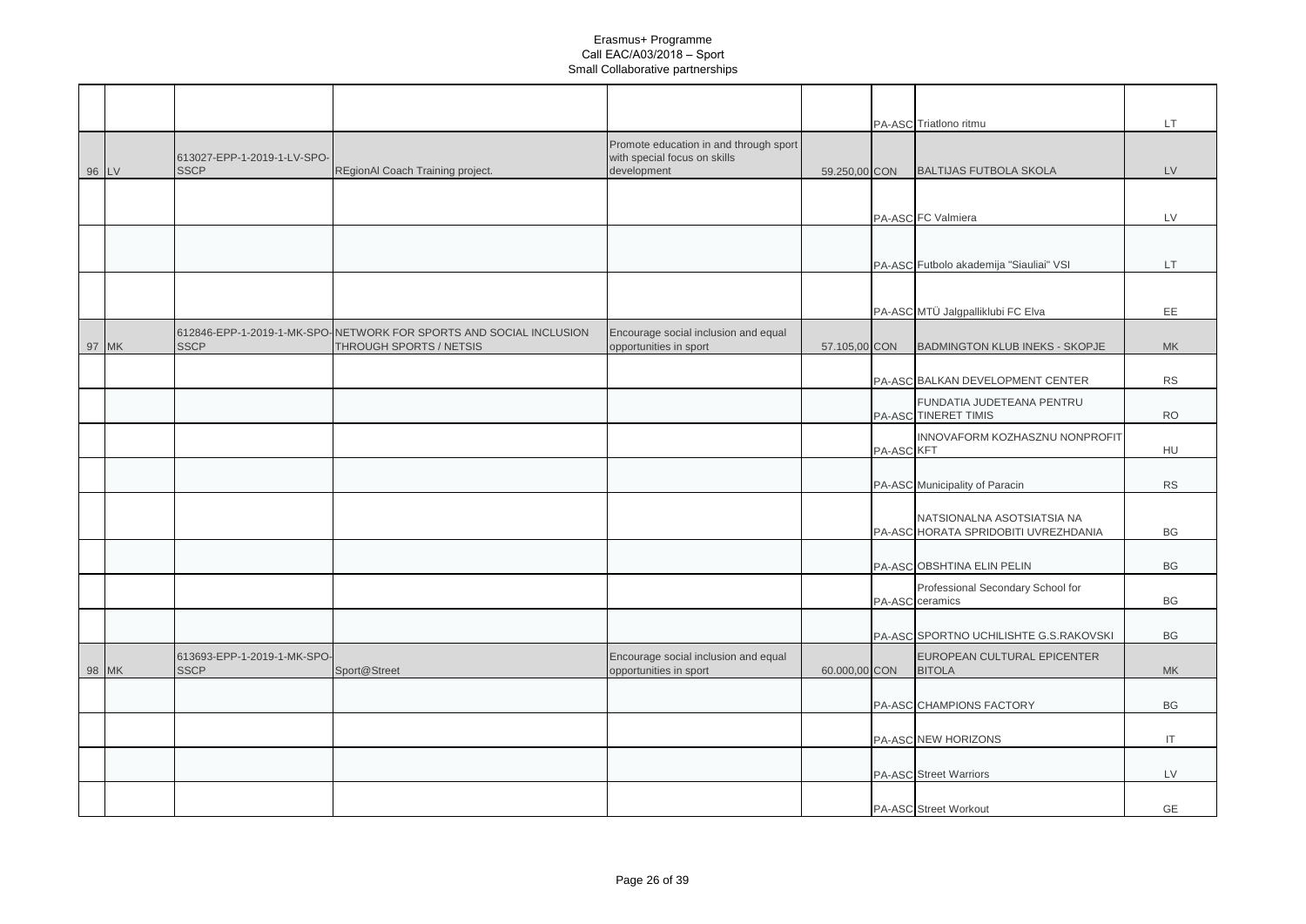|       | 613027-EPP-1-2019-1-LV-SPO- |                                                                    | Promote education in and through sport<br>with special focus on skills |               |            | PA-ASC Triatlono ritmu                               | <b>LT</b><br>LV |
|-------|-----------------------------|--------------------------------------------------------------------|------------------------------------------------------------------------|---------------|------------|------------------------------------------------------|-----------------|
| 96 LV | <b>SSCP</b>                 | REgionAl Coach Training project.                                   | development                                                            | 59.250,00 CON |            | <b>BALTIJAS FUTBOLA SKOLA</b>                        |                 |
|       |                             |                                                                    |                                                                        |               |            |                                                      |                 |
|       |                             |                                                                    |                                                                        |               |            | PA-ASC FC Valmiera                                   | LV              |
|       |                             |                                                                    |                                                                        |               |            |                                                      |                 |
|       |                             |                                                                    |                                                                        |               |            | PA-ASC Futbolo akademija "Siauliai" VSI              | <b>LT</b>       |
|       |                             |                                                                    |                                                                        |               |            |                                                      |                 |
|       |                             |                                                                    |                                                                        |               |            |                                                      |                 |
|       |                             |                                                                    |                                                                        |               |            | PA-ASC MTÜ Jalgpalliklubi FC Elva                    | EE              |
|       |                             | 612846-EPP-1-2019-1-MK-SPO-NETWORK FOR SPORTS AND SOCIAL INCLUSION | Encourage social inclusion and equal                                   |               |            |                                                      |                 |
| 97 MK | <b>SSCP</b>                 | THROUGH SPORTS / NETSIS                                            | opportunities in sport                                                 | 57.105,00 CON |            | <b>BADMINGTON KLUB INEKS - SKOPJE</b>                | <b>MK</b>       |
|       |                             |                                                                    |                                                                        |               |            |                                                      |                 |
|       |                             |                                                                    |                                                                        |               |            | PA-ASC BALKAN DEVELOPMENT CENTER                     | <b>RS</b>       |
|       |                             |                                                                    |                                                                        |               |            | FUNDATIA JUDETEANA PENTRU<br>PA-ASC TINERET TIMIS    | <b>RO</b>       |
|       |                             |                                                                    |                                                                        |               | PA-ASC KFT | INNOVAFORM KOZHASZNU NONPROFIT                       | HU              |
|       |                             |                                                                    |                                                                        |               |            |                                                      |                 |
|       |                             |                                                                    |                                                                        |               |            | PA-ASC Municipality of Paracin                       | <b>RS</b>       |
|       |                             |                                                                    |                                                                        |               |            |                                                      |                 |
|       |                             |                                                                    |                                                                        |               |            | NATSIONALNA ASOTSIATSIA NA                           |                 |
|       |                             |                                                                    |                                                                        |               |            | PA-ASC HORATA SPRIDOBITI UVREZHDANIA                 | <b>BG</b>       |
|       |                             |                                                                    |                                                                        |               |            | PA-ASC OBSHTINA ELIN PELIN                           | <b>BG</b>       |
|       |                             |                                                                    |                                                                        |               |            | Professional Secondary School for<br>PA-ASC ceramics | <b>BG</b>       |
|       |                             |                                                                    |                                                                        |               |            |                                                      |                 |
|       |                             |                                                                    |                                                                        |               |            | PA-ASC SPORTNO UCHILISHTE G.S.RAKOVSKI               | <b>BG</b>       |
|       | 613693-EPP-1-2019-1-MK-SPO- |                                                                    | Encourage social inclusion and equal                                   |               |            | EUROPEAN CULTURAL EPICENTER                          |                 |
| 98 MK | <b>SSCP</b>                 | Sport@Street                                                       | opportunities in sport                                                 | 60.000,00 CON |            | <b>BITOLA</b>                                        | <b>MK</b>       |
|       |                             |                                                                    |                                                                        |               |            |                                                      |                 |
|       |                             |                                                                    |                                                                        |               |            | PA-ASC CHAMPIONS FACTORY                             | <b>BG</b>       |
|       |                             |                                                                    |                                                                        |               |            | PA-ASC NEW HORIZONS                                  | $\mathsf{I}$    |
|       |                             |                                                                    |                                                                        |               |            |                                                      |                 |
|       |                             |                                                                    |                                                                        |               |            | PA-ASC Street Warriors                               | LV              |
|       |                             |                                                                    |                                                                        |               |            |                                                      |                 |
|       |                             |                                                                    |                                                                        |               |            | PA-ASC Street Workout                                | <b>GE</b>       |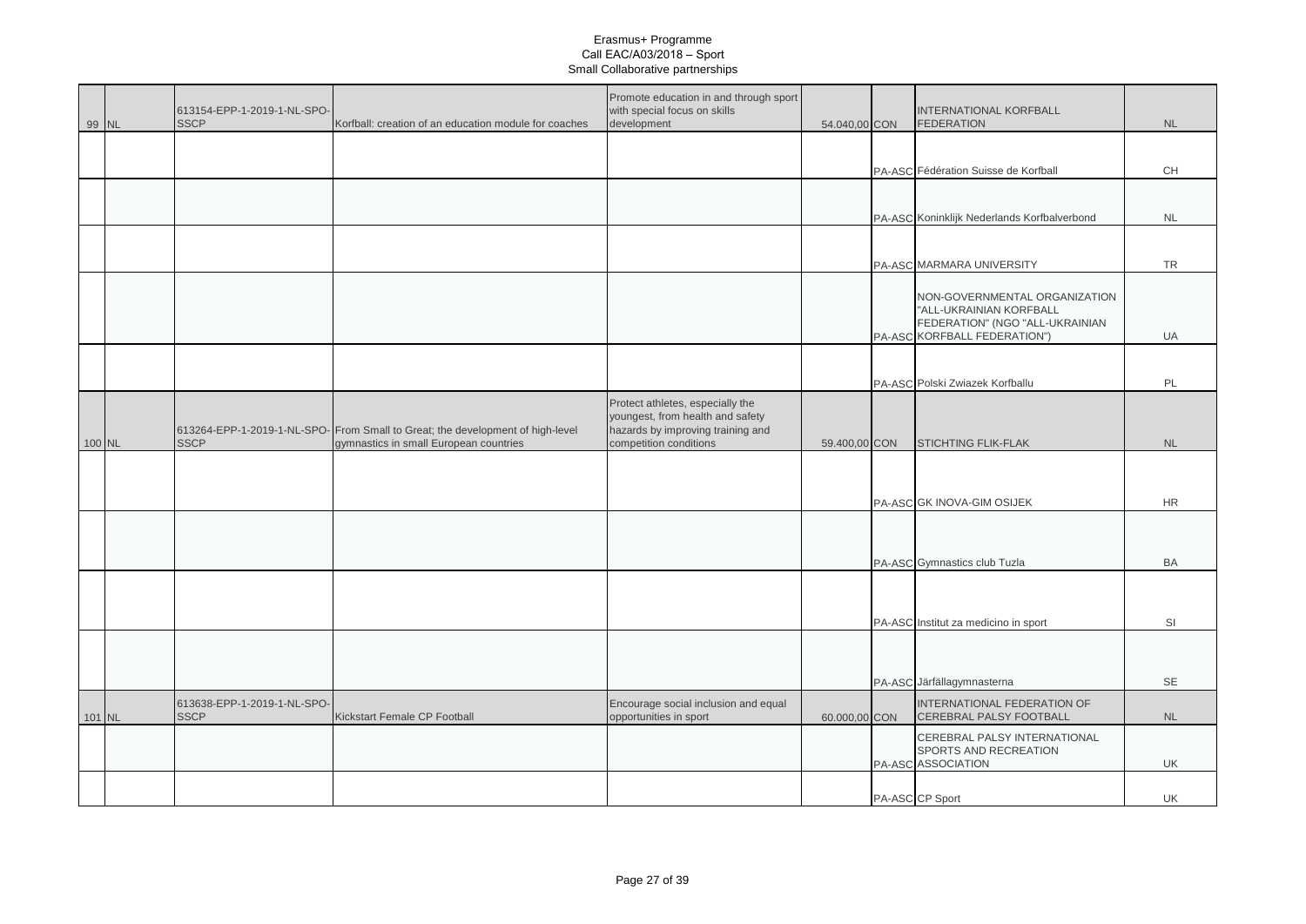| 99 NL  | 613154-EPP-1-2019-1-NL-SPO-<br><b>SSCP</b> | Korfball: creation of an education module for coaches                                                                    | Promote education in and through sport<br>with special focus on skills<br>development                                               | 54.040,00 CON | <b>INTERNATIONAL KORFBALL</b><br><b>FEDERATION</b>                                                                          | <b>NL</b> |
|--------|--------------------------------------------|--------------------------------------------------------------------------------------------------------------------------|-------------------------------------------------------------------------------------------------------------------------------------|---------------|-----------------------------------------------------------------------------------------------------------------------------|-----------|
|        |                                            |                                                                                                                          |                                                                                                                                     |               |                                                                                                                             |           |
|        |                                            |                                                                                                                          |                                                                                                                                     |               | PA-ASC Fédération Suisse de Korfball                                                                                        | CH        |
|        |                                            |                                                                                                                          |                                                                                                                                     |               |                                                                                                                             |           |
|        |                                            |                                                                                                                          |                                                                                                                                     |               | PA-ASC Koninklijk Nederlands Korfbalverbond                                                                                 | <b>NL</b> |
|        |                                            |                                                                                                                          |                                                                                                                                     |               |                                                                                                                             |           |
|        |                                            |                                                                                                                          |                                                                                                                                     |               | PA-ASC MARMARA UNIVERSITY                                                                                                   | TR        |
|        |                                            |                                                                                                                          |                                                                                                                                     |               | NON-GOVERNMENTAL ORGANIZATION<br>"ALL-UKRAINIAN KORFBALL<br>FEDERATION" (NGO "ALL-UKRAINIAN<br>PA-ASC KORFBALL FEDERATION") | UA        |
|        |                                            |                                                                                                                          |                                                                                                                                     |               |                                                                                                                             |           |
|        |                                            |                                                                                                                          |                                                                                                                                     |               | PA-ASC Polski Zwiazek Korfballu                                                                                             | PL        |
| 100 NL | <b>SSCP</b>                                | 613264-EPP-1-2019-1-NL-SPO- From Small to Great; the development of high-level<br>gymnastics in small European countries | Protect athletes, especially the<br>youngest, from health and safety<br>hazards by improving training and<br>competition conditions | 59.400,00 CON | <b>STICHTING FLIK-FLAK</b>                                                                                                  | <b>NL</b> |
|        |                                            |                                                                                                                          |                                                                                                                                     |               |                                                                                                                             |           |
|        |                                            |                                                                                                                          |                                                                                                                                     |               | PA-ASC GK INOVA-GIM OSIJEK                                                                                                  | <b>HR</b> |
|        |                                            |                                                                                                                          |                                                                                                                                     |               |                                                                                                                             |           |
|        |                                            |                                                                                                                          |                                                                                                                                     |               | PA-ASC Gymnastics club Tuzla                                                                                                | BA        |
|        |                                            |                                                                                                                          |                                                                                                                                     |               |                                                                                                                             |           |
|        |                                            |                                                                                                                          |                                                                                                                                     |               |                                                                                                                             |           |
|        |                                            |                                                                                                                          |                                                                                                                                     |               | PA-ASC Institut za medicino in sport                                                                                        | SI        |
|        |                                            |                                                                                                                          |                                                                                                                                     |               |                                                                                                                             |           |
|        |                                            |                                                                                                                          |                                                                                                                                     |               | PA-ASC Järfällagymnasterna                                                                                                  | <b>SE</b> |
| 101 NL | 613638-EPP-1-2019-1-NL-SPO-<br><b>SSCP</b> | Kickstart Female CP Football                                                                                             | Encourage social inclusion and equal<br>opportunities in sport                                                                      | 60.000,00 CON | INTERNATIONAL FEDERATION OF<br>CEREBRAL PALSY FOOTBALL                                                                      | <b>NL</b> |
|        |                                            |                                                                                                                          |                                                                                                                                     |               | CEREBRAL PALSY INTERNATIONAL<br>SPORTS AND RECREATION<br>PA-ASC ASSOCIATION                                                 | UK        |
|        |                                            |                                                                                                                          |                                                                                                                                     |               | PA-ASC CP Sport                                                                                                             | UK        |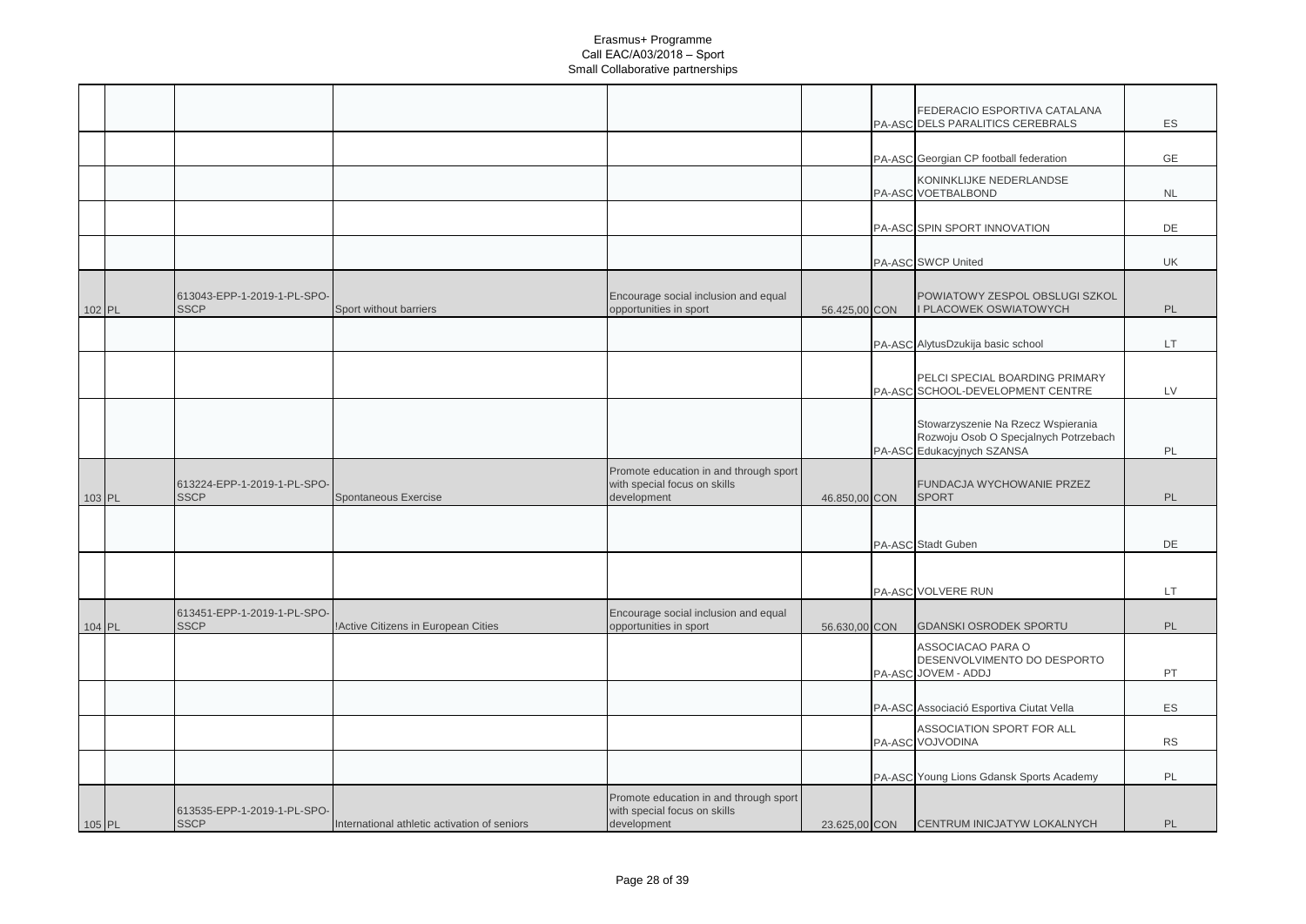|        |        |                                            |                                              |                                                                                       |               | FEDERACIO ESPORTIVA CATALANA                                                                              |           |
|--------|--------|--------------------------------------------|----------------------------------------------|---------------------------------------------------------------------------------------|---------------|-----------------------------------------------------------------------------------------------------------|-----------|
|        |        |                                            |                                              |                                                                                       |               | PA-ASC DELS PARALITICS CEREBRALS                                                                          | ES        |
|        |        |                                            |                                              |                                                                                       |               | PA-ASC Georgian CP football federation                                                                    | <b>GE</b> |
|        |        |                                            |                                              |                                                                                       |               | KONINKLIJKE NEDERLANDSE<br>PA-ASC VOETBALBOND                                                             | <b>NL</b> |
|        |        |                                            |                                              |                                                                                       |               | PA-ASC SPIN SPORT INNOVATION                                                                              | DE        |
|        |        |                                            |                                              |                                                                                       |               | PA-ASC SWCP United                                                                                        | UK        |
|        | 102 PL | 613043-EPP-1-2019-1-PL-SPO-<br><b>SSCP</b> | Sport without barriers                       | Encourage social inclusion and equal<br>opportunities in sport                        | 56.425,00 CON | POWIATOWY ZESPOL OBSLUGI SZKOL<br>I PLACOWEK OSWIATOWYCH                                                  | <b>PL</b> |
|        |        |                                            |                                              |                                                                                       |               | PA-ASC AlytusDzukija basic school                                                                         | LT.       |
|        |        |                                            |                                              |                                                                                       |               | PELCI SPECIAL BOARDING PRIMARY<br>PA-ASC SCHOOL-DEVELOPMENT CENTRE                                        | LV        |
|        |        |                                            |                                              |                                                                                       |               | Stowarzyszenie Na Rzecz Wspierania<br>Rozwoju Osob O Specjalnych Potrzebach<br>PA-ASC Edukacyjnych SZANSA | PL        |
|        | 103 PL | 613224-EPP-1-2019-1-PL-SPO-<br><b>SSCP</b> | Spontaneous Exercise                         | Promote education in and through sport<br>with special focus on skills<br>development | 46.850,00 CON | FUNDACJA WYCHOWANIE PRZEZ<br><b>SPORT</b>                                                                 | PL        |
|        |        |                                            |                                              |                                                                                       |               |                                                                                                           |           |
|        |        |                                            |                                              |                                                                                       |               | PA-ASC Stadt Guben                                                                                        | <b>DE</b> |
|        |        |                                            |                                              |                                                                                       |               | PA-ASC VOLVERE RUN                                                                                        | LT.       |
| 104 PL |        | 613451-EPP-1-2019-1-PL-SPO-<br><b>SSCP</b> | !Active Citizens in European Cities          | Encourage social inclusion and equal<br>opportunities in sport                        | 56.630,00 CON | <b>GDANSKI OSRODEK SPORTU</b>                                                                             | <b>PL</b> |
|        |        |                                            |                                              |                                                                                       |               | ASSOCIACAO PARA O<br>DESENVOLVIMENTO DO DESPORTO<br>PA-ASC JOVEM - ADDJ                                   | PT        |
|        |        |                                            |                                              |                                                                                       |               | PA-ASC Associació Esportiva Ciutat Vella                                                                  | ES        |
|        |        |                                            |                                              |                                                                                       |               | ASSOCIATION SPORT FOR ALL<br>PA-ASC VOJVODINA                                                             | <b>RS</b> |
|        |        |                                            |                                              |                                                                                       |               | PA-ASC Young Lions Gdansk Sports Academy                                                                  | PL        |
| 105 PL |        | 613535-EPP-1-2019-1-PL-SPO-<br><b>SSCP</b> | International athletic activation of seniors | Promote education in and through sport<br>with special focus on skills<br>development | 23.625,00 CON | CENTRUM INICJATYW LOKALNYCH                                                                               | PL        |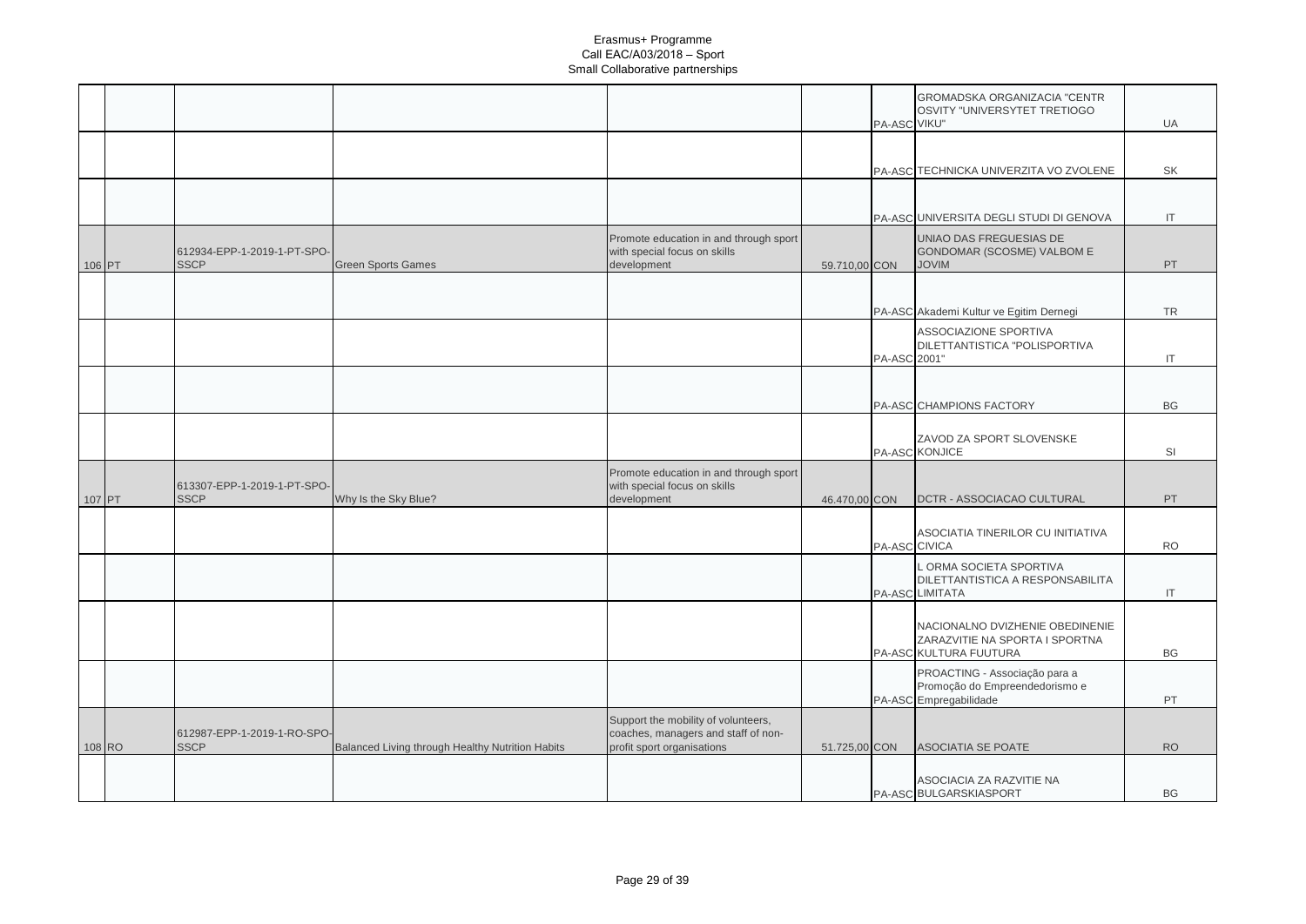|        |                                            |                                                  |                                                                                                          |               | PA-ASC VIKU"  | GROMADSKA ORGANIZACIA "CENTR<br>OSVITY "UNIVERSYTET TRETIOGO                                | UA        |
|--------|--------------------------------------------|--------------------------------------------------|----------------------------------------------------------------------------------------------------------|---------------|---------------|---------------------------------------------------------------------------------------------|-----------|
|        |                                            |                                                  |                                                                                                          |               |               | PA-ASC TECHNICKA UNIVERZITA VO ZVOLENE                                                      | SK        |
|        |                                            |                                                  |                                                                                                          |               |               | PA-ASC UNIVERSITA DEGLI STUDI DI GENOVA                                                     | IT        |
| 106 PT | 612934-EPP-1-2019-1-PT-SPO-<br><b>SSCP</b> | <b>Green Sports Games</b>                        | Promote education in and through sport<br>with special focus on skills<br>development                    | 59.710,00 CON |               | UNIAO DAS FREGUESIAS DE<br>GONDOMAR (SCOSME) VALBOM E<br><b>MIVOL</b>                       | PT        |
|        |                                            |                                                  |                                                                                                          |               |               | PA-ASC Akademi Kultur ve Egitim Dernegi                                                     | <b>TR</b> |
|        |                                            |                                                  |                                                                                                          |               | PA-ASC 2001"  | ASSOCIAZIONE SPORTIVA<br>DILETTANTISTICA "POLISPORTIVA                                      | IT        |
|        |                                            |                                                  |                                                                                                          |               |               | PA-ASC CHAMPIONS FACTORY                                                                    | <b>BG</b> |
|        |                                            |                                                  |                                                                                                          |               |               | ZAVOD ZA SPORT SLOVENSKE<br>PA-ASC KONJICE                                                  | SI        |
| 107 PT | 613307-EPP-1-2019-1-PT-SPO-<br><b>SSCP</b> | Why Is the Sky Blue?                             | Promote education in and through sport<br>with special focus on skills<br>development                    | 46.470,00 CON |               | DCTR - ASSOCIACAO CULTURAL                                                                  | PT        |
|        |                                            |                                                  |                                                                                                          |               | PA-ASC CIVICA | ASOCIATIA TINERILOR CU INITIATIVA                                                           | <b>RO</b> |
|        |                                            |                                                  |                                                                                                          |               |               | L ORMA SOCIETA SPORTIVA<br>DILETTANTISTICA A RESPONSABILITA<br>PA-ASC LIMITATA              | IT        |
|        |                                            |                                                  |                                                                                                          |               |               | NACIONALNO DVIZHENIE OBEDINENIE<br>ZARAZVITIE NA SPORTA I SPORTNA<br>PA-ASC KULTURA FUUTURA | <b>BG</b> |
|        |                                            |                                                  |                                                                                                          |               |               | PROACTING - Associação para a<br>Promoção do Empreendedorismo e<br>PA-ASC Empregabilidade   | <b>PT</b> |
| 108 RO | 612987-EPP-1-2019-1-RO-SPO-<br><b>SSCP</b> | Balanced Living through Healthy Nutrition Habits | Support the mobility of volunteers,<br>coaches, managers and staff of non-<br>profit sport organisations | 51.725,00 CON |               | ASOCIATIA SE POATE                                                                          | <b>RO</b> |
|        |                                            |                                                  |                                                                                                          |               |               | ASOCIACIA ZA RAZVITIE NA<br>PA-ASC BULGARSKIASPORT                                          | <b>BG</b> |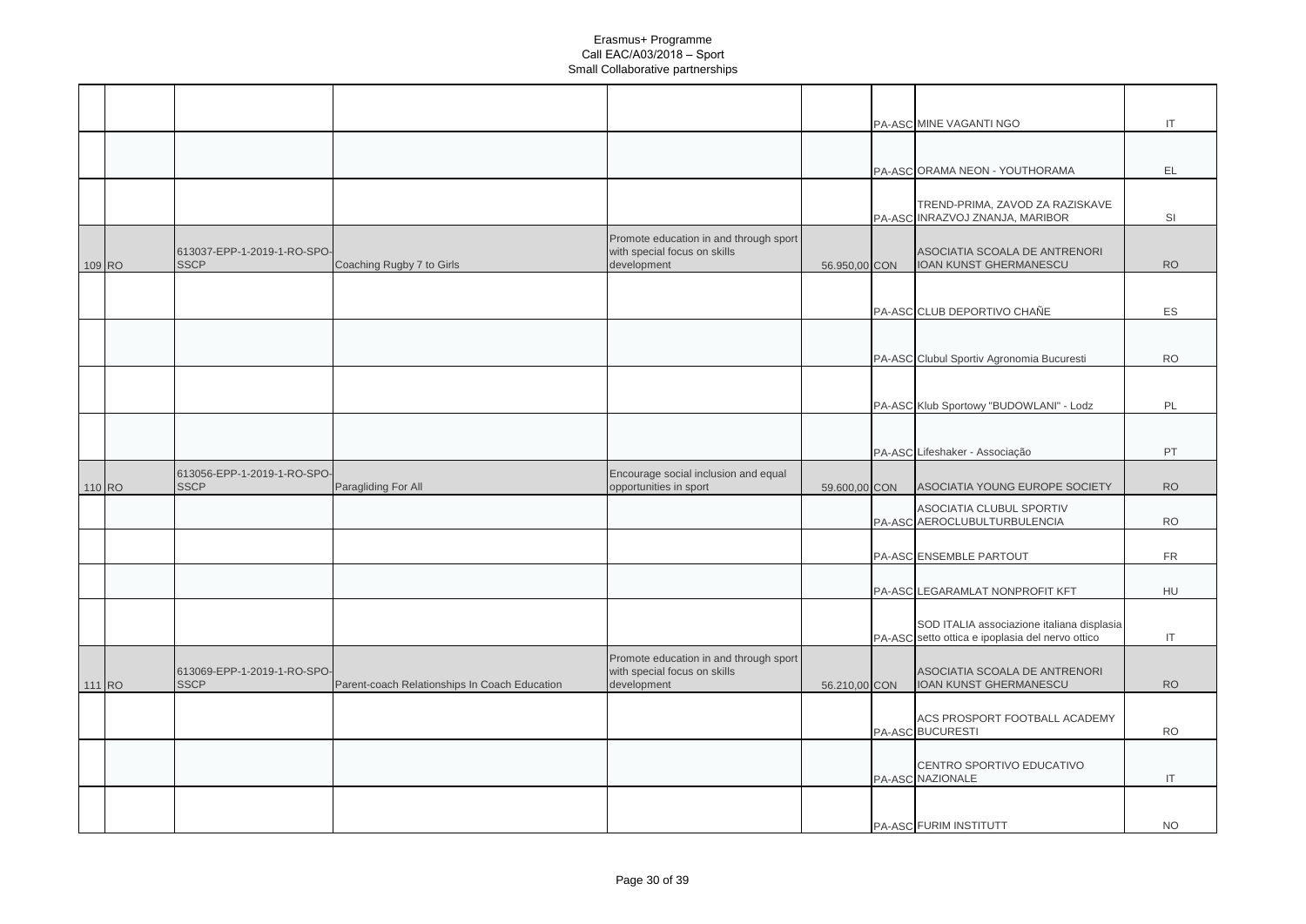|        |                                            |                                               |                                                                                       |               | PA-ASC MINE VAGANTI NGO                                                                        | $\mathsf{I}\mathsf{T}$            |
|--------|--------------------------------------------|-----------------------------------------------|---------------------------------------------------------------------------------------|---------------|------------------------------------------------------------------------------------------------|-----------------------------------|
|        |                                            |                                               |                                                                                       |               |                                                                                                |                                   |
|        |                                            |                                               |                                                                                       |               | PA-ASC ORAMA NEON - YOUTHORAMA                                                                 | EL                                |
|        |                                            |                                               |                                                                                       |               | TREND-PRIMA, ZAVOD ZA RAZISKAVE<br>PA-ASC INRAZVOJ ZNANJA, MARIBOR                             | SI                                |
| 109 RO | 613037-EPP-1-2019-1-RO-SPO-<br><b>SSCP</b> | Coaching Rugby 7 to Girls                     | Promote education in and through sport<br>with special focus on skills<br>development | 56.950,00 CON | ASOCIATIA SCOALA DE ANTRENORI<br>IOAN KUNST GHERMANESCU                                        | <b>RO</b>                         |
|        |                                            |                                               |                                                                                       |               |                                                                                                |                                   |
|        |                                            |                                               |                                                                                       |               | PA-ASC CLUB DEPORTIVO CHAÑE                                                                    | ES                                |
|        |                                            |                                               |                                                                                       |               |                                                                                                |                                   |
|        |                                            |                                               |                                                                                       |               | PA-ASC Clubul Sportiv Agronomia Bucuresti                                                      | <b>RO</b>                         |
|        |                                            |                                               |                                                                                       |               |                                                                                                |                                   |
|        |                                            |                                               |                                                                                       |               | PA-ASC Klub Sportowy "BUDOWLANI" - Lodz                                                        | PL                                |
|        |                                            |                                               |                                                                                       |               |                                                                                                |                                   |
|        |                                            |                                               |                                                                                       |               | PA-ASC Lifeshaker - Associação                                                                 | PT                                |
| 110 RO | 613056-EPP-1-2019-1-RO-SPO-<br><b>SSCP</b> | Paragliding For All                           | Encourage social inclusion and equal<br>opportunities in sport                        | 59.600,00 CON | ASOCIATIA YOUNG EUROPE SOCIETY                                                                 | <b>RO</b>                         |
|        |                                            |                                               |                                                                                       |               | ASOCIATIA CLUBUL SPORTIV<br>PA-ASC AEROCLUBULTURBULENCIA                                       | <b>RO</b>                         |
|        |                                            |                                               |                                                                                       |               | PA-ASC ENSEMBLE PARTOUT                                                                        | <b>FR</b>                         |
|        |                                            |                                               |                                                                                       |               |                                                                                                |                                   |
|        |                                            |                                               |                                                                                       |               | PA-ASC LEGARAMLAT NONPROFIT KFT                                                                | HU                                |
|        |                                            |                                               |                                                                                       |               | SOD ITALIA associazione italiana displasia<br>PA-ASC setto ottica e ipoplasia del nervo ottico | $\ensuremath{\mathsf{IT}}\xspace$ |
| 111 RO | 613069-EPP-1-2019-1-RO-SPO-<br><b>SSCP</b> | Parent-coach Relationships In Coach Education | Promote education in and through sport<br>with special focus on skills<br>development | 56.210,00 CON | ASOCIATIA SCOALA DE ANTRENORI<br>IOAN KUNST GHERMANESCU                                        | <b>RO</b>                         |
|        |                                            |                                               |                                                                                       |               | ACS PROSPORT FOOTBALL ACADEMY                                                                  |                                   |
|        |                                            |                                               |                                                                                       |               | PA-ASC BUCURESTI                                                                               | <b>RO</b>                         |
|        |                                            |                                               |                                                                                       |               | CENTRO SPORTIVO EDUCATIVO<br>PA-ASC NAZIONALE                                                  | $\sf IT$                          |
|        |                                            |                                               |                                                                                       |               | PA-ASC FURIM INSTITUTT                                                                         | <b>NO</b>                         |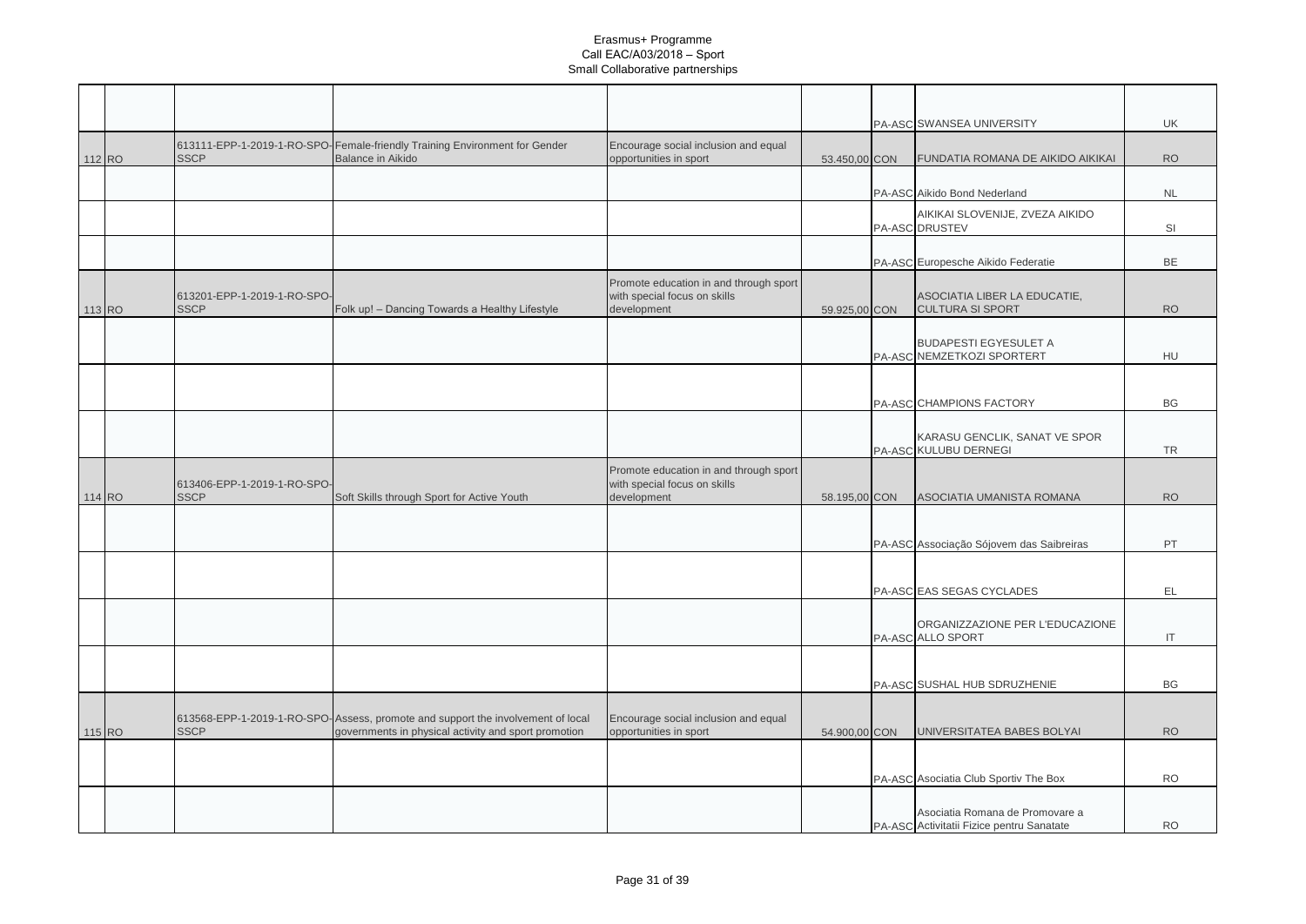|        |                                            |                                                                                                                                         |                                                                                       |               | PA-ASC SWANSEA UNIVERSITY                                                    | UK                     |
|--------|--------------------------------------------|-----------------------------------------------------------------------------------------------------------------------------------------|---------------------------------------------------------------------------------------|---------------|------------------------------------------------------------------------------|------------------------|
| 112 RO | <b>SSCP</b>                                | 613111-EPP-1-2019-1-RO-SPO-Female-friendly Training Environment for Gender<br>Balance in Aikido                                         | Encourage social inclusion and equal<br>opportunities in sport                        | 53.450,00 CON | FUNDATIA ROMANA DE AIKIDO AIKIKAI                                            | <b>RO</b>              |
|        |                                            |                                                                                                                                         |                                                                                       |               | PA-ASC Aikido Bond Nederland                                                 | <b>NL</b>              |
|        |                                            |                                                                                                                                         |                                                                                       |               | AIKIKAI SLOVENIJE, ZVEZA AIKIDO<br>PA-ASC DRUSTEV                            | SI                     |
|        |                                            |                                                                                                                                         |                                                                                       |               | PA-ASC Europesche Aikido Federatie                                           | <b>BE</b>              |
| 113 RO | 613201-EPP-1-2019-1-RO-SPO-<br><b>SSCP</b> | Folk up! - Dancing Towards a Healthy Lifestyle                                                                                          | Promote education in and through sport<br>with special focus on skills<br>development | 59.925,00 CON | ASOCIATIA LIBER LA EDUCATIE,<br><b>CULTURA SI SPORT</b>                      | <b>RO</b>              |
|        |                                            |                                                                                                                                         |                                                                                       |               | <b>BUDAPESTI EGYESULET A</b><br>PA-ASC NEMZETKOZI SPORTERT                   | HU                     |
|        |                                            |                                                                                                                                         |                                                                                       |               | PA-ASC CHAMPIONS FACTORY                                                     | BG                     |
|        |                                            |                                                                                                                                         |                                                                                       |               | KARASU GENCLIK, SANAT VE SPOR<br>PA-ASC KULUBU DERNEGI                       | <b>TR</b>              |
| 114 RO | 613406-EPP-1-2019-1-RO-SPO-<br><b>SSCP</b> | Soft Skills through Sport for Active Youth                                                                                              | Promote education in and through sport<br>with special focus on skills<br>development | 58.195,00 CON | ASOCIATIA UMANISTA ROMANA                                                    | <b>RO</b>              |
|        |                                            |                                                                                                                                         |                                                                                       |               |                                                                              |                        |
|        |                                            |                                                                                                                                         |                                                                                       |               | PA-ASC Associação Sójovem das Saibreiras                                     | PT.                    |
|        |                                            |                                                                                                                                         |                                                                                       |               |                                                                              |                        |
|        |                                            |                                                                                                                                         |                                                                                       |               | PA-ASC EAS SEGAS CYCLADES                                                    | EL                     |
|        |                                            |                                                                                                                                         |                                                                                       |               | ORGANIZZAZIONE PER L'EDUCAZIONE<br>PA-ASC ALLO SPORT                         | $\mathsf{I}\mathsf{T}$ |
|        |                                            |                                                                                                                                         |                                                                                       |               |                                                                              |                        |
|        |                                            |                                                                                                                                         |                                                                                       |               | PA-ASC SUSHAL HUB SDRUZHENIE                                                 | <b>BG</b>              |
| 115 RO | <b>SSCP</b>                                | 613568-EPP-1-2019-1-RO-SPO-Assess, promote and support the involvement of local<br>governments in physical activity and sport promotion | Encourage social inclusion and equal<br>opportunities in sport                        | 54.900,00 CON | UNIVERSITATEA BABES BOLYAI                                                   | <b>RO</b>              |
|        |                                            |                                                                                                                                         |                                                                                       |               | PA-ASC Asociatia Club Sportiv The Box                                        | <b>RO</b>              |
|        |                                            |                                                                                                                                         |                                                                                       |               | Asociatia Romana de Promovare a<br>PA-ASC Activitatii Fizice pentru Sanatate | <b>RO</b>              |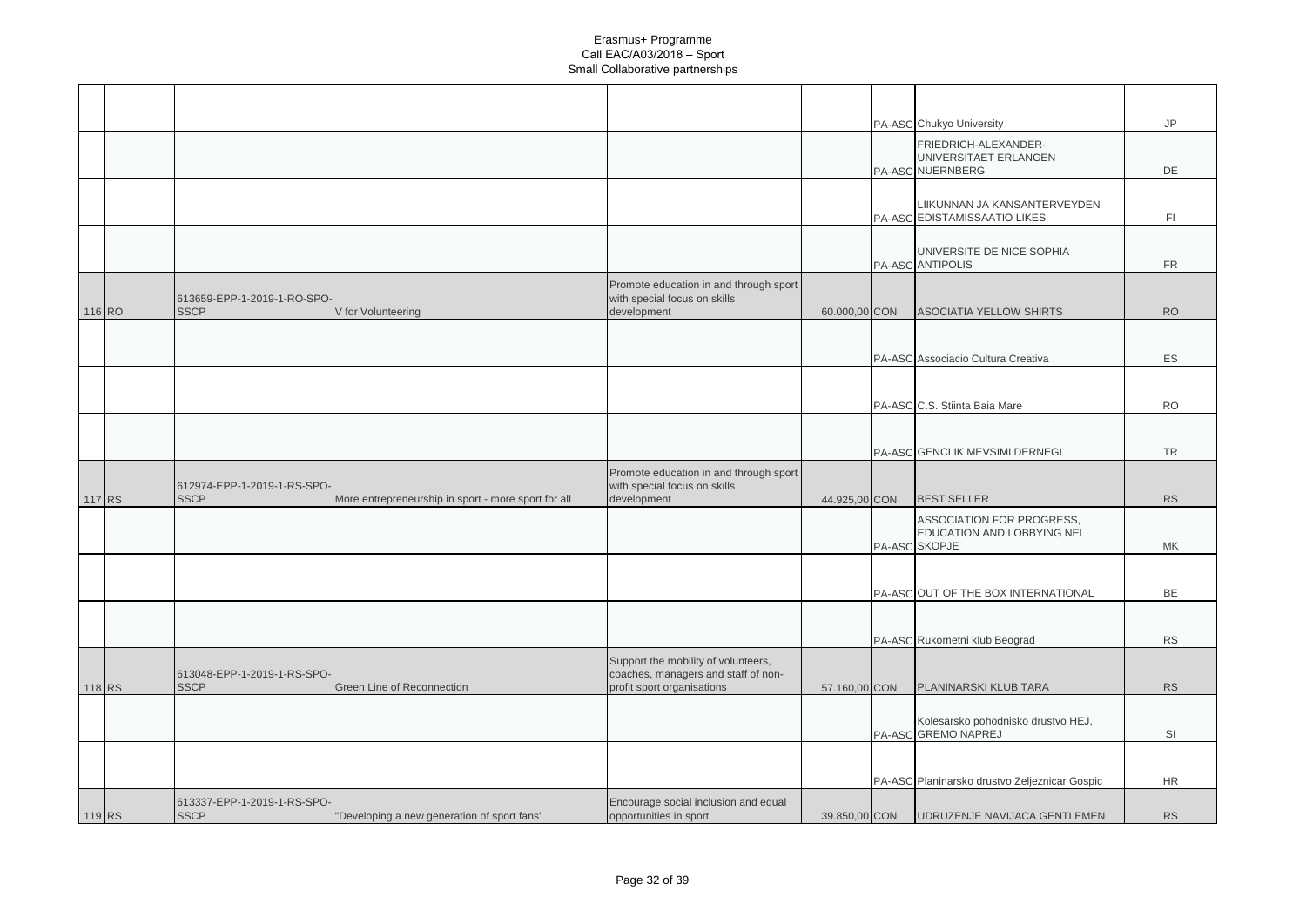|        |                                            |                                                     |                                                                            |               | PA-ASC Chukyo University                                | <b>JP</b> |
|--------|--------------------------------------------|-----------------------------------------------------|----------------------------------------------------------------------------|---------------|---------------------------------------------------------|-----------|
|        |                                            |                                                     |                                                                            |               | FRIEDRICH-ALEXANDER-<br>UNIVERSITAET ERLANGEN           |           |
|        |                                            |                                                     |                                                                            |               | PA-ASC NUERNBERG                                        | DE        |
|        |                                            |                                                     |                                                                            |               | LIIKUNNAN JA KANSANTERVEYDEN                            |           |
|        |                                            |                                                     |                                                                            |               | PA-ASC EDISTAMISSAATIO LIKES                            | FI        |
|        |                                            |                                                     |                                                                            |               | UNIVERSITE DE NICE SOPHIA                               |           |
|        |                                            |                                                     |                                                                            |               | PA-ASC ANTIPOLIS                                        | <b>FR</b> |
|        | 613659-EPP-1-2019-1-RO-SPO-                |                                                     | Promote education in and through sport<br>with special focus on skills     |               |                                                         |           |
| 116 RO | <b>SSCP</b>                                | V for Volunteering                                  | development                                                                | 60.000,00 CON | <b>ASOCIATIA YELLOW SHIRTS</b>                          | <b>RO</b> |
|        |                                            |                                                     |                                                                            |               |                                                         |           |
|        |                                            |                                                     |                                                                            |               | PA-ASC Associacio Cultura Creativa                      | ES        |
|        |                                            |                                                     |                                                                            |               |                                                         |           |
|        |                                            |                                                     |                                                                            |               | PA-ASC C.S. Stiinta Baia Mare                           | <b>RO</b> |
|        |                                            |                                                     |                                                                            |               |                                                         |           |
|        |                                            |                                                     |                                                                            |               | PA-ASC GENCLIK MEVSIMI DERNEGI                          | <b>TR</b> |
|        | 612974-EPP-1-2019-1-RS-SPO-                |                                                     | Promote education in and through sport<br>with special focus on skills     |               |                                                         |           |
| 117 RS | <b>SSCP</b>                                | More entrepreneurship in sport - more sport for all | development                                                                | 44.925,00 CON | <b>BEST SELLER</b>                                      | <b>RS</b> |
|        |                                            |                                                     |                                                                            |               | ASSOCIATION FOR PROGRESS,<br>EDUCATION AND LOBBYING NEL |           |
|        |                                            |                                                     |                                                                            |               | PA-ASC SKOPJE                                           | МK        |
|        |                                            |                                                     |                                                                            |               |                                                         |           |
|        |                                            |                                                     |                                                                            |               | PA-ASC OUT OF THE BOX INTERNATIONAL                     | BE        |
|        |                                            |                                                     |                                                                            |               |                                                         |           |
|        |                                            |                                                     |                                                                            |               | PA-ASC Rukometni klub Beograd                           | <b>RS</b> |
|        | 613048-EPP-1-2019-1-RS-SPO-                |                                                     | Support the mobility of volunteers,<br>coaches, managers and staff of non- |               |                                                         |           |
| 118 RS | <b>SSCP</b>                                | Green Line of Reconnection                          | profit sport organisations                                                 | 57.160,00 CON | PLANINARSKI KLUB TARA                                   | <b>RS</b> |
|        |                                            |                                                     |                                                                            |               | Kolesarsko pohodnisko drustvo HEJ,                      |           |
|        |                                            |                                                     |                                                                            |               | PA-ASC GREMO NAPREJ                                     | SI        |
|        |                                            |                                                     |                                                                            |               |                                                         |           |
|        |                                            |                                                     |                                                                            |               | PA-ASC Planinarsko drustvo Zeljeznicar Gospic           | <b>HR</b> |
| 119 RS | 613337-EPP-1-2019-1-RS-SPO-<br><b>SSCP</b> | "Developing a new generation of sport fans"         | Encourage social inclusion and equal<br>opportunities in sport             | 39.850,00 CON | UDRUZENJE NAVIJACA GENTLEMEN                            | <b>RS</b> |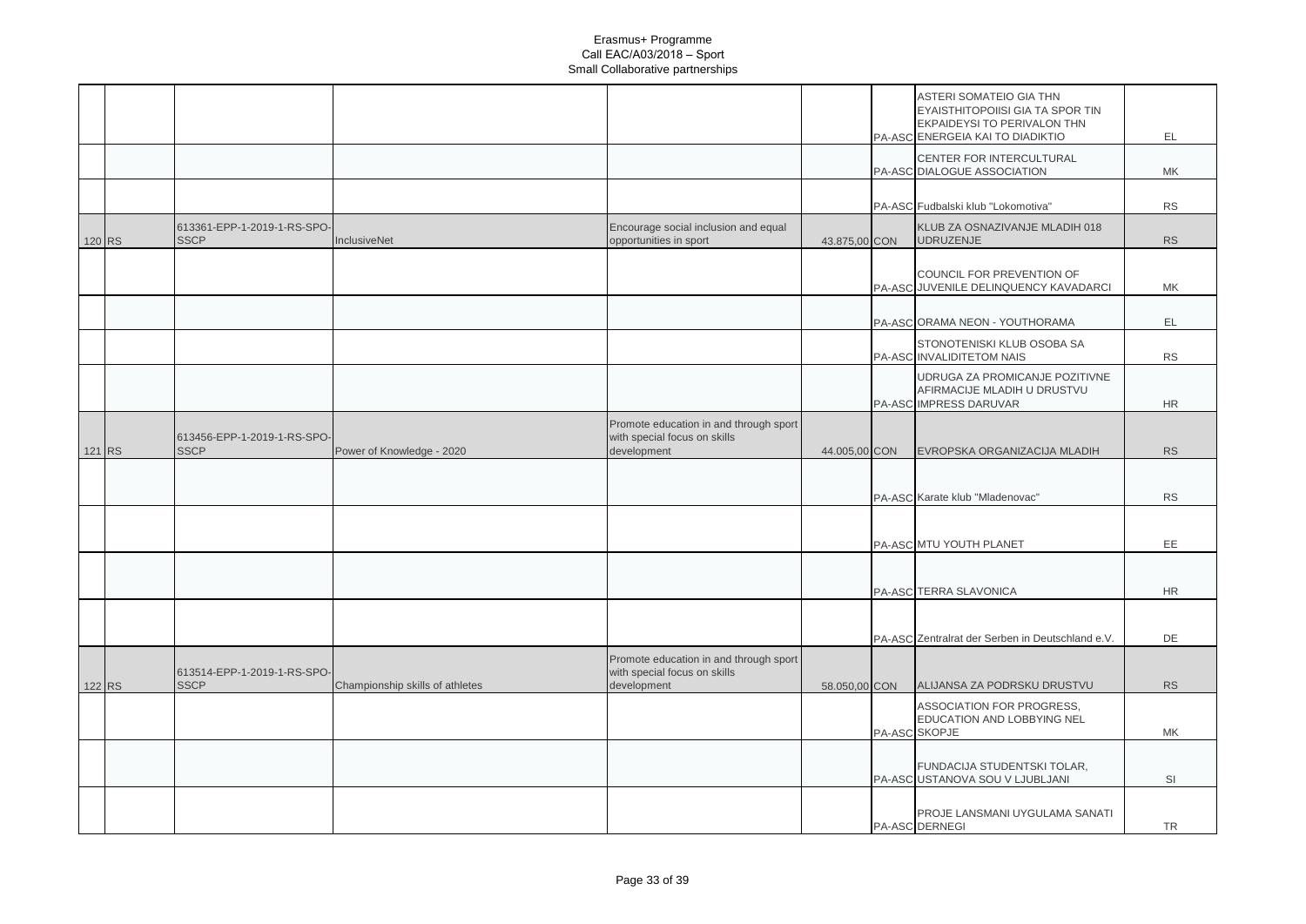|        |                                            |                                 |                                                                                       |               | ASTERI SOMATEIO GIA THN<br>EYAISTHITOPOIISI GIA TA SPOR TIN<br>EKPAIDEYSI TO PERIVALON THN<br>PA-ASC ENERGEIA KAI TO DIADIKTIO | EL.       |
|--------|--------------------------------------------|---------------------------------|---------------------------------------------------------------------------------------|---------------|--------------------------------------------------------------------------------------------------------------------------------|-----------|
|        |                                            |                                 |                                                                                       |               | CENTER FOR INTERCULTURAL<br>PA-ASC DIALOGUE ASSOCIATION                                                                        | <b>MK</b> |
|        |                                            |                                 |                                                                                       |               | PA-ASC Fudbalski klub "Lokomotiva"                                                                                             | <b>RS</b> |
| 120 RS | 613361-EPP-1-2019-1-RS-SPO-<br><b>SSCP</b> | InclusiveNet                    | Encourage social inclusion and equal<br>opportunities in sport                        | 43.875,00 CON | KLUB ZA OSNAZIVANJE MLADIH 018<br><b>UDRUZENJE</b>                                                                             | <b>RS</b> |
|        |                                            |                                 |                                                                                       |               | COUNCIL FOR PREVENTION OF<br>PA-ASC JUVENILE DELINQUENCY KAVADARCI                                                             | MK        |
|        |                                            |                                 |                                                                                       |               | PA-ASC ORAMA NEON - YOUTHORAMA                                                                                                 | EL.       |
|        |                                            |                                 |                                                                                       |               | STONOTENISKI KLUB OSOBA SA<br>PA-ASC INVALIDITETOM NAIS                                                                        | <b>RS</b> |
|        |                                            |                                 |                                                                                       |               | UDRUGA ZA PROMICANJE POZITIVNE<br>AFIRMACIJE MLADIH U DRUSTVU<br>PA-ASC IMPRESS DARUVAR                                        | <b>HR</b> |
| 121 RS | 613456-EPP-1-2019-1-RS-SPO-<br><b>SSCP</b> | Power of Knowledge - 2020       | Promote education in and through sport<br>with special focus on skills<br>development | 44.005,00 CON | EVROPSKA ORGANIZACIJA MLADIH                                                                                                   | <b>RS</b> |
|        |                                            |                                 |                                                                                       |               | PA-ASC Karate klub "Mladenovac"                                                                                                | <b>RS</b> |
|        |                                            |                                 |                                                                                       |               |                                                                                                                                |           |
|        |                                            |                                 |                                                                                       |               | PA-ASC MTU YOUTH PLANET                                                                                                        | EE        |
|        |                                            |                                 |                                                                                       |               | PA-ASC TERRA SLAVONICA                                                                                                         | <b>HR</b> |
|        |                                            |                                 |                                                                                       |               | PA-ASC Zentralrat der Serben in Deutschland e.V.                                                                               | DE        |
| 122 RS | 613514-EPP-1-2019-1-RS-SPO-<br><b>SSCP</b> | Championship skills of athletes | Promote education in and through sport<br>with special focus on skills<br>development | 58.050,00 CON | ALIJANSA ZA PODRSKU DRUSTVU                                                                                                    | <b>RS</b> |
|        |                                            |                                 |                                                                                       |               | ASSOCIATION FOR PROGRESS.<br>EDUCATION AND LOBBYING NEL<br>PA-ASC SKOPJE                                                       | МK        |
|        |                                            |                                 |                                                                                       |               | FUNDACIJA STUDENTSKI TOLAR.<br>PA-ASC USTANOVA SOU V LJUBLJANI                                                                 | SI        |
|        |                                            |                                 |                                                                                       |               | PROJE LANSMANI UYGULAMA SANATI<br>PA-ASC DERNEGI                                                                               | <b>TR</b> |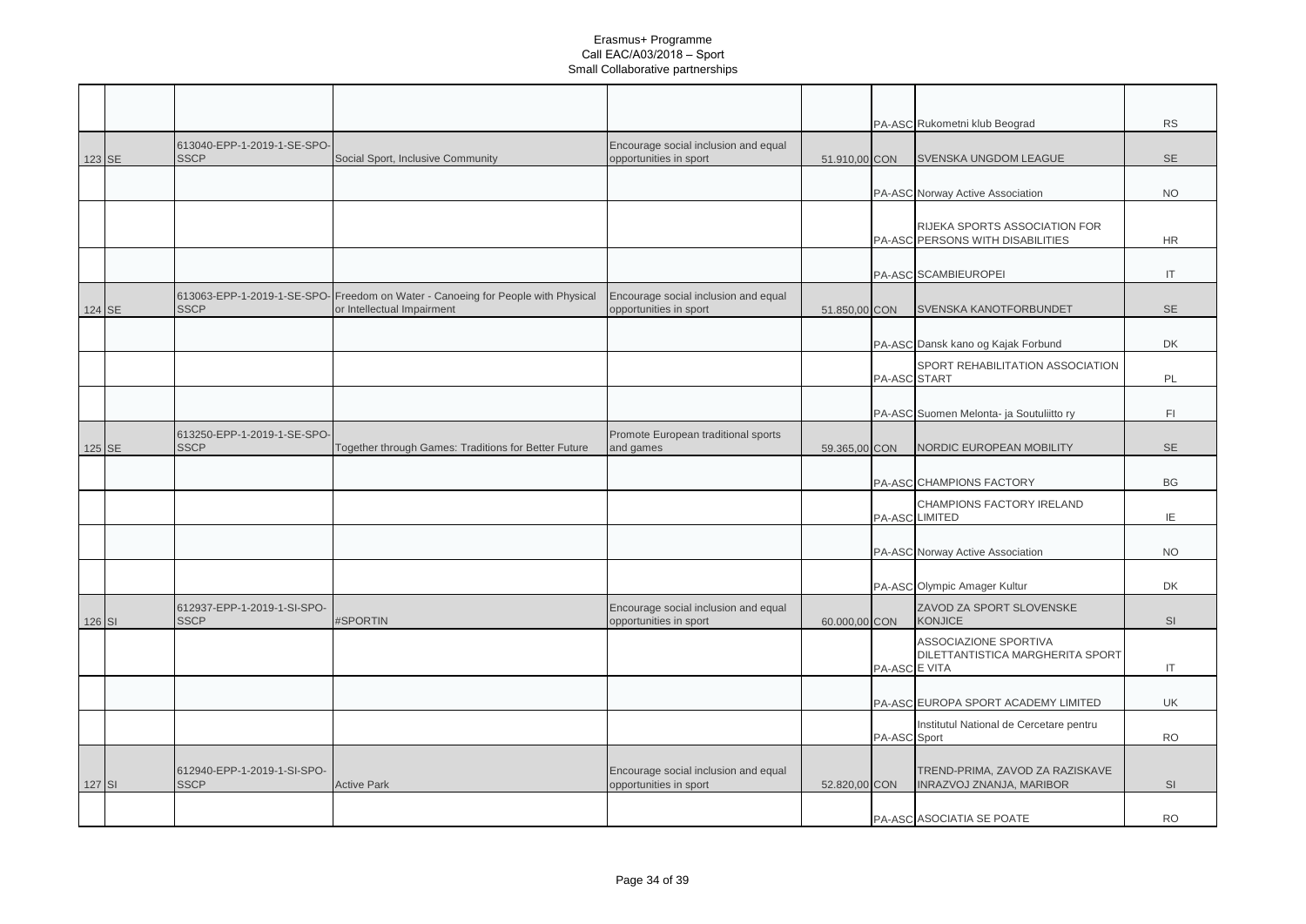|          |                                            |                                                                                                                |                                                                |               |               | PA-ASC Rukometni klub Beograd                                     | <b>RS</b>              |
|----------|--------------------------------------------|----------------------------------------------------------------------------------------------------------------|----------------------------------------------------------------|---------------|---------------|-------------------------------------------------------------------|------------------------|
| 123 SE   | 613040-EPP-1-2019-1-SE-SPO-<br><b>SSCP</b> | Social Sport, Inclusive Community                                                                              | Encourage social inclusion and equal<br>opportunities in sport | 51.910,00 CON |               | SVENSKA UNGDOM LEAGUE                                             | <b>SE</b>              |
|          |                                            |                                                                                                                |                                                                |               |               | PA-ASC Norway Active Association                                  | <b>NO</b>              |
|          |                                            |                                                                                                                |                                                                |               |               | RIJEKA SPORTS ASSOCIATION FOR<br>PA-ASC PERSONS WITH DISABILITIES | <b>HR</b>              |
|          |                                            |                                                                                                                |                                                                |               |               | PA-ASC SCAMBIEUROPEI                                              | $\sf IT$               |
| 124 SE   | <b>SSCP</b>                                | 613063-EPP-1-2019-1-SE-SPO- Freedom on Water - Canoeing for People with Physical<br>or Intellectual Impairment | Encourage social inclusion and equal<br>opportunities in sport | 51.850,00 CON |               | SVENSKA KANOTFORBUNDET                                            | <b>SE</b>              |
|          |                                            |                                                                                                                |                                                                |               |               | PA-ASC Dansk kano og Kajak Forbund                                | DK                     |
|          |                                            |                                                                                                                |                                                                |               | PA-ASC START  | SPORT REHABILITATION ASSOCIATION                                  | PL                     |
|          |                                            |                                                                                                                |                                                                |               |               | PA-ASC Suomen Melonta- ja Soutuliitto ry                          | F1                     |
| 125 SE   | 613250-EPP-1-2019-1-SE-SPO-<br><b>SSCP</b> | Together through Games: Traditions for Better Future                                                           | Promote European traditional sports<br>and games               | 59.365,00 CON |               | NORDIC EUROPEAN MOBILITY                                          | <b>SE</b>              |
|          |                                            |                                                                                                                |                                                                |               |               | PA-ASC CHAMPIONS FACTORY                                          | <b>BG</b>              |
|          |                                            |                                                                                                                |                                                                |               |               | CHAMPIONS FACTORY IRELAND<br>PA-ASC LIMITED                       | IE                     |
|          |                                            |                                                                                                                |                                                                |               |               | PA-ASC Norway Active Association                                  | <b>NO</b>              |
|          |                                            |                                                                                                                |                                                                |               |               | PA-ASC Olympic Amager Kultur                                      | <b>DK</b>              |
| 126 SI   | 612937-EPP-1-2019-1-SI-SPO-<br><b>SSCP</b> | #SPORTIN                                                                                                       | Encourage social inclusion and equal<br>opportunities in sport | 60.000,00 CON |               | ZAVOD ZA SPORT SLOVENSKE<br><b>KONJICE</b>                        | SI                     |
|          |                                            |                                                                                                                |                                                                |               | PA-ASC E VITA | ASSOCIAZIONE SPORTIVA<br>DILETTANTISTICA MARGHERITA SPORT         | $\mathsf{I}\mathsf{T}$ |
|          |                                            |                                                                                                                |                                                                |               |               | PA-ASC EUROPA SPORT ACADEMY LIMITED                               | UK                     |
|          |                                            |                                                                                                                |                                                                |               | PA-ASC Sport  | Institutul National de Cercetare pentru                           | <b>RO</b>              |
| $127$ SI | 612940-EPP-1-2019-1-SI-SPO-<br><b>SSCP</b> | <b>Active Park</b>                                                                                             | Encourage social inclusion and equal<br>opportunities in sport | 52.820,00 CON |               | TREND-PRIMA, ZAVOD ZA RAZISKAVE<br>INRAZVOJ ZNANJA, MARIBOR       | SI                     |
|          |                                            |                                                                                                                |                                                                |               |               | PA-ASC ASOCIATIA SE POATE                                         | <b>RO</b>              |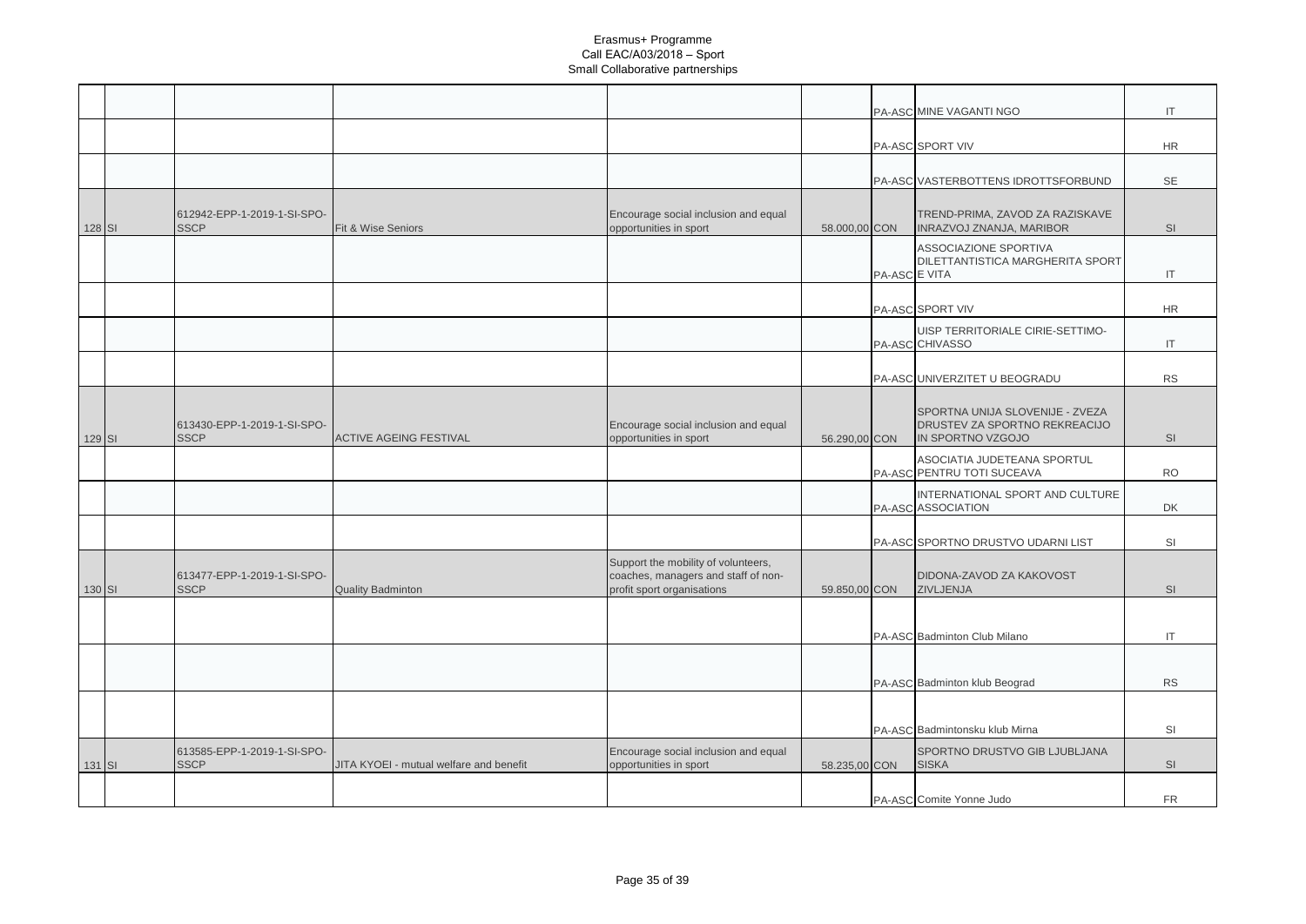|        |                                            |                                         |                                                                                                          |               |               | PA-ASC MINE VAGANTI NGO                                                               | IT        |
|--------|--------------------------------------------|-----------------------------------------|----------------------------------------------------------------------------------------------------------|---------------|---------------|---------------------------------------------------------------------------------------|-----------|
|        |                                            |                                         |                                                                                                          |               |               | PA-ASC SPORT VIV                                                                      | <b>HR</b> |
|        |                                            |                                         |                                                                                                          |               |               | PA-ASC VASTERBOTTENS IDROTTSFORBUND                                                   | <b>SE</b> |
| 128 SI | 612942-EPP-1-2019-1-SI-SPO-<br><b>SSCP</b> | Fit & Wise Seniors                      | Encourage social inclusion and equal<br>opportunities in sport                                           | 58.000,00 CON |               | TREND-PRIMA, ZAVOD ZA RAZISKAVE<br>INRAZVOJ ZNANJA, MARIBOR                           | SI        |
|        |                                            |                                         |                                                                                                          |               | PA-ASC E VITA | ASSOCIAZIONE SPORTIVA<br>DILETTANTISTICA MARGHERITA SPORT                             | IT        |
|        |                                            |                                         |                                                                                                          |               |               | PA-ASC SPORT VIV                                                                      | <b>HR</b> |
|        |                                            |                                         |                                                                                                          |               |               | UISP TERRITORIALE CIRIE-SETTIMO-<br>PA-ASC CHIVASSO                                   | IT.       |
|        |                                            |                                         |                                                                                                          |               |               | PA-ASC UNIVERZITET U BEOGRADU                                                         | <b>RS</b> |
| 129 SI | 613430-EPP-1-2019-1-SI-SPO-<br><b>SSCP</b> | <b>ACTIVE AGEING FESTIVAL</b>           | Encourage social inclusion and equal<br>opportunities in sport                                           | 56.290,00 CON |               | SPORTNA UNIJA SLOVENIJE - ZVEZA<br>DRUSTEV ZA SPORTNO REKREACIJO<br>IN SPORTNO VZGOJO | <b>SI</b> |
|        |                                            |                                         |                                                                                                          |               |               | ASOCIATIA JUDETEANA SPORTUL<br>PA-ASC PENTRU TOTI SUCEAVA                             | <b>RO</b> |
|        |                                            |                                         |                                                                                                          |               |               | INTERNATIONAL SPORT AND CULTURE<br>PA-ASC ASSOCIATION                                 | DK        |
|        |                                            |                                         |                                                                                                          |               |               | PA-ASC SPORTNO DRUSTVO UDARNI LIST                                                    | SI        |
| 130 SI | 613477-EPP-1-2019-1-SI-SPO-<br><b>SSCP</b> | <b>Quality Badminton</b>                | Support the mobility of volunteers,<br>coaches, managers and staff of non-<br>profit sport organisations | 59.850,00 CON |               | DIDONA-ZAVOD ZA KAKOVOST<br>ZIVLJENJA                                                 | SI        |
|        |                                            |                                         |                                                                                                          |               |               | PA-ASC Badminton Club Milano                                                          | IT        |
|        |                                            |                                         |                                                                                                          |               |               | PA-ASC Badminton klub Beograd                                                         | <b>RS</b> |
|        |                                            |                                         |                                                                                                          |               |               |                                                                                       |           |
|        | 613585-EPP-1-2019-1-SI-SPO-                |                                         | Encourage social inclusion and equal                                                                     |               |               | PA-ASC Badmintonsku klub Mirna<br>SPORTNO DRUSTVO GIB LJUBLJANA                       | SI        |
| 131 SI | <b>SSCP</b>                                | JITA KYOEI - mutual welfare and benefit | opportunities in sport                                                                                   | 58.235,00 CON |               | <b>SISKA</b>                                                                          | SI        |
|        |                                            |                                         |                                                                                                          |               |               | PA-ASC Comite Yonne Judo                                                              | <b>FR</b> |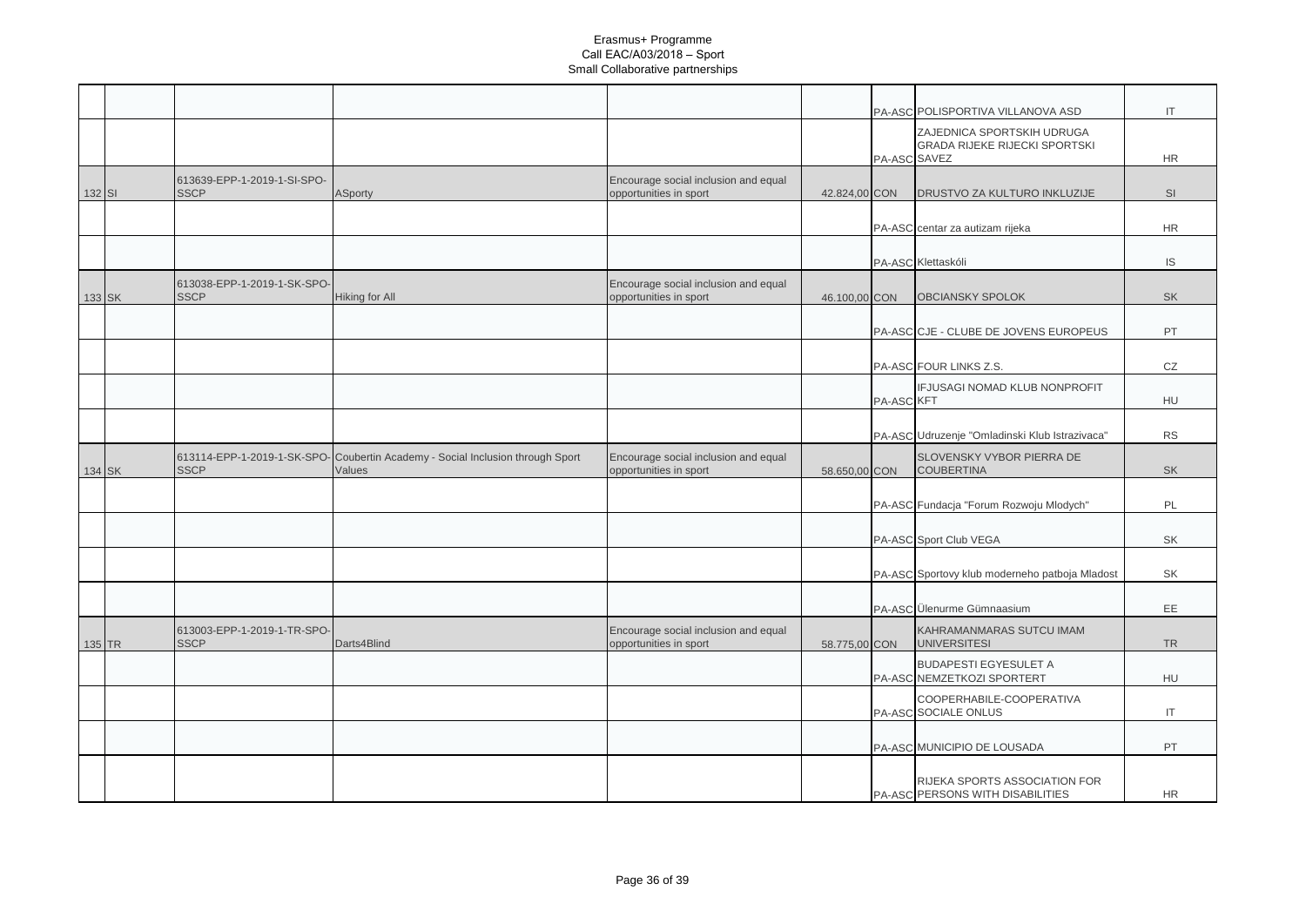|        |                                            |                                                                                         |                                                                |               |              | PA-ASC POLISPORTIVA VILLANOVA ASD                                 | IT        |
|--------|--------------------------------------------|-----------------------------------------------------------------------------------------|----------------------------------------------------------------|---------------|--------------|-------------------------------------------------------------------|-----------|
|        |                                            |                                                                                         |                                                                |               |              | ZAJEDNICA SPORTSKIH UDRUGA                                        |           |
|        |                                            |                                                                                         |                                                                |               | PA-ASC SAVEZ | <b>GRADA RIJEKE RIJECKI SPORTSKI</b>                              | <b>HR</b> |
| 132 SI | 613639-EPP-1-2019-1-SI-SPO-<br><b>SSCP</b> | <b>ASporty</b>                                                                          | Encourage social inclusion and equal<br>opportunities in sport | 42.824,00 CON |              | <b>DRUSTVO ZA KULTURO INKLUZIJE</b>                               | SI        |
|        |                                            |                                                                                         |                                                                |               |              |                                                                   |           |
|        |                                            |                                                                                         |                                                                |               |              | PA-ASC centar za autizam rijeka                                   | <b>HR</b> |
|        |                                            |                                                                                         |                                                                |               |              | PA-ASC Klettaskóli                                                | $\sf IS$  |
| 133 SK | 613038-EPP-1-2019-1-SK-SPO-<br><b>SSCP</b> | Hiking for All                                                                          | Encourage social inclusion and equal<br>opportunities in sport | 46.100,00 CON |              | <b>OBCIANSKY SPOLOK</b>                                           | <b>SK</b> |
|        |                                            |                                                                                         |                                                                |               |              | PA-ASC CJE - CLUBE DE JOVENS EUROPEUS                             | PT        |
|        |                                            |                                                                                         |                                                                |               |              | PA-ASC FOUR LINKS Z.S.                                            | CZ        |
|        |                                            |                                                                                         |                                                                |               | PA-ASC KFT   | IFJUSAGI NOMAD KLUB NONPROFIT                                     | HU        |
|        |                                            |                                                                                         |                                                                |               |              | PA-ASC Udruzenje "Omladinski Klub Istrazivaca"                    | <b>RS</b> |
| 134 SK | <b>SSCP</b>                                | 613114-EPP-1-2019-1-SK-SPO-Coubertin Academy - Social Inclusion through Sport<br>Values | Encourage social inclusion and equal<br>opportunities in sport | 58.650,00 CON |              | <b>SLOVENSKY VYBOR PIERRA DE</b><br><b>COUBERTINA</b>             | <b>SK</b> |
|        |                                            |                                                                                         |                                                                |               |              | PA-ASC Fundacja "Forum Rozwoju Mlodych"                           | PL        |
|        |                                            |                                                                                         |                                                                |               |              | PA-ASC Sport Club VEGA                                            | SK        |
|        |                                            |                                                                                         |                                                                |               |              | PA-ASC Sportovy klub moderneho patboja Mladost                    | SK        |
|        |                                            |                                                                                         |                                                                |               |              | PA-ASC Ülenurme Gümnaasium                                        | EE        |
| 135 TR | 613003-EPP-1-2019-1-TR-SPO-<br><b>SSCP</b> | Darts4Blind                                                                             | Encourage social inclusion and equal<br>opportunities in sport | 58.775,00 CON |              | KAHRAMANMARAS SUTCU IMAM<br><b>UNIVERSITESI</b>                   | <b>TR</b> |
|        |                                            |                                                                                         |                                                                |               |              | <b>BUDAPESTI EGYESULET A</b><br>PA-ASC NEMZETKOZI SPORTERT        | HU        |
|        |                                            |                                                                                         |                                                                |               |              | COOPERHABILE-COOPERATIVA<br>PA-ASC SOCIALE ONLUS                  | IT        |
|        |                                            |                                                                                         |                                                                |               |              | PA-ASC MUNICIPIO DE LOUSADA                                       | PT        |
|        |                                            |                                                                                         |                                                                |               |              | RIJEKA SPORTS ASSOCIATION FOR<br>PA-ASC PERSONS WITH DISABILITIES | <b>HR</b> |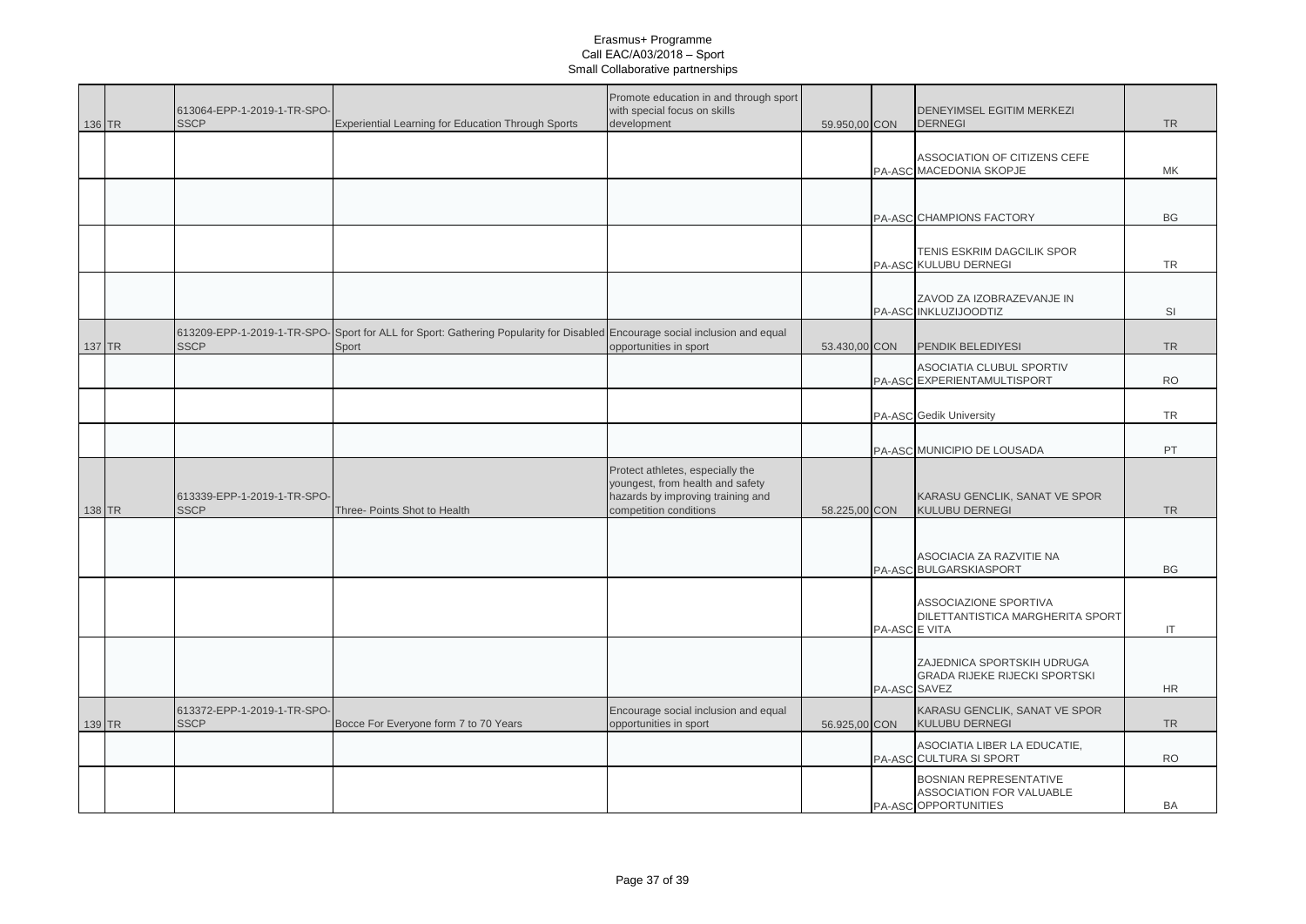| 136 TR | 613064-EPP-1-2019-1-TR-SPO-<br><b>SSCP</b> | <b>Experiential Learning for Education Through Sports</b>                                                                            | Promote education in and through sport<br>with special focus on skills<br>development                                               | 59.950,00 CON |               | DENEYIMSEL EGITIM MERKEZI<br><b>DERNEGI</b>                                        | <b>TR</b> |
|--------|--------------------------------------------|--------------------------------------------------------------------------------------------------------------------------------------|-------------------------------------------------------------------------------------------------------------------------------------|---------------|---------------|------------------------------------------------------------------------------------|-----------|
|        |                                            |                                                                                                                                      |                                                                                                                                     |               |               | ASSOCIATION OF CITIZENS CEFE<br>PA-ASC MACEDONIA SKOPJE                            | MK        |
|        |                                            |                                                                                                                                      |                                                                                                                                     |               |               | PA-ASC CHAMPIONS FACTORY                                                           | <b>BG</b> |
|        |                                            |                                                                                                                                      |                                                                                                                                     |               |               | TENIS ESKRIM DAGCILIK SPOR<br>PA-ASC KULUBU DERNEGI                                | <b>TR</b> |
|        |                                            |                                                                                                                                      |                                                                                                                                     |               |               | ZAVOD ZA IZOBRAZEVANJE IN<br>PA-ASC INKLUZIJOODTIZ                                 | SI        |
| 137 TR | <b>SSCP</b>                                | 613209-EPP-1-2019-1-TR-SPO- Sport for ALL for Sport: Gathering Popularity for Disabled Encourage social inclusion and equal<br>Sport | opportunities in sport                                                                                                              | 53.430,00 CON |               | PENDIK BELEDIYESI                                                                  | <b>TR</b> |
|        |                                            |                                                                                                                                      |                                                                                                                                     |               |               | ASOCIATIA CLUBUL SPORTIV<br>PA-ASC EXPERIENTAMULTISPORT                            | <b>RO</b> |
|        |                                            |                                                                                                                                      |                                                                                                                                     |               |               | PA-ASC Gedik University                                                            | <b>TR</b> |
|        |                                            |                                                                                                                                      |                                                                                                                                     |               |               | PA-ASC MUNICIPIO DE LOUSADA                                                        | PT        |
| 138 TR | 613339-EPP-1-2019-1-TR-SPO-<br><b>SSCP</b> | Three- Points Shot to Health                                                                                                         | Protect athletes, especially the<br>youngest, from health and safety<br>hazards by improving training and<br>competition conditions | 58.225,00 CON |               | KARASU GENCLIK, SANAT VE SPOR<br><b>KULUBU DERNEGI</b>                             | <b>TR</b> |
|        |                                            |                                                                                                                                      |                                                                                                                                     |               |               | ASOCIACIA ZA RAZVITIE NA<br>PA-ASC BULGARSKIASPORT                                 | <b>BG</b> |
|        |                                            |                                                                                                                                      |                                                                                                                                     |               | PA-ASC E VITA | ASSOCIAZIONE SPORTIVA<br>DILETTANTISTICA MARGHERITA SPORT                          | IT.       |
|        |                                            |                                                                                                                                      |                                                                                                                                     |               |               | ZAJEDNICA SPORTSKIH UDRUGA<br><b>GRADA RIJEKE RIJECKI SPORTSKI</b><br>PA-ASC SAVEZ | <b>HR</b> |
| 139 TR | 613372-EPP-1-2019-1-TR-SPO-<br><b>SSCP</b> | Bocce For Everyone form 7 to 70 Years                                                                                                | Encourage social inclusion and equal<br>opportunities in sport                                                                      | 56.925,00 CON |               | KARASU GENCLIK, SANAT VE SPOR<br><b>KULUBU DERNEGI</b>                             | <b>TR</b> |
|        |                                            |                                                                                                                                      |                                                                                                                                     |               |               | ASOCIATIA LIBER LA EDUCATIE,<br>PA-ASC CULTURA SI SPORT                            | <b>RO</b> |
|        |                                            |                                                                                                                                      |                                                                                                                                     |               |               | BOSNIAN REPRESENTATIVE<br>ASSOCIATION FOR VALUABLE<br>PA-ASC OPPORTUNITIES         | <b>BA</b> |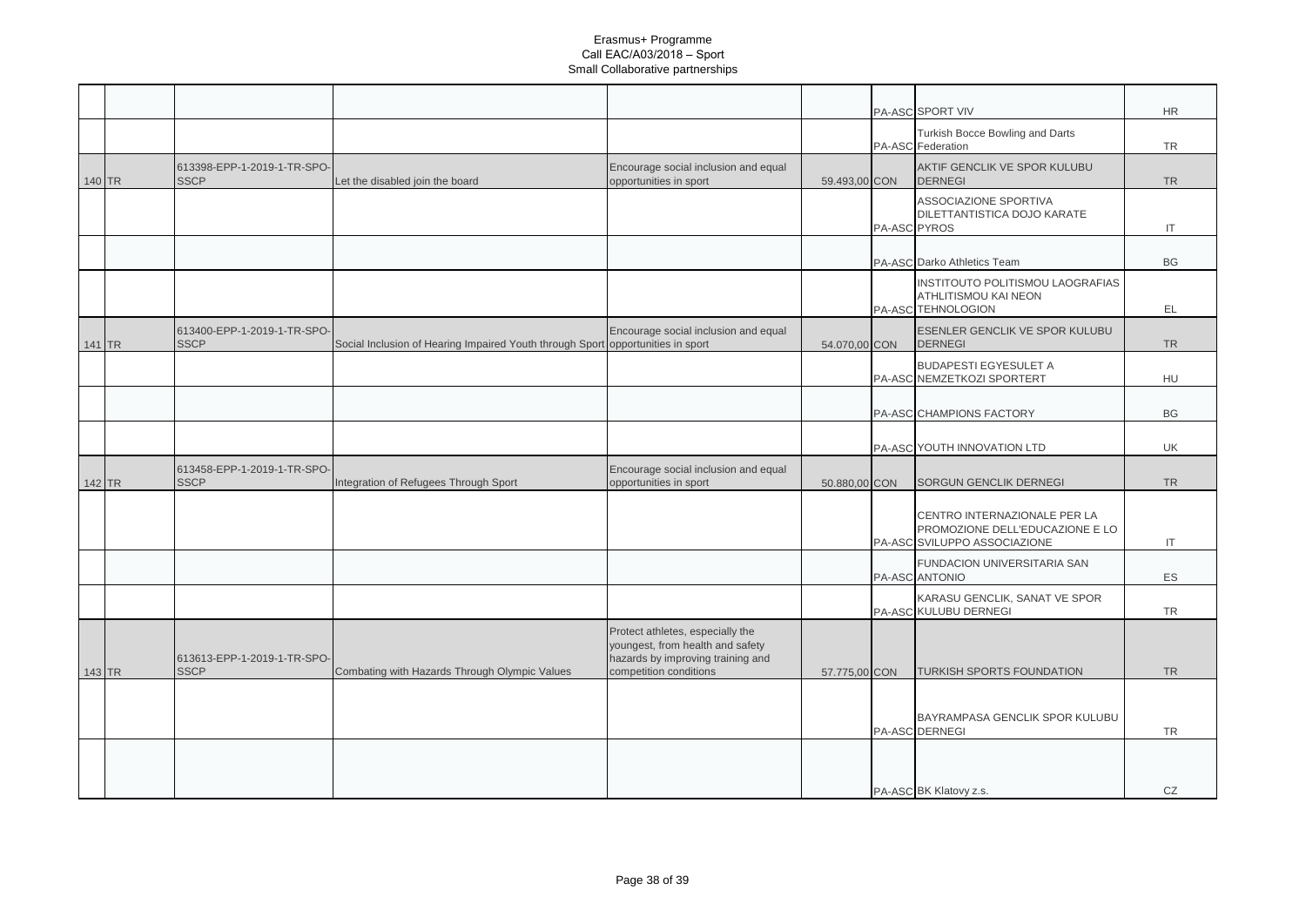|        |                                            |                                                                                 |                                                                                                                                     |               |              | PA-ASC SPORT VIV                                                                                | HR.       |
|--------|--------------------------------------------|---------------------------------------------------------------------------------|-------------------------------------------------------------------------------------------------------------------------------------|---------------|--------------|-------------------------------------------------------------------------------------------------|-----------|
|        |                                            |                                                                                 |                                                                                                                                     |               |              | Turkish Bocce Bowling and Darts                                                                 |           |
|        |                                            |                                                                                 |                                                                                                                                     |               |              | PA-ASC Federation                                                                               | <b>TR</b> |
| 140 TR | 613398-EPP-1-2019-1-TR-SPO-<br><b>SSCP</b> | Let the disabled join the board                                                 | Encourage social inclusion and equal<br>opportunities in sport                                                                      | 59.493,00 CON |              | AKTIF GENCLIK VE SPOR KULUBU<br><b>DERNEGI</b>                                                  | <b>TR</b> |
|        |                                            |                                                                                 |                                                                                                                                     |               | PA-ASC PYROS | ASSOCIAZIONE SPORTIVA<br>DILETTANTISTICA DOJO KARATE                                            | IT        |
|        |                                            |                                                                                 |                                                                                                                                     |               |              | PA-ASC Darko Athletics Team                                                                     | BG        |
|        |                                            |                                                                                 |                                                                                                                                     |               |              | INSTITOUTO POLITISMOU LAOGRAFIAS<br>ATHLITISMOU KAI NEON<br>PA-ASC TEHNOLOGION                  | EL        |
| 141 TR | 613400-EPP-1-2019-1-TR-SPO-<br><b>SSCP</b> | Social Inclusion of Hearing Impaired Youth through Sport opportunities in sport | Encourage social inclusion and equal                                                                                                | 54.070,00 CON |              | ESENLER GENCLIK VE SPOR KULUBU<br><b>DERNEGI</b>                                                | <b>TR</b> |
|        |                                            |                                                                                 |                                                                                                                                     |               |              | <b>BUDAPESTI EGYESULET A</b><br>PA-ASC NEMZETKOZI SPORTERT                                      | HU        |
|        |                                            |                                                                                 |                                                                                                                                     |               |              | PA-ASC CHAMPIONS FACTORY                                                                        | BG        |
|        |                                            |                                                                                 |                                                                                                                                     |               |              | PA-ASC YOUTH INNOVATION LTD                                                                     | UK        |
| 142 TR | 613458-EPP-1-2019-1-TR-SPO-<br><b>SSCP</b> | Integration of Refugees Through Sport                                           | Encourage social inclusion and equal<br>opportunities in sport                                                                      | 50.880,00 CON |              | <b>SORGUN GENCLIK DERNEGI</b>                                                                   | <b>TR</b> |
|        |                                            |                                                                                 |                                                                                                                                     |               |              | CENTRO INTERNAZIONALE PER LA<br>PROMOZIONE DELL'EDUCAZIONE E LO<br>PA-ASC SVILUPPO ASSOCIAZIONE | $\sf IT$  |
|        |                                            |                                                                                 |                                                                                                                                     |               |              | FUNDACION UNIVERSITARIA SAN<br>PA-ASC ANTONIO                                                   | ES        |
|        |                                            |                                                                                 |                                                                                                                                     |               |              | KARASU GENCLIK, SANAT VE SPOR<br>PA-ASC KULUBU DERNEGI                                          | <b>TR</b> |
|        | 613613-EPP-1-2019-1-TR-SPO-<br><b>SSCP</b> | Combating with Hazards Through Olympic Values                                   | Protect athletes, especially the<br>youngest, from health and safety<br>hazards by improving training and<br>competition conditions |               |              | <b>TURKISH SPORTS FOUNDATION</b>                                                                | <b>TR</b> |
| 143 TR |                                            |                                                                                 |                                                                                                                                     | 57.775,00 CON |              |                                                                                                 |           |
|        |                                            |                                                                                 |                                                                                                                                     |               |              | BAYRAMPASA GENCLIK SPOR KULUBU<br>PA-ASC DERNEGI                                                | TR        |
|        |                                            |                                                                                 |                                                                                                                                     |               |              |                                                                                                 |           |
|        |                                            |                                                                                 |                                                                                                                                     |               |              | PA-ASC BK Klatovy z.s.                                                                          | CZ        |